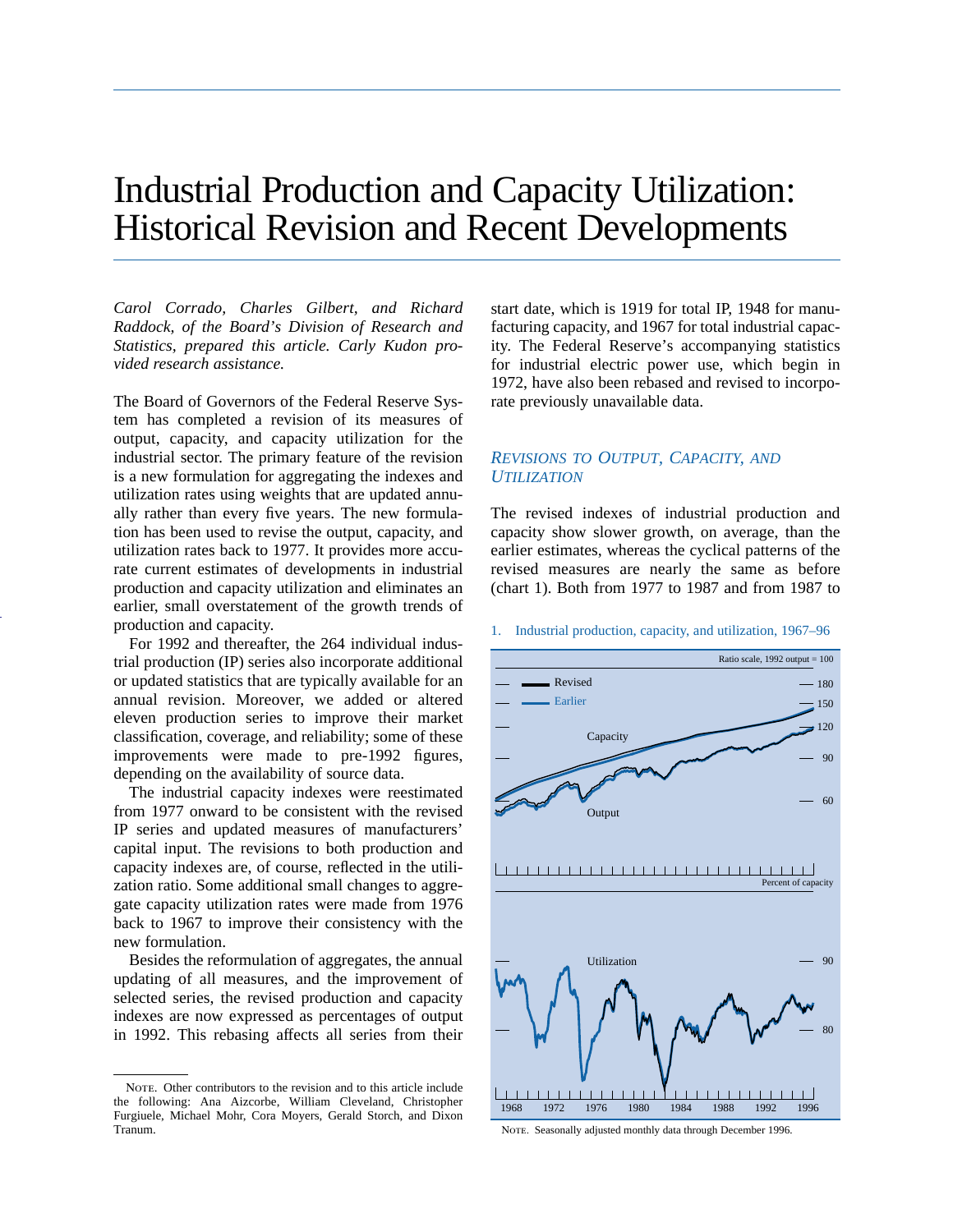# Industrial Production and Capacity Utilization: Historical Revision and Recent Developments

*Carol Corrado, Charles Gilbert, and Richard Raddock, of the Board's Division of Research and Statistics, prepared this article. Carly Kudon provided research assistance.*

The Board of Governors of the Federal Reserve System has completed a revision of its measures of output, capacity, and capacity utilization for the industrial sector. The primary feature of the revision is a new formulation for aggregating the indexes and utilization rates using weights that are updated annually rather than every five years. The new formulation has been used to revise the output, capacity, and utilization rates back to 1977. It provides more accurate current estimates of developments in industrial production and capacity utilization and eliminates an earlier, small overstatement of the growth trends of production and capacity.

For 1992 and thereafter, the 264 individual industrial production (IP) series also incorporate additional or updated statistics that are typically available for an annual revision. Moreover, we added or altered eleven production series to improve their market classification, coverage, and reliability; some of these improvements were made to pre-1992 figures, depending on the availability of source data.

The industrial capacity indexes were reestimated from 1977 onward to be consistent with the revised IP series and updated measures of manufacturers' capital input. The revisions to both production and capacity indexes are, of course, reflected in the utilization ratio. Some additional small changes to aggregate capacity utilization rates were made from 1976 back to 1967 to improve their consistency with the new formulation.

Besides the reformulation of aggregates, the annual updating of all measures, and the improvement of selected series, the revised production and capacity indexes are now expressed as percentages of output in 1992. This rebasing affects all series from their

start date, which is 1919 for total IP, 1948 for manufacturing capacity, and 1967 for total industrial capacity. The Federal Reserve's accompanying statistics for industrial electric power use, which begin in 1972, have also been rebased and revised to incorporate previously unavailable data.

# *REVISIONS TO OUTPUT, CAPACITY, AND UTILIZATION*

The revised indexes of industrial production and capacity show slower growth, on average, than the earlier estimates, whereas the cyclical patterns of the revised measures are nearly the same as before (chart 1). Both from 1977 to 1987 and from 1987 to

#### 1. Industrial production, capacity, and utilization, 1967–96



NOTE. Seasonally adjusted monthly data through December 1996

NOTE. Other contributors to the revision and to this article include the following: Ana Aizcorbe, William Cleveland, Christopher Furgiuele, Michael Mohr, Cora Moyers, Gerald Storch, and Dixon Tranum.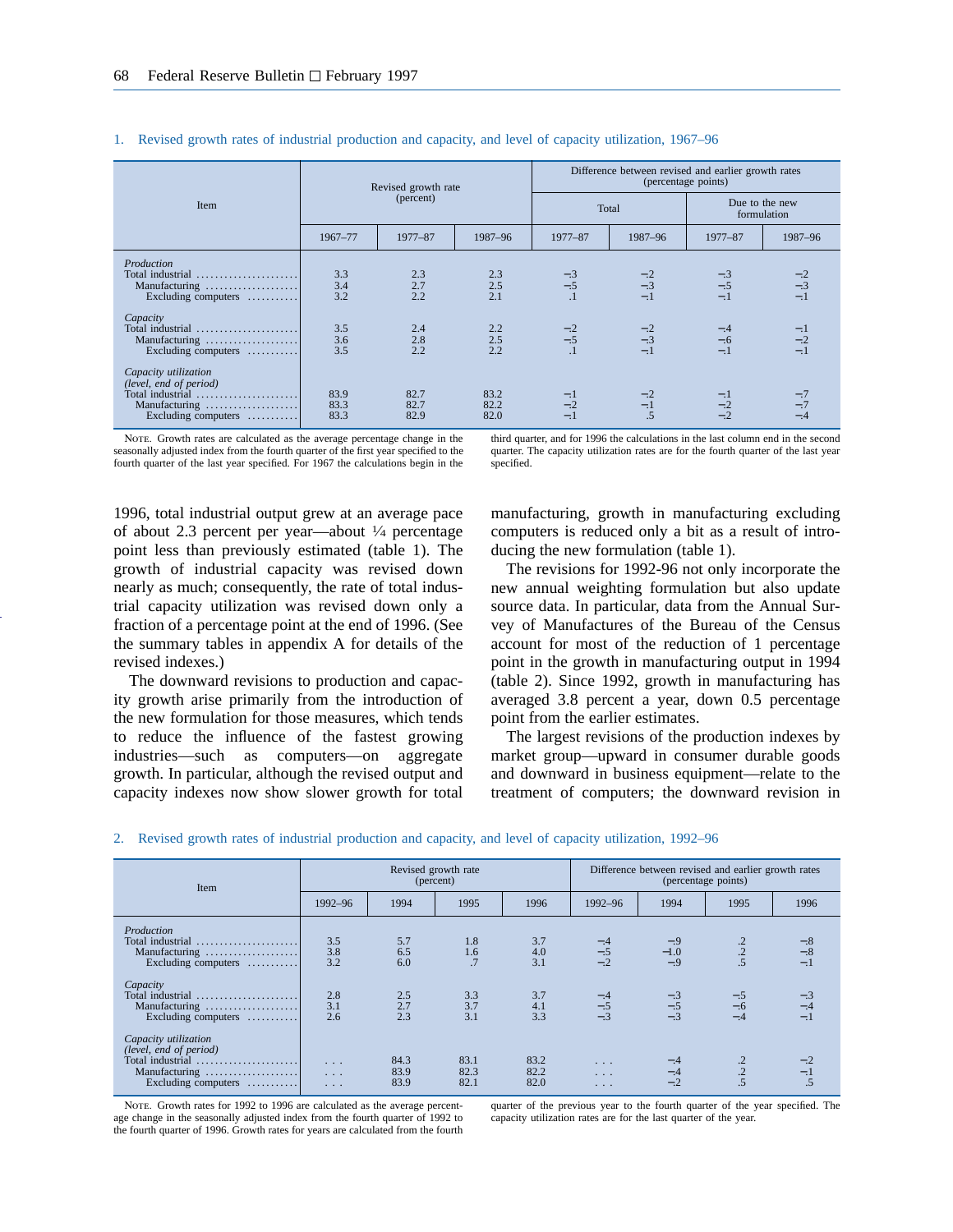|                                                                                                                              |                      | Revised growth rate  |                      |              | Difference between revised and earlier growth rates | (percentage points) |                               |
|------------------------------------------------------------------------------------------------------------------------------|----------------------|----------------------|----------------------|--------------|-----------------------------------------------------|---------------------|-------------------------------|
| Item                                                                                                                         |                      | (percent)            |                      | Total        |                                                     |                     | Due to the new<br>formulation |
|                                                                                                                              | 1967-77              | 1977-87              | 1987-96              | 1977-87      | 1987-96                                             | 1977-87             | 1987-96                       |
| Production<br>Total industrial<br>Manufacturing<br>Excluding computers                                                       | 3.3<br>3.4<br>3.2    | 2.3<br>2.7<br>2.2    | 2.3<br>2.5<br>2.1    | $-3$<br>$-5$ | $-.3$<br>$-.1$                                      | $-.5$<br>$-.1$      | $-.3$<br>$-1$                 |
| Capacity<br>Total industrial<br>Manufacturing<br>Excluding computers $\dots\dots\dots$                                       | 3.5<br>3.6<br>3.5    | 2.4<br>2.8<br>2.2    | 2.2<br>2.5<br>2.2    | $-2$<br>$-5$ | $-2$<br>$-3$<br>$-.1$                               | $-.6$<br>$-.1$      | $-.2$<br>$-1$                 |
| Capacity utilization<br>(level, end of period)<br>Total industrial<br>Manufacturing<br>Excluding computers $\dots\dots\dots$ | 83.9<br>83.3<br>83.3 | 82.7<br>82.7<br>82.9 | 83.2<br>82.2<br>82.0 | $-.2$<br>=.l | $-.2$<br>$-.1$<br>$\overline{.5}$                   | $-.2$               | $-.7$<br>$-.4$                |

#### 1. Revised growth rates of industrial production and capacity, and level of capacity utilization, 1967–96

NOTE. Growth rates are calculated as the average percentage change in the seasonally adjusted index from the fourth quarter of the first year specified to the fourth quarter of the last year specified. For 1967 the calculations begin in the

third quarter, and for 1996 the calculations in the last column end in the second quarter. The capacity utilization rates are for the fourth quarter of the last year specified.

1996, total industrial output grew at an average pace of about 2.3 percent per year—about  $\frac{1}{4}$  percentage point less than previously estimated (table 1). The growth of industrial capacity was revised down nearly as much; consequently, the rate of total industrial capacity utilization was revised down only a fraction of a percentage point at the end of 1996. (See the summary tables in appendix A for details of the revised indexes.)

The downward revisions to production and capacity growth arise primarily from the introduction of the new formulation for those measures, which tends to reduce the influence of the fastest growing industries—such as computers—on aggregate growth. In particular, although the revised output and capacity indexes now show slower growth for total

manufacturing, growth in manufacturing excluding computers is reduced only a bit as a result of introducing the new formulation (table 1).

The revisions for 1992-96 not only incorporate the new annual weighting formulation but also update source data. In particular, data from the Annual Survey of Manufactures of the Bureau of the Census account for most of the reduction of 1 percentage point in the growth in manufacturing output in 1994 (table 2). Since 1992, growth in manufacturing has averaged 3.8 percent a year, down 0.5 percentage point from the earlier estimates.

The largest revisions of the production indexes by market group—upward in consumer durable goods and downward in business equipment—relate to the treatment of computers; the downward revision in

| 2. Revised growth rates of industrial production and capacity, and level of capacity utilization, 1992–96 |  |  |  |
|-----------------------------------------------------------------------------------------------------------|--|--|--|
|                                                                                                           |  |  |  |

| Item                                                                                                                         |                                                             |                      | Revised growth rate<br>(percent) |                      |                                          |                          | Difference between revised and earlier growth rates<br>(percentage points) |                |
|------------------------------------------------------------------------------------------------------------------------------|-------------------------------------------------------------|----------------------|----------------------------------|----------------------|------------------------------------------|--------------------------|----------------------------------------------------------------------------|----------------|
|                                                                                                                              | 1992-96                                                     | 1994                 | 1995                             | 1996                 | 1992-96                                  | 1994                     | 1995                                                                       | 1996           |
| Production<br>Total industrial<br>Manufacturing<br>Excluding computers                                                       | 3.5<br>3.8<br>3.2                                           | 5.7<br>6.5<br>6.0    | 1.8<br>1.6<br>.7                 | 3.7<br>4.0<br>3.1    | $-.4$<br>$-.5$<br>$-.2$                  | $-1.0$<br>$-.9$          | $\frac{.2}{.2}$<br>$\overline{.5}$                                         | $-.8$<br>$-.1$ |
| Capacity<br>Total industrial<br>Manufacturing<br>Excluding computers                                                         | 2.8<br>3.1<br>2.6                                           | 2.5<br>2.7<br>2.3    | 3.3<br>3.7<br>3.1                | 3.7<br>4.1<br>3.3    | $-4$<br>$-5$                             | $\frac{-3}{-5}$<br>$-.3$ | $-.5$<br>$-.6$<br>$-.4$                                                    | $-.4$<br>$-1$  |
| Capacity utilization<br>(level, end of period)<br>Total industrial<br>Manufacturing<br>Excluding computers $\dots\dots\dots$ | $\cdot$ $\cdot$ $\cdot$<br>$\sim$ $\sim$ $\sim$<br>$\cdots$ | 84.3<br>83.9<br>83.9 | 83.1<br>82.3<br>82.1             | 83.2<br>82.2<br>82.0 | $\sim$ $\sim$ $\sim$<br>1.11<br>$\cdots$ | $-.4$<br>$-.2$           | $\cdot$<br>$\overline{.5}$                                                 | $-.1$          |

NOTE. Growth rates for 1992 to 1996 are calculated as the average percentage change in the seasonally adjusted index from the fourth quarter of 1992 to the fourth quarter of 1996. Growth rates for years are calculated from the fourth

quarter of the previous year to the fourth quarter of the year specified. The capacity utilization rates are for the last quarter of the year.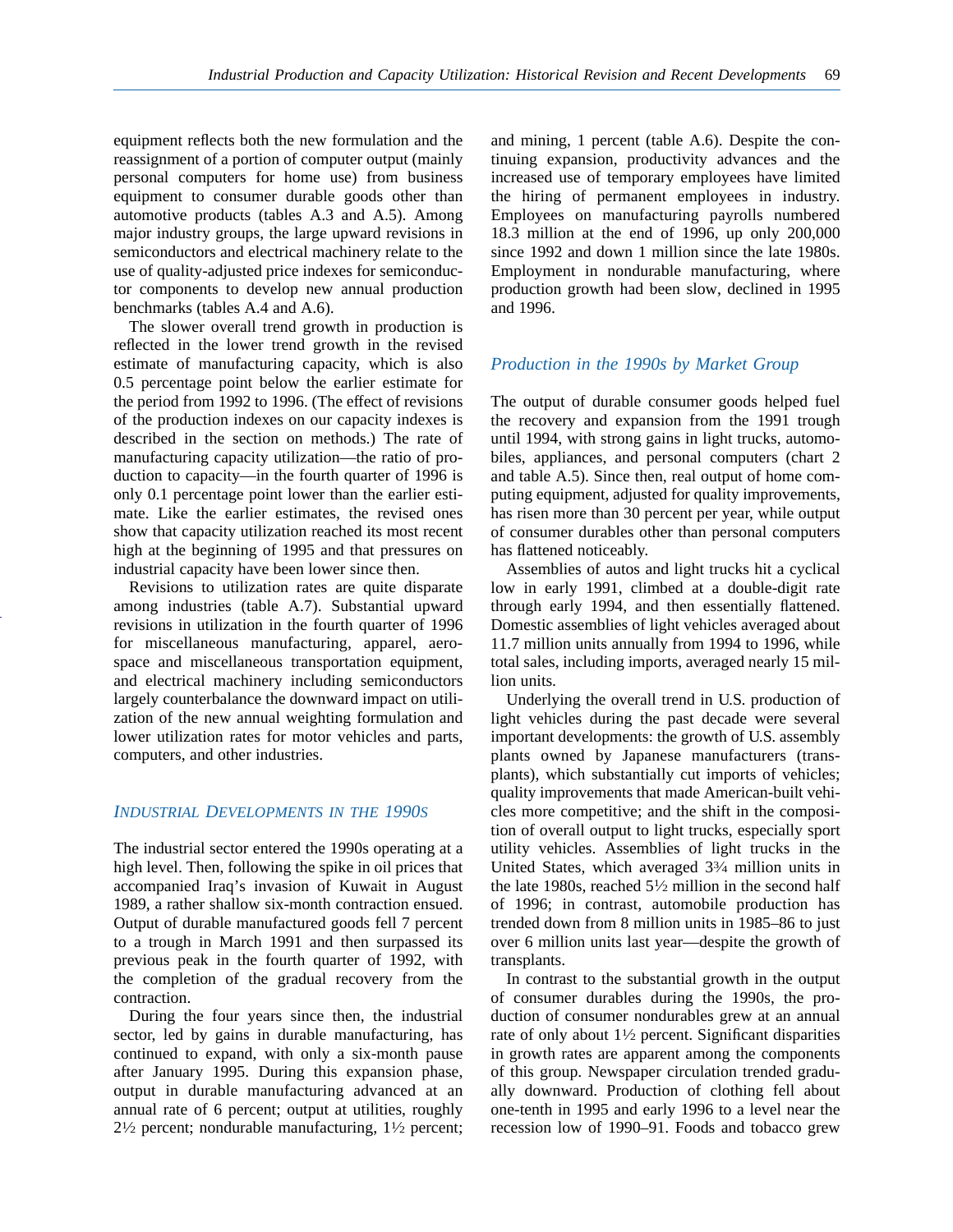equipment reflects both the new formulation and the reassignment of a portion of computer output (mainly personal computers for home use) from business equipment to consumer durable goods other than automotive products (tables A.3 and A.5). Among major industry groups, the large upward revisions in semiconductors and electrical machinery relate to the use of quality-adjusted price indexes for semiconductor components to develop new annual production benchmarks (tables A.4 and A.6).

The slower overall trend growth in production is reflected in the lower trend growth in the revised estimate of manufacturing capacity, which is also 0.5 percentage point below the earlier estimate for the period from 1992 to 1996. (The effect of revisions of the production indexes on our capacity indexes is described in the section on methods.) The rate of manufacturing capacity utilization—the ratio of production to capacity—in the fourth quarter of 1996 is only 0.1 percentage point lower than the earlier estimate. Like the earlier estimates, the revised ones show that capacity utilization reached its most recent high at the beginning of 1995 and that pressures on industrial capacity have been lower since then.

Revisions to utilization rates are quite disparate among industries (table A.7). Substantial upward revisions in utilization in the fourth quarter of 1996 for miscellaneous manufacturing, apparel, aerospace and miscellaneous transportation equipment, and electrical machinery including semiconductors largely counterbalance the downward impact on utilization of the new annual weighting formulation and lower utilization rates for motor vehicles and parts, computers, and other industries.

#### *INDUSTRIAL DEVELOPMENTS IN THE 1990S*

The industrial sector entered the 1990s operating at a high level. Then, following the spike in oil prices that accompanied Iraq's invasion of Kuwait in August 1989, a rather shallow six-month contraction ensued. Output of durable manufactured goods fell 7 percent to a trough in March 1991 and then surpassed its previous peak in the fourth quarter of 1992, with the completion of the gradual recovery from the contraction.

During the four years since then, the industrial sector, led by gains in durable manufacturing, has continued to expand, with only a six-month pause after January 1995. During this expansion phase, output in durable manufacturing advanced at an annual rate of 6 percent; output at utilities, roughly  $2\frac{1}{2}$  percent; nondurable manufacturing,  $1\frac{1}{2}$  percent; and mining, 1 percent (table A.6). Despite the continuing expansion, productivity advances and the increased use of temporary employees have limited the hiring of permanent employees in industry. Employees on manufacturing payrolls numbered 18.3 million at the end of 1996, up only 200,000 since 1992 and down 1 million since the late 1980s. Employment in nondurable manufacturing, where production growth had been slow, declined in 1995 and 1996.

## *Production in the 1990s by Market Group*

The output of durable consumer goods helped fuel the recovery and expansion from the 1991 trough until 1994, with strong gains in light trucks, automobiles, appliances, and personal computers (chart 2 and table A.5). Since then, real output of home computing equipment, adjusted for quality improvements, has risen more than 30 percent per year, while output of consumer durables other than personal computers has flattened noticeably.

Assemblies of autos and light trucks hit a cyclical low in early 1991, climbed at a double-digit rate through early 1994, and then essentially flattened. Domestic assemblies of light vehicles averaged about 11.7 million units annually from 1994 to 1996, while total sales, including imports, averaged nearly 15 million units.

Underlying the overall trend in U.S. production of light vehicles during the past decade were several important developments: the growth of U.S. assembly plants owned by Japanese manufacturers (transplants), which substantially cut imports of vehicles; quality improvements that made American-built vehicles more competitive; and the shift in the composition of overall output to light trucks, especially sport utility vehicles. Assemblies of light trucks in the United States, which averaged 33⁄4 million units in the late 1980s, reached  $5\frac{1}{2}$  million in the second half of 1996; in contrast, automobile production has trended down from 8 million units in 1985–86 to just over 6 million units last year—despite the growth of transplants.

In contrast to the substantial growth in the output of consumer durables during the 1990s, the production of consumer nondurables grew at an annual rate of only about  $1\frac{1}{2}$  percent. Significant disparities in growth rates are apparent among the components of this group. Newspaper circulation trended gradually downward. Production of clothing fell about one-tenth in 1995 and early 1996 to a level near the recession low of 1990–91. Foods and tobacco grew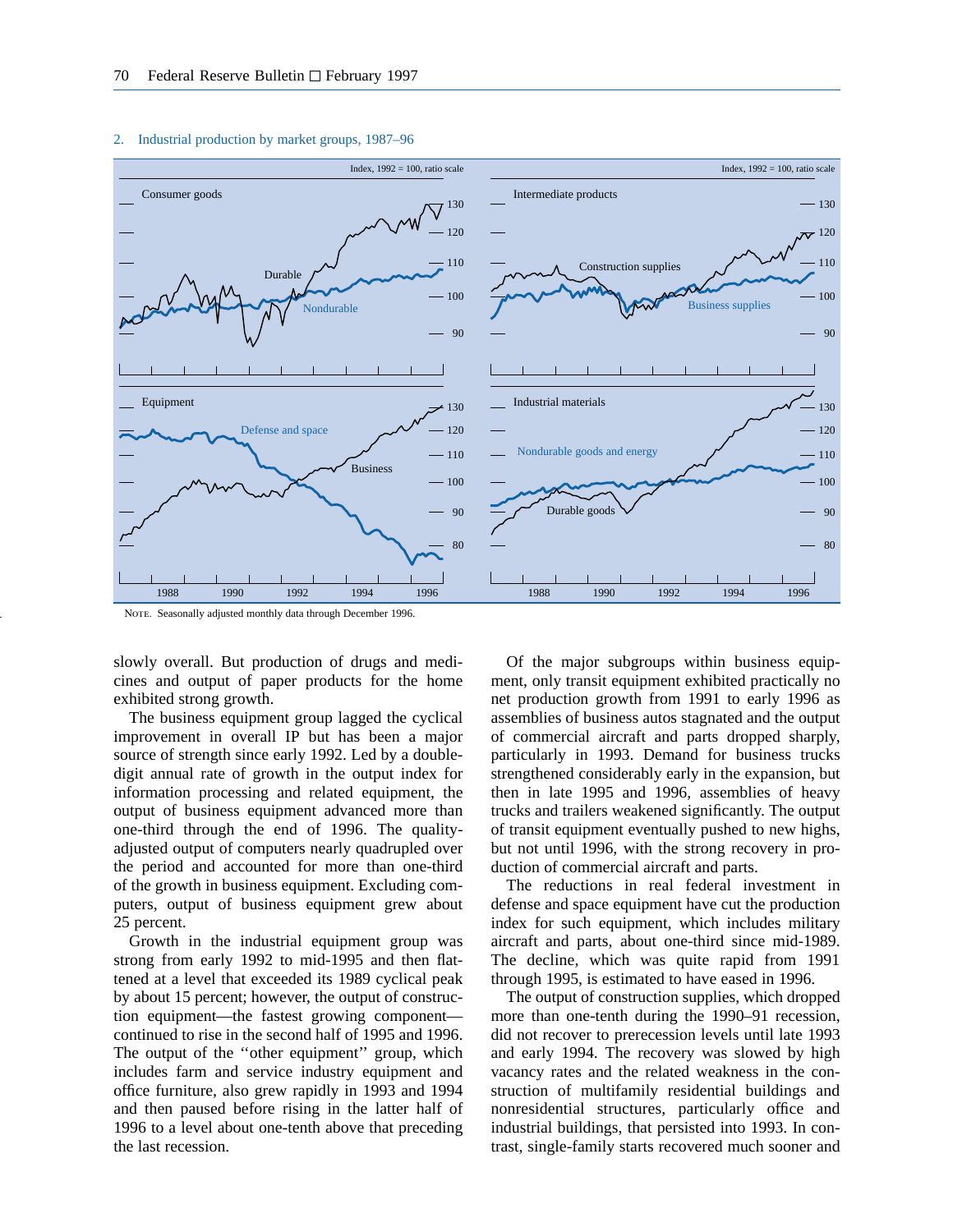

#### 2. Industrial production by market groups, 1987–96

NOTE. Seasonally adjusted monthly data through December 1996

slowly overall. But production of drugs and medicines and output of paper products for the home exhibited strong growth.

The business equipment group lagged the cyclical improvement in overall IP but has been a major source of strength since early 1992. Led by a doubledigit annual rate of growth in the output index for information processing and related equipment, the output of business equipment advanced more than one-third through the end of 1996. The qualityadjusted output of computers nearly quadrupled over the period and accounted for more than one-third of the growth in business equipment. Excluding computers, output of business equipment grew about 25 percent.

Growth in the industrial equipment group was strong from early 1992 to mid-1995 and then flattened at a level that exceeded its 1989 cyclical peak by about 15 percent; however, the output of construction equipment—the fastest growing component continued to rise in the second half of 1995 and 1996. The output of the ''other equipment'' group, which includes farm and service industry equipment and office furniture, also grew rapidly in 1993 and 1994 and then paused before rising in the latter half of 1996 to a level about one-tenth above that preceding the last recession.

Of the major subgroups within business equipment, only transit equipment exhibited practically no net production growth from 1991 to early 1996 as assemblies of business autos stagnated and the output of commercial aircraft and parts dropped sharply, particularly in 1993. Demand for business trucks strengthened considerably early in the expansion, but then in late 1995 and 1996, assemblies of heavy trucks and trailers weakened significantly. The output of transit equipment eventually pushed to new highs, but not until 1996, with the strong recovery in production of commercial aircraft and parts.

The reductions in real federal investment in defense and space equipment have cut the production index for such equipment, which includes military aircraft and parts, about one-third since mid-1989. The decline, which was quite rapid from 1991 through 1995, is estimated to have eased in 1996.

The output of construction supplies, which dropped more than one-tenth during the 1990–91 recession, did not recover to prerecession levels until late 1993 and early 1994. The recovery was slowed by high vacancy rates and the related weakness in the construction of multifamily residential buildings and nonresidential structures, particularly office and industrial buildings, that persisted into 1993. In contrast, single-family starts recovered much sooner and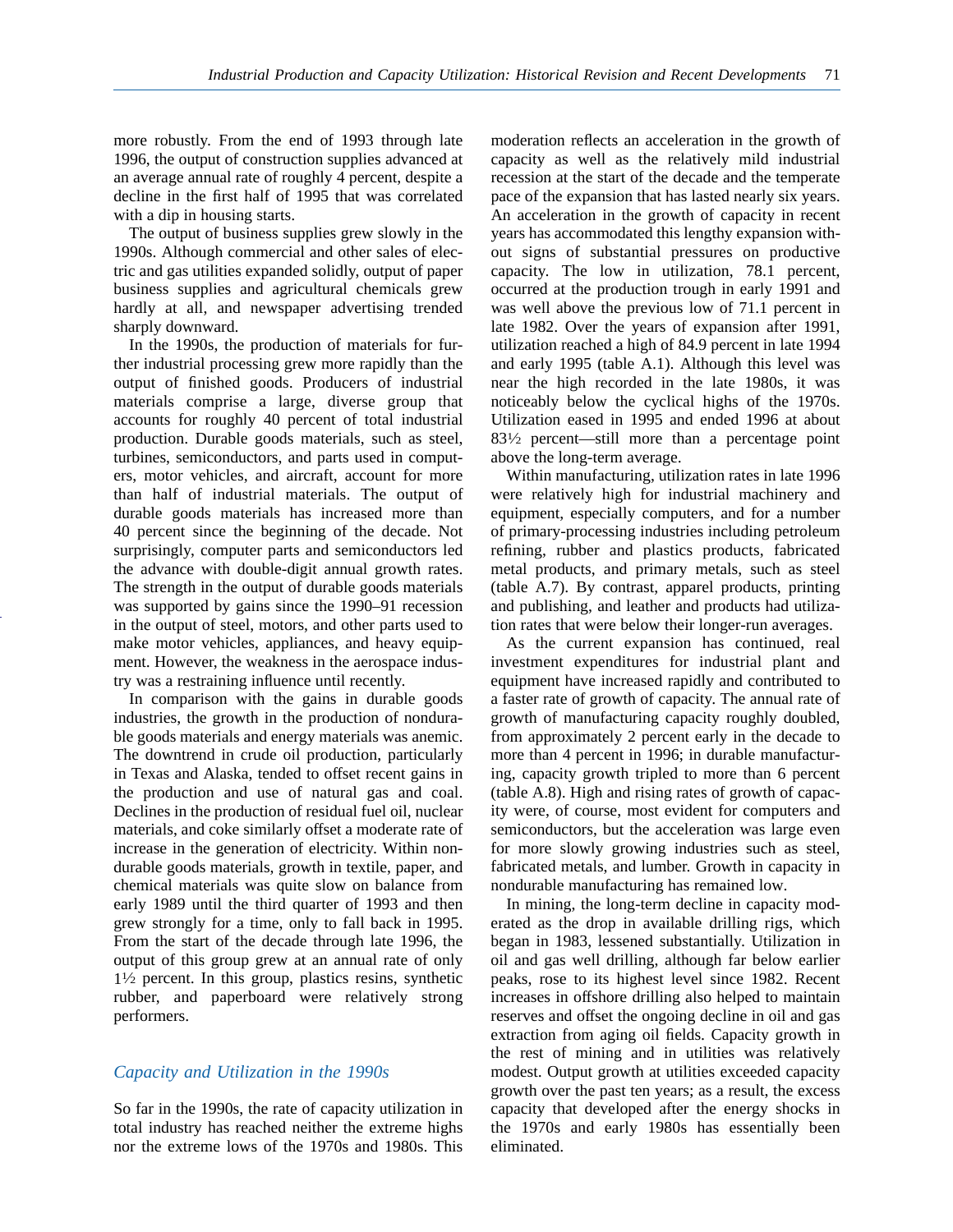more robustly. From the end of 1993 through late 1996, the output of construction supplies advanced at an average annual rate of roughly 4 percent, despite a decline in the first half of 1995 that was correlated with a dip in housing starts.

The output of business supplies grew slowly in the 1990s. Although commercial and other sales of electric and gas utilities expanded solidly, output of paper business supplies and agricultural chemicals grew hardly at all, and newspaper advertising trended sharply downward.

In the 1990s, the production of materials for further industrial processing grew more rapidly than the output of finished goods. Producers of industrial materials comprise a large, diverse group that accounts for roughly 40 percent of total industrial production. Durable goods materials, such as steel, turbines, semiconductors, and parts used in computers, motor vehicles, and aircraft, account for more than half of industrial materials. The output of durable goods materials has increased more than 40 percent since the beginning of the decade. Not surprisingly, computer parts and semiconductors led the advance with double-digit annual growth rates. The strength in the output of durable goods materials was supported by gains since the 1990–91 recession in the output of steel, motors, and other parts used to make motor vehicles, appliances, and heavy equipment. However, the weakness in the aerospace industry was a restraining influence until recently.

In comparison with the gains in durable goods industries, the growth in the production of nondurable goods materials and energy materials was anemic. The downtrend in crude oil production, particularly in Texas and Alaska, tended to offset recent gains in the production and use of natural gas and coal. Declines in the production of residual fuel oil, nuclear materials, and coke similarly offset a moderate rate of increase in the generation of electricity. Within nondurable goods materials, growth in textile, paper, and chemical materials was quite slow on balance from early 1989 until the third quarter of 1993 and then grew strongly for a time, only to fall back in 1995. From the start of the decade through late 1996, the output of this group grew at an annual rate of only  $1\frac{1}{2}$  percent. In this group, plastics resins, synthetic rubber, and paperboard were relatively strong performers.

## *Capacity and Utilization in the 1990s*

So far in the 1990s, the rate of capacity utilization in total industry has reached neither the extreme highs nor the extreme lows of the 1970s and 1980s. This

moderation reflects an acceleration in the growth of capacity as well as the relatively mild industrial recession at the start of the decade and the temperate pace of the expansion that has lasted nearly six years. An acceleration in the growth of capacity in recent years has accommodated this lengthy expansion without signs of substantial pressures on productive capacity. The low in utilization, 78.1 percent, occurred at the production trough in early 1991 and was well above the previous low of 71.1 percent in late 1982. Over the years of expansion after 1991, utilization reached a high of 84.9 percent in late 1994 and early 1995 (table A.1). Although this level was near the high recorded in the late 1980s, it was noticeably below the cyclical highs of the 1970s. Utilization eased in 1995 and ended 1996 at about 831⁄2 percent—still more than a percentage point above the long-term average.

Within manufacturing, utilization rates in late 1996 were relatively high for industrial machinery and equipment, especially computers, and for a number of primary-processing industries including petroleum refining, rubber and plastics products, fabricated metal products, and primary metals, such as steel (table A.7). By contrast, apparel products, printing and publishing, and leather and products had utilization rates that were below their longer-run averages.

As the current expansion has continued, real investment expenditures for industrial plant and equipment have increased rapidly and contributed to a faster rate of growth of capacity. The annual rate of growth of manufacturing capacity roughly doubled, from approximately 2 percent early in the decade to more than 4 percent in 1996; in durable manufacturing, capacity growth tripled to more than 6 percent (table A.8). High and rising rates of growth of capacity were, of course, most evident for computers and semiconductors, but the acceleration was large even for more slowly growing industries such as steel, fabricated metals, and lumber. Growth in capacity in nondurable manufacturing has remained low.

In mining, the long-term decline in capacity moderated as the drop in available drilling rigs, which began in 1983, lessened substantially. Utilization in oil and gas well drilling, although far below earlier peaks, rose to its highest level since 1982. Recent increases in offshore drilling also helped to maintain reserves and offset the ongoing decline in oil and gas extraction from aging oil fields. Capacity growth in the rest of mining and in utilities was relatively modest. Output growth at utilities exceeded capacity growth over the past ten years; as a result, the excess capacity that developed after the energy shocks in the 1970s and early 1980s has essentially been eliminated.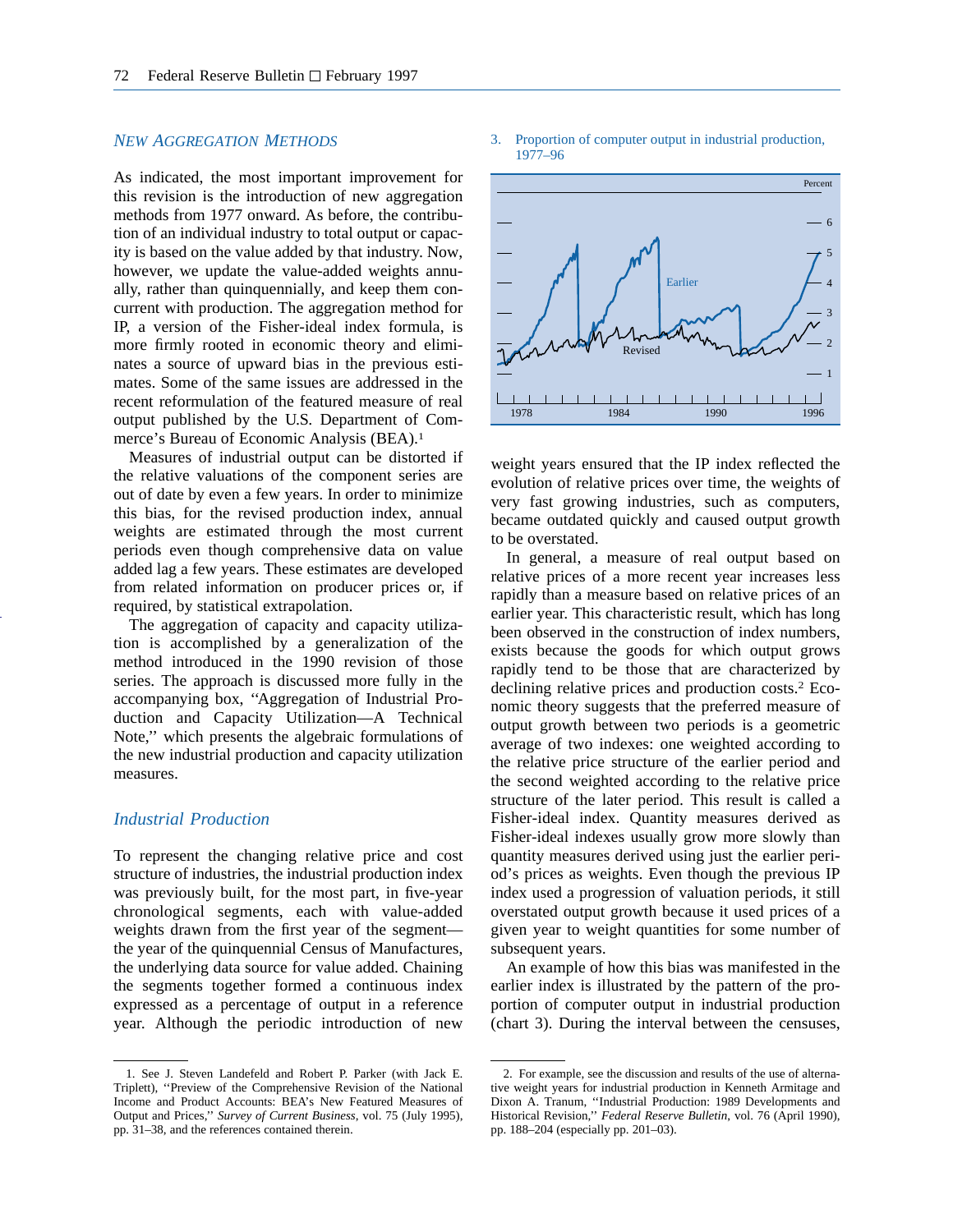#### *NEW AGGREGATION METHODS*

As indicated, the most important improvement for this revision is the introduction of new aggregation methods from 1977 onward. As before, the contribution of an individual industry to total output or capacity is based on the value added by that industry. Now, however, we update the value-added weights annually, rather than quinquennially, and keep them concurrent with production. The aggregation method for IP, a version of the Fisher-ideal index formula, is more firmly rooted in economic theory and eliminates a source of upward bias in the previous estimates. Some of the same issues are addressed in the recent reformulation of the featured measure of real output published by the U.S. Department of Commerce's Bureau of Economic Analysis (BEA).1

Measures of industrial output can be distorted if the relative valuations of the component series are out of date by even a few years. In order to minimize this bias, for the revised production index, annual weights are estimated through the most current periods even though comprehensive data on value added lag a few years. These estimates are developed from related information on producer prices or, if required, by statistical extrapolation.

The aggregation of capacity and capacity utilization is accomplished by a generalization of the method introduced in the 1990 revision of those series. The approach is discussed more fully in the accompanying box, ''Aggregation of Industrial Production and Capacity Utilization—A Technical Note,'' which presents the algebraic formulations of the new industrial production and capacity utilization measures.

# *Industrial Production*

To represent the changing relative price and cost structure of industries, the industrial production index was previously built, for the most part, in five-year chronological segments, each with value-added weights drawn from the first year of the segment the year of the quinquennial Census of Manufactures, the underlying data source for value added. Chaining the segments together formed a continuous index expressed as a percentage of output in a reference year. Although the periodic introduction of new

#### 3. Proportion of computer output in industrial production, 1977–96



weight years ensured that the IP index reflected the evolution of relative prices over time, the weights of very fast growing industries, such as computers, became outdated quickly and caused output growth to be overstated.

In general, a measure of real output based on relative prices of a more recent year increases less rapidly than a measure based on relative prices of an earlier year. This characteristic result, which has long been observed in the construction of index numbers, exists because the goods for which output grows rapidly tend to be those that are characterized by declining relative prices and production costs.2 Economic theory suggests that the preferred measure of output growth between two periods is a geometric average of two indexes: one weighted according to the relative price structure of the earlier period and the second weighted according to the relative price structure of the later period. This result is called a Fisher-ideal index. Quantity measures derived as Fisher-ideal indexes usually grow more slowly than quantity measures derived using just the earlier period's prices as weights. Even though the previous IP index used a progression of valuation periods, it still overstated output growth because it used prices of a given year to weight quantities for some number of subsequent years.

An example of how this bias was manifested in the earlier index is illustrated by the pattern of the proportion of computer output in industrial production (chart 3). During the interval between the censuses,

<sup>1.</sup> See J. Steven Landefeld and Robert P. Parker (with Jack E. Triplett), ''Preview of the Comprehensive Revision of the National Income and Product Accounts: BEA's New Featured Measures of Output and Prices,'' *Survey of Current Business*, vol. 75 (July 1995), pp. 31–38, and the references contained therein.

<sup>2.</sup> For example, see the discussion and results of the use of alternative weight years for industrial production in Kenneth Armitage and Dixon A. Tranum, ''Industrial Production: 1989 Developments and Historical Revision,'' *Federal Reserve Bulletin*, vol. 76 (April 1990), pp. 188–204 (especially pp. 201–03).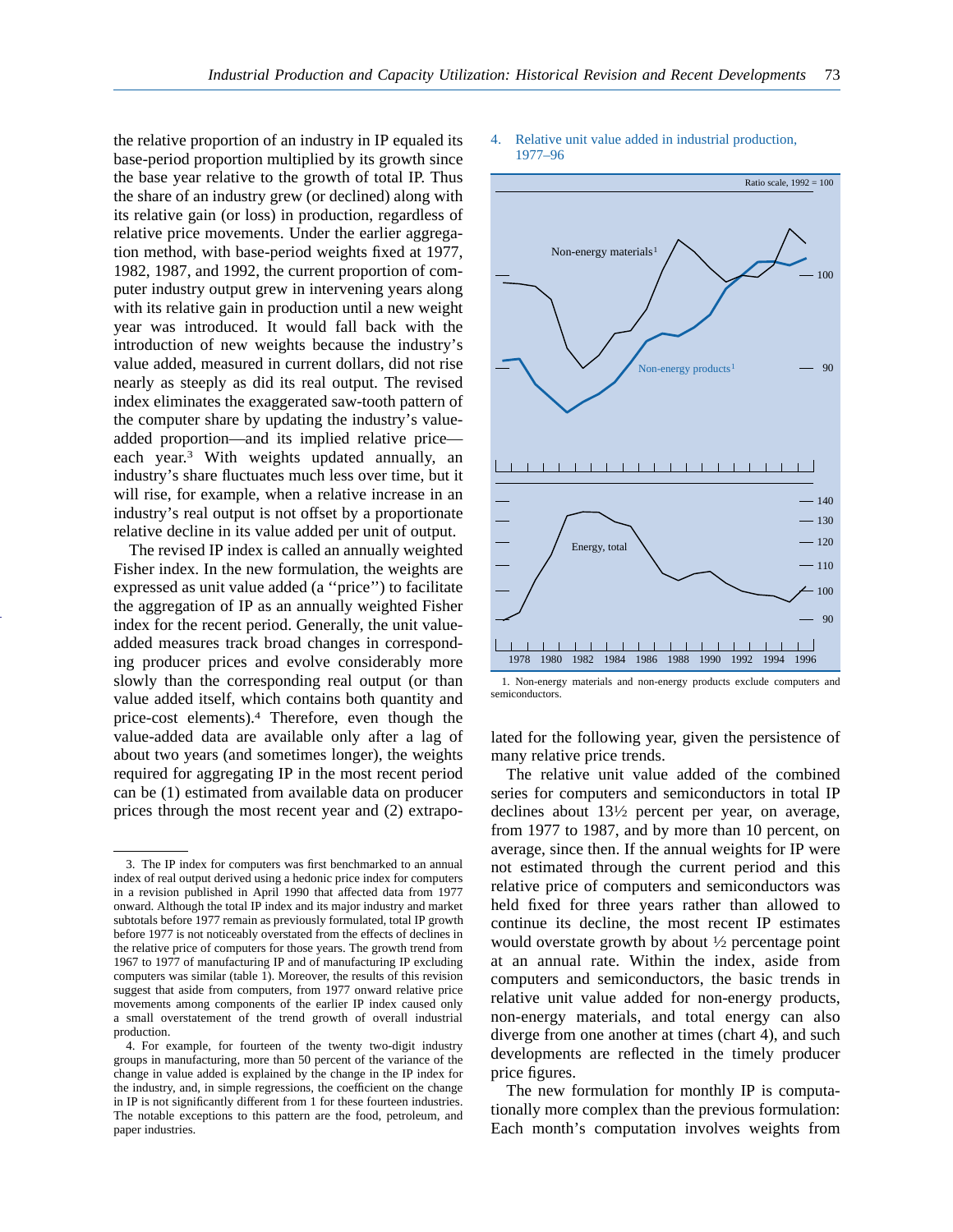the relative proportion of an industry in IP equaled its base-period proportion multiplied by its growth since the base year relative to the growth of total IP. Thus the share of an industry grew (or declined) along with its relative gain (or loss) in production, regardless of relative price movements. Under the earlier aggregation method, with base-period weights fixed at 1977, 1982, 1987, and 1992, the current proportion of computer industry output grew in intervening years along with its relative gain in production until a new weight year was introduced. It would fall back with the introduction of new weights because the industry's value added, measured in current dollars, did not rise nearly as steeply as did its real output. The revised index eliminates the exaggerated saw-tooth pattern of the computer share by updating the industry's valueadded proportion—and its implied relative price each year.3 With weights updated annually, an industry's share fluctuates much less over time, but it will rise, for example, when a relative increase in an industry's real output is not offset by a proportionate relative decline in its value added per unit of output.

The revised IP index is called an annually weighted Fisher index. In the new formulation, the weights are expressed as unit value added (a ''price'') to facilitate the aggregation of IP as an annually weighted Fisher index for the recent period. Generally, the unit valueadded measures track broad changes in corresponding producer prices and evolve considerably more slowly than the corresponding real output (or than value added itself, which contains both quantity and price-cost elements).4 Therefore, even though the value-added data are available only after a lag of about two years (and sometimes longer), the weights required for aggregating IP in the most recent period can be (1) estimated from available data on producer prices through the most recent year and (2) extrapo-

#### 4. Relative unit value added in industrial production, 1977–96



<sup>1.</sup> Non-energy materials and non-energy products exclude computers and semiconductors.

lated for the following year, given the persistence of many relative price trends.

The relative unit value added of the combined series for computers and semiconductors in total IP declines about 131⁄2 percent per year, on average, from 1977 to 1987, and by more than 10 percent, on average, since then. If the annual weights for IP were not estimated through the current period and this relative price of computers and semiconductors was held fixed for three years rather than allowed to continue its decline, the most recent IP estimates would overstate growth by about 1⁄2 percentage point at an annual rate. Within the index, aside from computers and semiconductors, the basic trends in relative unit value added for non-energy products, non-energy materials, and total energy can also diverge from one another at times (chart 4), and such developments are reflected in the timely producer price figures.

The new formulation for monthly IP is computationally more complex than the previous formulation: Each month's computation involves weights from

<sup>3.</sup> The IP index for computers was first benchmarked to an annual index of real output derived using a hedonic price index for computers in a revision published in April 1990 that affected data from 1977 onward. Although the total IP index and its major industry and market subtotals before 1977 remain as previously formulated, total IP growth before 1977 is not noticeably overstated from the effects of declines in the relative price of computers for those years. The growth trend from 1967 to 1977 of manufacturing IP and of manufacturing IP excluding computers was similar (table 1). Moreover, the results of this revision suggest that aside from computers, from 1977 onward relative price movements among components of the earlier IP index caused only a small overstatement of the trend growth of overall industrial production.

<sup>4.</sup> For example, for fourteen of the twenty two-digit industry groups in manufacturing, more than 50 percent of the variance of the change in value added is explained by the change in the IP index for the industry, and, in simple regressions, the coefficient on the change in IP is not significantly different from 1 for these fourteen industries. The notable exceptions to this pattern are the food, petroleum, and paper industries.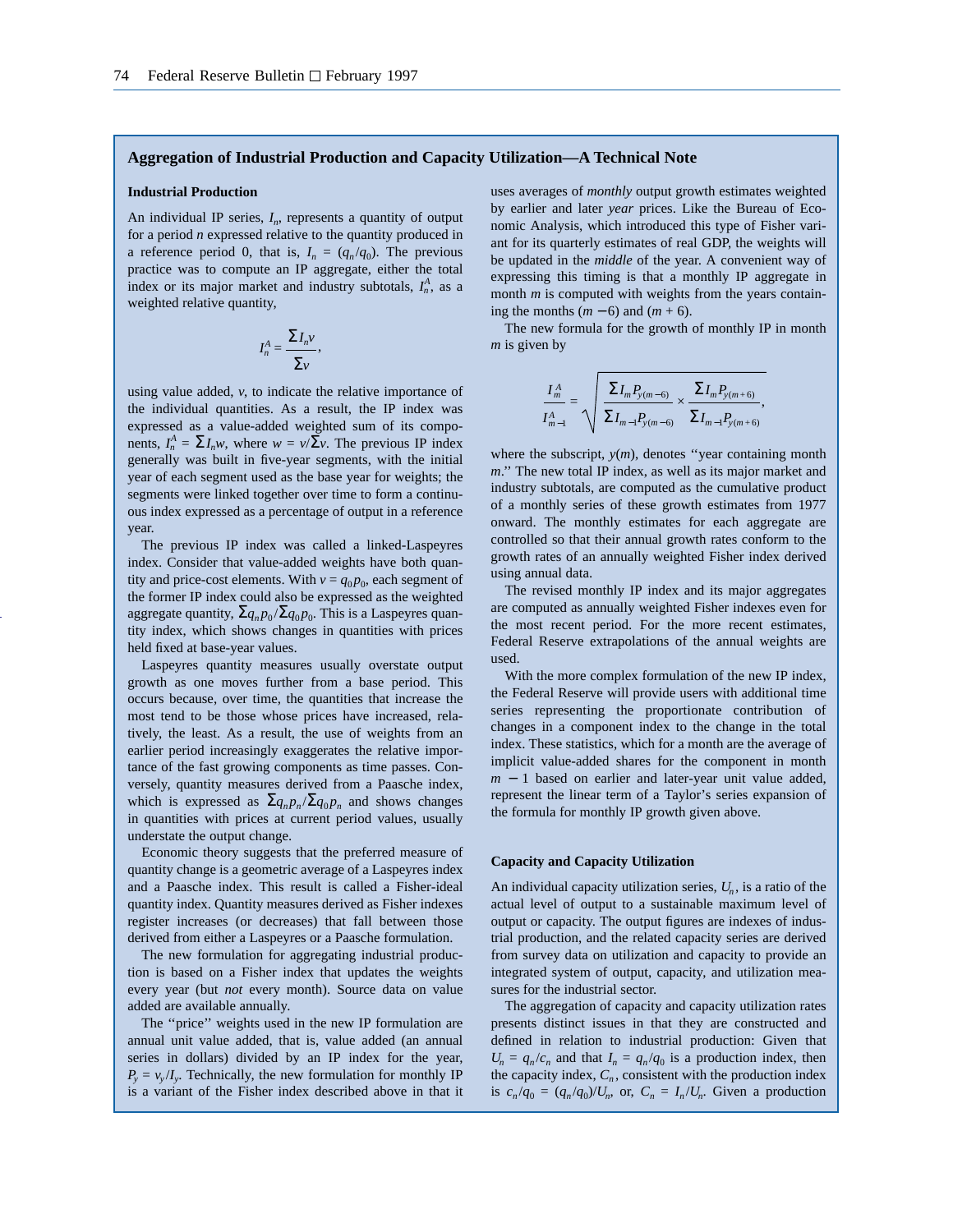#### **Aggregation of Industrial Production and Capacity Utilization—A Technical Note**

#### **Industrial Production**

An individual IP series,  $I_n$ , represents a quantity of output for a period *n* expressed relative to the quantity produced in a reference period 0, that is,  $I_n = (q_n/q_0)$ . The previous practice was to compute an IP aggregate, either the total index or its major market and industry subtotals,  $I_n^A$ , as a weighted relative quantity,

$$
I_n^A = \frac{\sum I_n v}{\sum v}
$$

,

using value added, *v*, to indicate the relative importance of the individual quantities. As a result, the IP index was expressed as a value-added weighted sum of its components,  $I_n^A = \sum I_n w$ , where  $w = \nu / \sum v$ . The previous IP index generally was built in five-year segments, with the initial year of each segment used as the base year for weights; the segments were linked together over time to form a continuous index expressed as a percentage of output in a reference year.

The previous IP index was called a linked-Laspeyres index. Consider that value-added weights have both quantity and price-cost elements. With  $v = q_0 p_0$ , each segment of the former IP index could also be expressed as the weighted aggregate quantity,  $\Sigma_{q_n p_0} / \Sigma_{q_0 p_0}$ . This is a Laspeyres quantity index, which shows changes in quantities with prices held fixed at base-year values.

Laspeyres quantity measures usually overstate output growth as one moves further from a base period. This occurs because, over time, the quantities that increase the most tend to be those whose prices have increased, relatively, the least. As a result, the use of weights from an earlier period increasingly exaggerates the relative importance of the fast growing components as time passes. Conversely, quantity measures derived from a Paasche index, which is expressed as  $\sum q_n p_n / \sum q_0 p_n$  and shows changes in quantities with prices at current period values, usually understate the output change.

Economic theory suggests that the preferred measure of quantity change is a geometric average of a Laspeyres index and a Paasche index. This result is called a Fisher-ideal quantity index. Quantity measures derived as Fisher indexes register increases (or decreases) that fall between those derived from either a Laspeyres or a Paasche formulation.

The new formulation for aggregating industrial production is based on a Fisher index that updates the weights every year (but *not* every month). Source data on value added are available annually.

The ''price'' weights used in the new IP formulation are annual unit value added, that is, value added (an annual series in dollars) divided by an IP index for the year,  $P_v = v_v/I_v$ . Technically, the new formulation for monthly IP is a variant of the Fisher index described above in that it

uses averages of *monthly* output growth estimates weighted by earlier and later *year* prices. Like the Bureau of Economic Analysis, which introduced this type of Fisher variant for its quarterly estimates of real GDP, the weights will be updated in the *middle* of the year. A convenient way of expressing this timing is that a monthly IP aggregate in month *m* is computed with weights from the years containing the months (*m* − 6) and (*m* + 6).

The new formula for the growth of monthly IP in month *m* is given by

$$
\frac{I_m^A}{I_{m-1}^A} = \sqrt{\frac{\sum I_m P_{y(m-6)}}{\sum I_{m-1} P_{y(m-6)}} \times \frac{\sum I_m P_{y(m+6)}}{\sum I_{m-1} P_{y(m+6)}},}
$$

where the subscript,  $y(m)$ , denotes "year containing month *m*.'' The new total IP index, as well as its major market and industry subtotals, are computed as the cumulative product of a monthly series of these growth estimates from 1977 onward. The monthly estimates for each aggregate are controlled so that their annual growth rates conform to the growth rates of an annually weighted Fisher index derived using annual data.

The revised monthly IP index and its major aggregates are computed as annually weighted Fisher indexes even for the most recent period. For the more recent estimates, Federal Reserve extrapolations of the annual weights are used.

With the more complex formulation of the new IP index, the Federal Reserve will provide users with additional time series representing the proportionate contribution of changes in a component index to the change in the total index. These statistics, which for a month are the average of implicit value-added shares for the component in month *m* − 1 based on earlier and later-year unit value added, represent the linear term of a Taylor's series expansion of the formula for monthly IP growth given above.

#### **Capacity and Capacity Utilization**

An individual capacity utilization series,  $U_n$ , is a ratio of the actual level of output to a sustainable maximum level of output or capacity. The output figures are indexes of industrial production, and the related capacity series are derived from survey data on utilization and capacity to provide an integrated system of output, capacity, and utilization measures for the industrial sector.

The aggregation of capacity and capacity utilization rates presents distinct issues in that they are constructed and defined in relation to industrial production: Given that  $U_n = q_n/c_n$  and that  $I_n = q_n/q_0$  is a production index, then the capacity index,  $C_n$ , consistent with the production index is  $c_n/q_0 = (q_n/q_0)/U_n$ , or,  $C_n = I_n/U_n$ . Given a production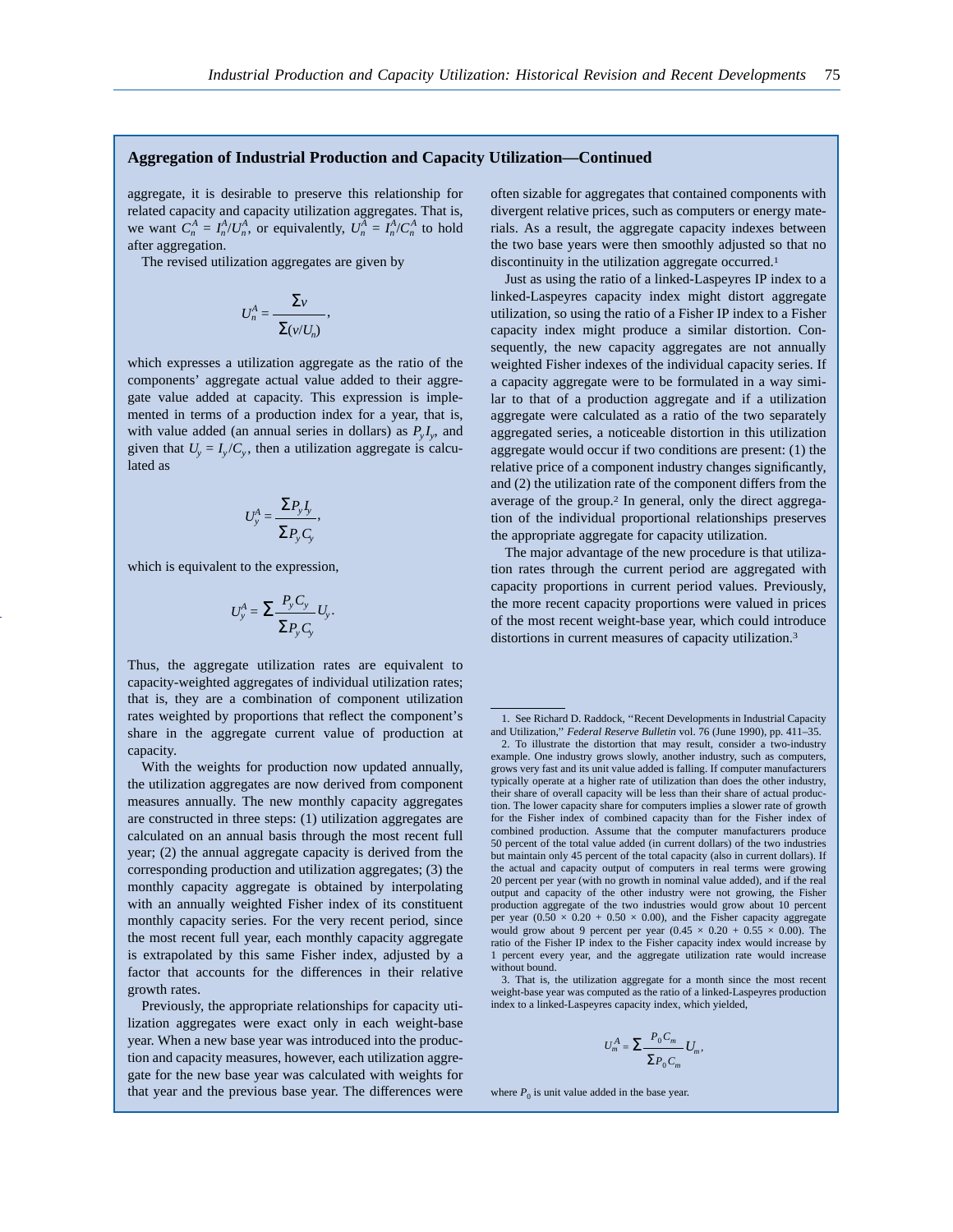## **Aggregation of Industrial Production and Capacity Utilization—Continued**

aggregate, it is desirable to preserve this relationship for related capacity and capacity utilization aggregates. That is, we want  $C_n^A = I_n^A / U_n^A$ , or equivalently,  $U_n^A = I_n^A / C_n^A$  to hold after aggregation.

The revised utilization aggregates are given by

$$
U_n^A = \frac{\sum_{v}}{\sum_{(v/U_n)}}
$$

,

which expresses a utilization aggregate as the ratio of the components' aggregate actual value added to their aggregate value added at capacity. This expression is implemented in terms of a production index for a year, that is, with value added (an annual series in dollars) as  $P_v I_v$ , and given that  $U_y = I_y / C_y$ , then a utilization aggregate is calculated as

$$
U_{y}^{A} = \frac{\sum P_{y} I_{y}}{\sum P_{y} C_{y}},
$$

which is equivalent to the expression,

$$
U_{y}^{A} = \sum \frac{P_{y} C_{y}}{\sum P_{y} C_{y}} U_{y}.
$$

Thus, the aggregate utilization rates are equivalent to capacity-weighted aggregates of individual utilization rates; that is, they are a combination of component utilization rates weighted by proportions that reflect the component's share in the aggregate current value of production at capacity.

With the weights for production now updated annually, the utilization aggregates are now derived from component measures annually. The new monthly capacity aggregates are constructed in three steps: (1) utilization aggregates are calculated on an annual basis through the most recent full year; (2) the annual aggregate capacity is derived from the corresponding production and utilization aggregates; (3) the monthly capacity aggregate is obtained by interpolating with an annually weighted Fisher index of its constituent monthly capacity series. For the very recent period, since the most recent full year, each monthly capacity aggregate is extrapolated by this same Fisher index, adjusted by a factor that accounts for the differences in their relative growth rates.

Previously, the appropriate relationships for capacity utilization aggregates were exact only in each weight-base year. When a new base year was introduced into the production and capacity measures, however, each utilization aggregate for the new base year was calculated with weights for that year and the previous base year. The differences were often sizable for aggregates that contained components with divergent relative prices, such as computers or energy materials. As a result, the aggregate capacity indexes between the two base years were then smoothly adjusted so that no discontinuity in the utilization aggregate occurred.<sup>1</sup>

Just as using the ratio of a linked-Laspeyres IP index to a linked-Laspeyres capacity index might distort aggregate utilization, so using the ratio of a Fisher IP index to a Fisher capacity index might produce a similar distortion. Consequently, the new capacity aggregates are not annually weighted Fisher indexes of the individual capacity series. If a capacity aggregate were to be formulated in a way similar to that of a production aggregate and if a utilization aggregate were calculated as a ratio of the two separately aggregated series, a noticeable distortion in this utilization aggregate would occur if two conditions are present: (1) the relative price of a component industry changes significantly, and (2) the utilization rate of the component differs from the average of the group.2 In general, only the direct aggregation of the individual proportional relationships preserves the appropriate aggregate for capacity utilization.

The major advantage of the new procedure is that utilization rates through the current period are aggregated with capacity proportions in current period values. Previously, the more recent capacity proportions were valued in prices of the most recent weight-base year, which could introduce distortions in current measures of capacity utilization.3

3. That is, the utilization aggregate for a month since the most recent weight-base year was computed as the ratio of a linked-Laspeyres production index to a linked-Laspeyres capacity index, which yielded,

$$
U_m^A = \sum \frac{P_0 C_m}{\sum P_0 C_m} U_m,
$$

where  $P_0$  is unit value added in the base year.

<sup>1.</sup> See Richard D. Raddock, ''Recent Developments in Industrial Capacity and Utilization,'' *Federal Reserve Bulletin* vol. 76 (June 1990), pp. 411–35.

<sup>2.</sup> To illustrate the distortion that may result, consider a two-industry example. One industry grows slowly, another industry, such as computers, grows very fast and its unit value added is falling. If computer manufacturers typically operate at a higher rate of utilization than does the other industry, their share of overall capacity will be less than their share of actual production. The lower capacity share for computers implies a slower rate of growth for the Fisher index of combined capacity than for the Fisher index of combined production. Assume that the computer manufacturers produce 50 percent of the total value added (in current dollars) of the two industries but maintain only 45 percent of the total capacity (also in current dollars). If the actual and capacity output of computers in real terms were growing 20 percent per year (with no growth in nominal value added), and if the real output and capacity of the other industry were not growing, the Fisher production aggregate of the two industries would grow about 10 percent per year  $(0.50 \times 0.20 + 0.50 \times 0.00)$ , and the Fisher capacity aggregate would grow about 9 percent per year  $(0.45 \times 0.20 + 0.55 \times 0.00)$ . The ratio of the Fisher IP index to the Fisher capacity index would increase by 1 percent every year, and the aggregate utilization rate would increase without bound.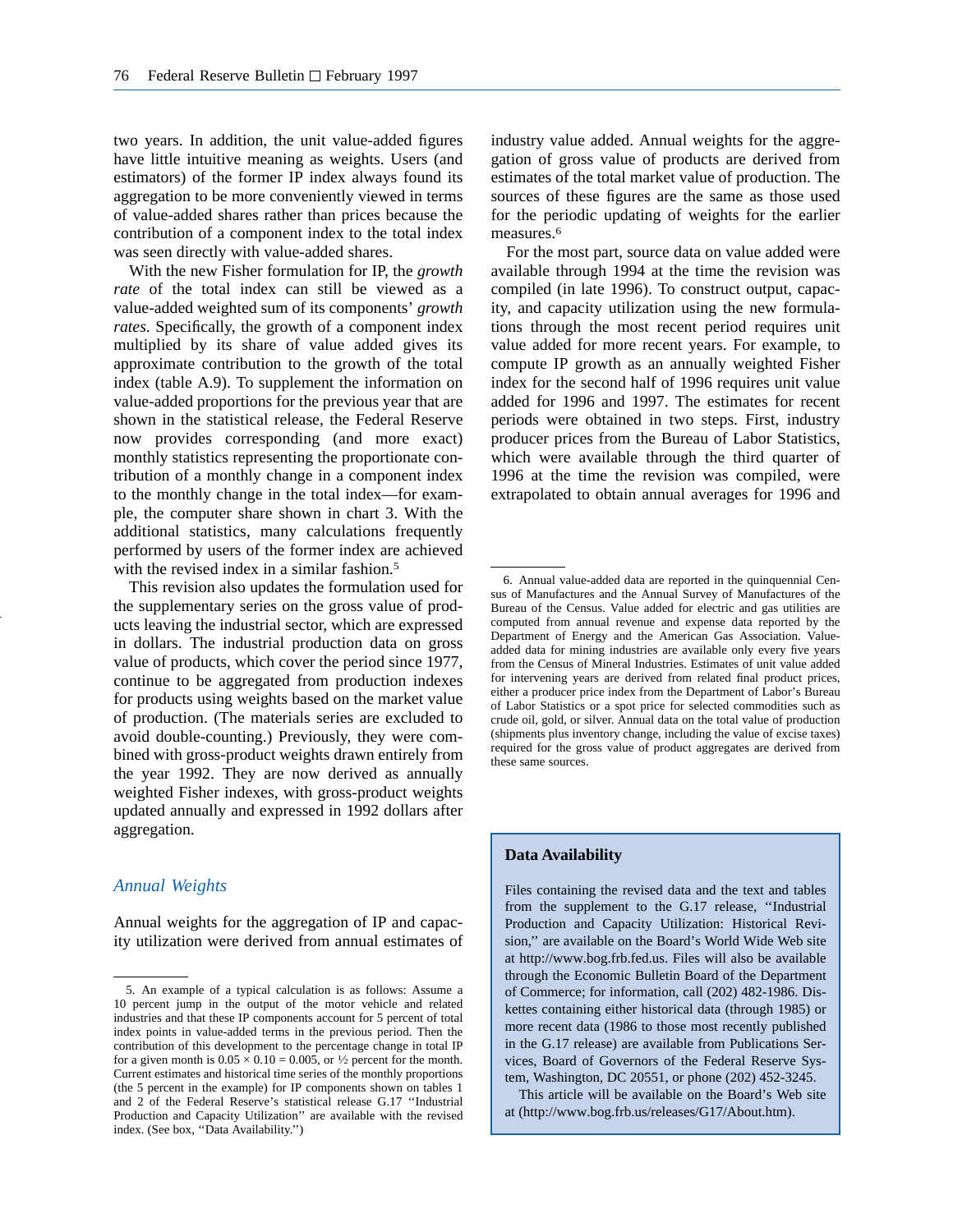two years. In addition, the unit value-added figures have little intuitive meaning as weights. Users (and estimators) of the former IP index always found its aggregation to be more conveniently viewed in terms of value-added shares rather than prices because the contribution of a component index to the total index was seen directly with value-added shares.

With the new Fisher formulation for IP, the *growth rate* of the total index can still be viewed as a value-added weighted sum of its components' *growth rates*. Specifically, the growth of a component index multiplied by its share of value added gives its approximate contribution to the growth of the total index (table A.9). To supplement the information on value-added proportions for the previous year that are shown in the statistical release, the Federal Reserve now provides corresponding (and more exact) monthly statistics representing the proportionate contribution of a monthly change in a component index to the monthly change in the total index—for example, the computer share shown in chart 3. With the additional statistics, many calculations frequently performed by users of the former index are achieved with the revised index in a similar fashion.<sup>5</sup>

This revision also updates the formulation used for the supplementary series on the gross value of products leaving the industrial sector, which are expressed in dollars. The industrial production data on gross value of products, which cover the period since 1977, continue to be aggregated from production indexes for products using weights based on the market value of production. (The materials series are excluded to avoid double-counting.) Previously, they were combined with gross-product weights drawn entirely from the year 1992. They are now derived as annually weighted Fisher indexes, with gross-product weights updated annually and expressed in 1992 dollars after aggregation.

## *Annual Weights*

Annual weights for the aggregation of IP and capacity utilization were derived from annual estimates of industry value added. Annual weights for the aggregation of gross value of products are derived from estimates of the total market value of production. The sources of these figures are the same as those used for the periodic updating of weights for the earlier measures.<sup>6</sup>

For the most part, source data on value added were available through 1994 at the time the revision was compiled (in late 1996). To construct output, capacity, and capacity utilization using the new formulations through the most recent period requires unit value added for more recent years. For example, to compute IP growth as an annually weighted Fisher index for the second half of 1996 requires unit value added for 1996 and 1997. The estimates for recent periods were obtained in two steps. First, industry producer prices from the Bureau of Labor Statistics, which were available through the third quarter of 1996 at the time the revision was compiled, were extrapolated to obtain annual averages for 1996 and

#### **Data Availability**

Files containing the revised data and the text and tables from the supplement to the G.17 release, ''Industrial Production and Capacity Utilization: Historical Revision,'' are available on the Board's World Wide Web site at http://www.bog.frb.fed.us. Files will also be available through the Economic Bulletin Board of the Department of Commerce; for information, call (202) 482-1986. Diskettes containing either historical data (through 1985) or more recent data (1986 to those most recently published in the G.17 release) are available from Publications Services, Board of Governors of the Federal Reserve System, Washington, DC 20551, or phone (202) 452-3245.

This article will be available on the Board's Web site at (http://www.bog.frb.us/releases/G17/About.htm).

<sup>5.</sup> An example of a typical calculation is as follows: Assume a 10 percent jump in the output of the motor vehicle and related industries and that these IP components account for 5 percent of total index points in value-added terms in the previous period. Then the contribution of this development to the percentage change in total IP for a given month is  $0.05 \times 0.10 = 0.005$ , or  $\frac{1}{2}$  percent for the month. Current estimates and historical time series of the monthly proportions (the 5 percent in the example) for IP components shown on tables 1 and 2 of the Federal Reserve's statistical release G.17 ''Industrial Production and Capacity Utilization'' are available with the revised index. (See box, ''Data Availability.'')

<sup>6.</sup> Annual value-added data are reported in the quinquennial Census of Manufactures and the Annual Survey of Manufactures of the Bureau of the Census. Value added for electric and gas utilities are computed from annual revenue and expense data reported by the Department of Energy and the American Gas Association. Valueadded data for mining industries are available only every five years from the Census of Mineral Industries. Estimates of unit value added for intervening years are derived from related final product prices, either a producer price index from the Department of Labor's Bureau of Labor Statistics or a spot price for selected commodities such as crude oil, gold, or silver. Annual data on the total value of production (shipments plus inventory change, including the value of excise taxes) required for the gross value of product aggregates are derived from these same sources.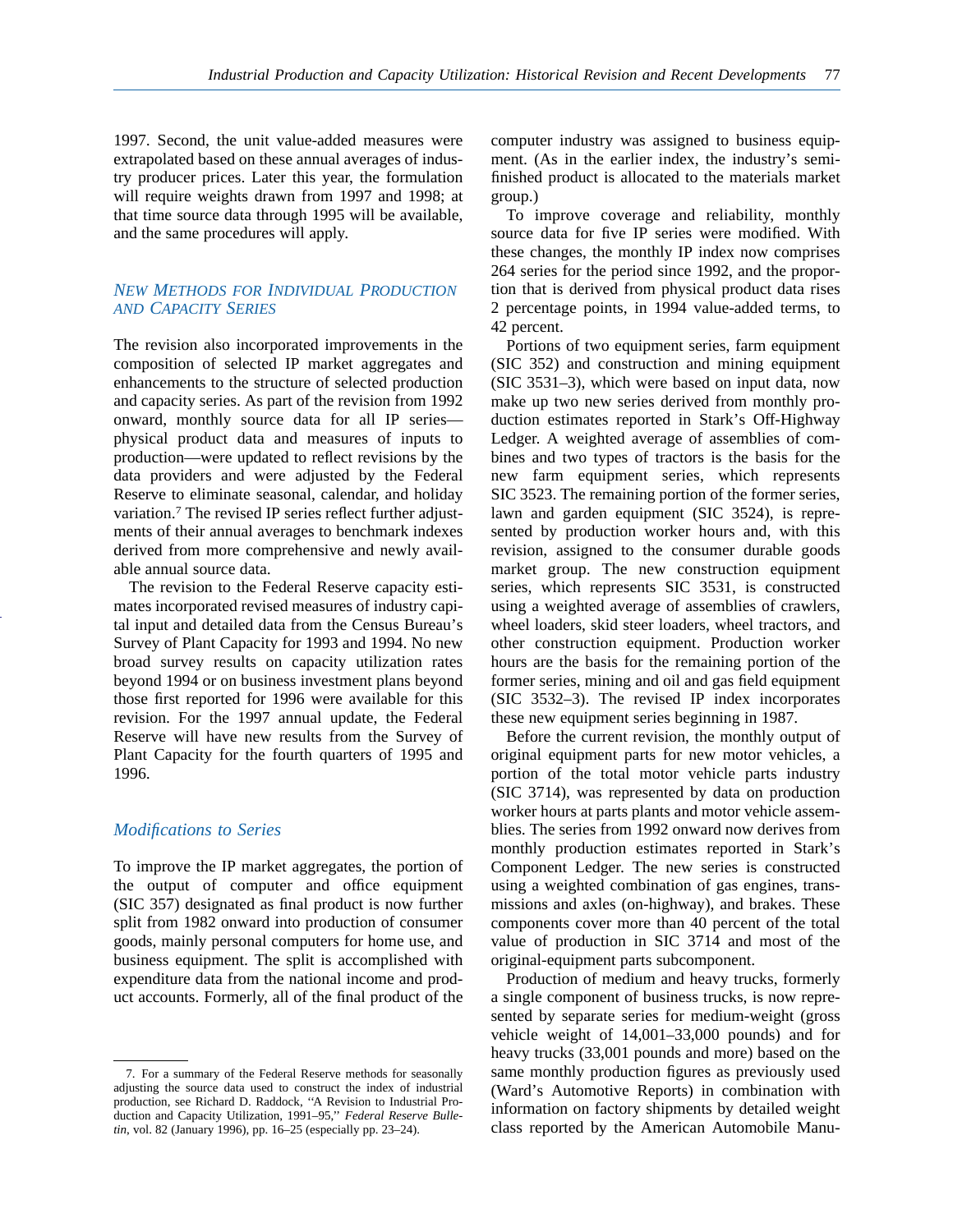1997. Second, the unit value-added measures were extrapolated based on these annual averages of industry producer prices. Later this year, the formulation will require weights drawn from 1997 and 1998; at that time source data through 1995 will be available, and the same procedures will apply.

## *NEW METHODS FOR INDIVIDUAL PRODUCTION AND CAPACITY SERIES*

The revision also incorporated improvements in the composition of selected IP market aggregates and enhancements to the structure of selected production and capacity series. As part of the revision from 1992 onward, monthly source data for all IP series physical product data and measures of inputs to production—were updated to reflect revisions by the data providers and were adjusted by the Federal Reserve to eliminate seasonal, calendar, and holiday variation.7 The revised IP series reflect further adjustments of their annual averages to benchmark indexes derived from more comprehensive and newly available annual source data.

The revision to the Federal Reserve capacity estimates incorporated revised measures of industry capital input and detailed data from the Census Bureau's Survey of Plant Capacity for 1993 and 1994. No new broad survey results on capacity utilization rates beyond 1994 or on business investment plans beyond those first reported for 1996 were available for this revision. For the 1997 annual update, the Federal Reserve will have new results from the Survey of Plant Capacity for the fourth quarters of 1995 and 1996.

## *Modifications to Series*

To improve the IP market aggregates, the portion of the output of computer and office equipment (SIC 357) designated as final product is now further split from 1982 onward into production of consumer goods, mainly personal computers for home use, and business equipment. The split is accomplished with expenditure data from the national income and product accounts. Formerly, all of the final product of the

computer industry was assigned to business equipment. (As in the earlier index, the industry's semifinished product is allocated to the materials market group.)

To improve coverage and reliability, monthly source data for five IP series were modified. With these changes, the monthly IP index now comprises 264 series for the period since 1992, and the proportion that is derived from physical product data rises 2 percentage points, in 1994 value-added terms, to 42 percent.

Portions of two equipment series, farm equipment (SIC 352) and construction and mining equipment (SIC 3531–3), which were based on input data, now make up two new series derived from monthly production estimates reported in Stark's Off-Highway Ledger. A weighted average of assemblies of combines and two types of tractors is the basis for the new farm equipment series, which represents SIC 3523. The remaining portion of the former series, lawn and garden equipment (SIC 3524), is represented by production worker hours and, with this revision, assigned to the consumer durable goods market group. The new construction equipment series, which represents SIC 3531, is constructed using a weighted average of assemblies of crawlers, wheel loaders, skid steer loaders, wheel tractors, and other construction equipment. Production worker hours are the basis for the remaining portion of the former series, mining and oil and gas field equipment (SIC 3532–3). The revised IP index incorporates these new equipment series beginning in 1987.

Before the current revision, the monthly output of original equipment parts for new motor vehicles, a portion of the total motor vehicle parts industry (SIC 3714), was represented by data on production worker hours at parts plants and motor vehicle assemblies. The series from 1992 onward now derives from monthly production estimates reported in Stark's Component Ledger. The new series is constructed using a weighted combination of gas engines, transmissions and axles (on-highway), and brakes. These components cover more than 40 percent of the total value of production in SIC 3714 and most of the original-equipment parts subcomponent.

Production of medium and heavy trucks, formerly a single component of business trucks, is now represented by separate series for medium-weight (gross vehicle weight of 14,001–33,000 pounds) and for heavy trucks (33,001 pounds and more) based on the same monthly production figures as previously used (Ward's Automotive Reports) in combination with information on factory shipments by detailed weight class reported by the American Automobile Manu-

<sup>7.</sup> For a summary of the Federal Reserve methods for seasonally adjusting the source data used to construct the index of industrial production, see Richard D. Raddock, ''A Revision to Industrial Production and Capacity Utilization, 1991–95,'' *Federal Reserve Bulletin*, vol. 82 (January 1996), pp. 16–25 (especially pp. 23–24).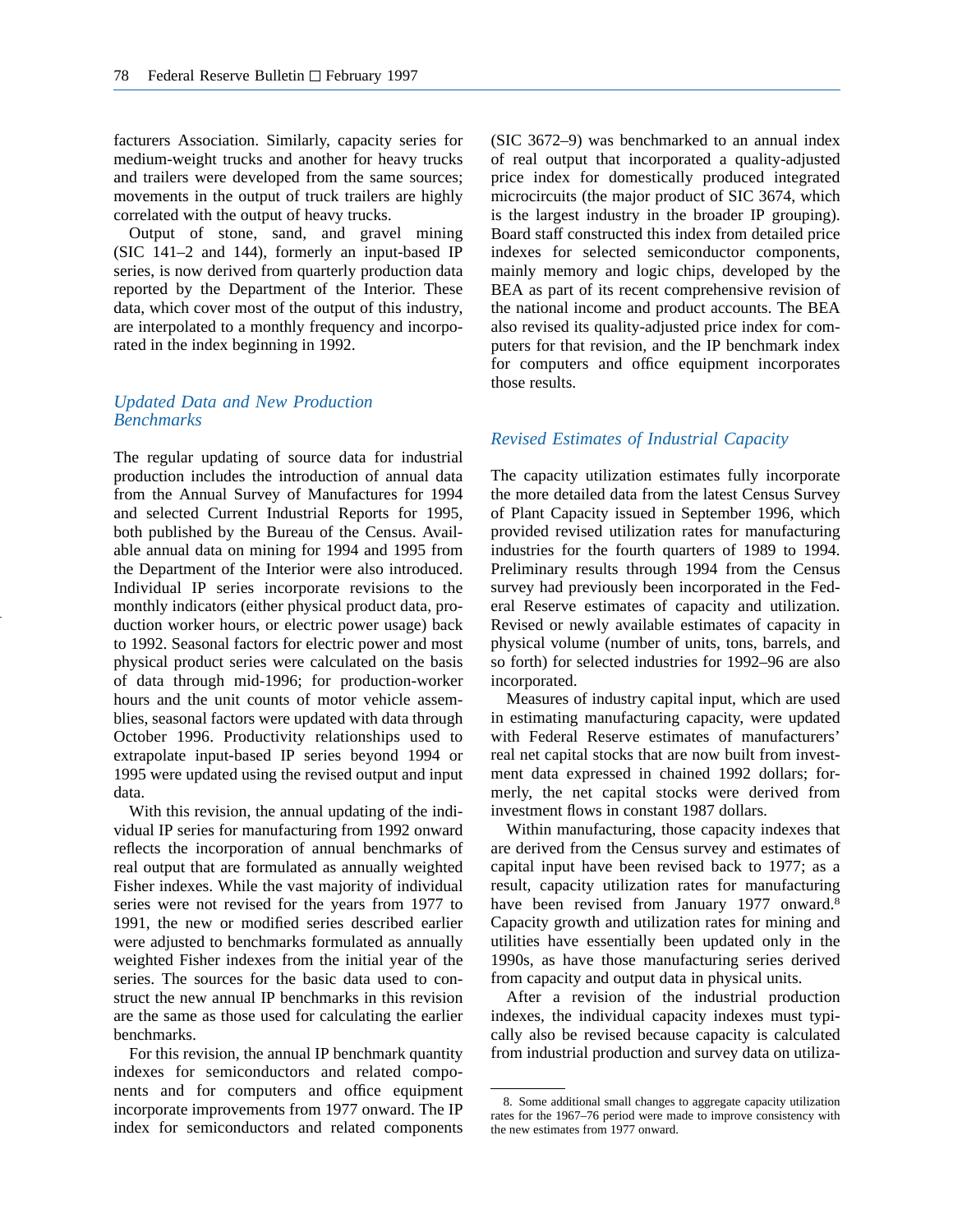facturers Association. Similarly, capacity series for medium-weight trucks and another for heavy trucks and trailers were developed from the same sources; movements in the output of truck trailers are highly correlated with the output of heavy trucks.

Output of stone, sand, and gravel mining (SIC 141–2 and 144), formerly an input-based IP series, is now derived from quarterly production data reported by the Department of the Interior. These data, which cover most of the output of this industry, are interpolated to a monthly frequency and incorporated in the index beginning in 1992.

# *Updated Data and New Production Benchmarks*

The regular updating of source data for industrial production includes the introduction of annual data from the Annual Survey of Manufactures for 1994 and selected Current Industrial Reports for 1995, both published by the Bureau of the Census. Available annual data on mining for 1994 and 1995 from the Department of the Interior were also introduced. Individual IP series incorporate revisions to the monthly indicators (either physical product data, production worker hours, or electric power usage) back to 1992. Seasonal factors for electric power and most physical product series were calculated on the basis of data through mid-1996; for production-worker hours and the unit counts of motor vehicle assemblies, seasonal factors were updated with data through October 1996. Productivity relationships used to extrapolate input-based IP series beyond 1994 or 1995 were updated using the revised output and input data.

With this revision, the annual updating of the individual IP series for manufacturing from 1992 onward reflects the incorporation of annual benchmarks of real output that are formulated as annually weighted Fisher indexes. While the vast majority of individual series were not revised for the years from 1977 to 1991, the new or modified series described earlier were adjusted to benchmarks formulated as annually weighted Fisher indexes from the initial year of the series. The sources for the basic data used to construct the new annual IP benchmarks in this revision are the same as those used for calculating the earlier benchmarks.

For this revision, the annual IP benchmark quantity indexes for semiconductors and related components and for computers and office equipment incorporate improvements from 1977 onward. The IP index for semiconductors and related components (SIC 3672–9) was benchmarked to an annual index of real output that incorporated a quality-adjusted price index for domestically produced integrated microcircuits (the major product of SIC 3674, which is the largest industry in the broader IP grouping). Board staff constructed this index from detailed price indexes for selected semiconductor components, mainly memory and logic chips, developed by the BEA as part of its recent comprehensive revision of the national income and product accounts. The BEA also revised its quality-adjusted price index for computers for that revision, and the IP benchmark index for computers and office equipment incorporates those results.

## *Revised Estimates of Industrial Capacity*

The capacity utilization estimates fully incorporate the more detailed data from the latest Census Survey of Plant Capacity issued in September 1996, which provided revised utilization rates for manufacturing industries for the fourth quarters of 1989 to 1994. Preliminary results through 1994 from the Census survey had previously been incorporated in the Federal Reserve estimates of capacity and utilization. Revised or newly available estimates of capacity in physical volume (number of units, tons, barrels, and so forth) for selected industries for 1992–96 are also incorporated.

Measures of industry capital input, which are used in estimating manufacturing capacity, were updated with Federal Reserve estimates of manufacturers' real net capital stocks that are now built from investment data expressed in chained 1992 dollars; formerly, the net capital stocks were derived from investment flows in constant 1987 dollars.

Within manufacturing, those capacity indexes that are derived from the Census survey and estimates of capital input have been revised back to 1977; as a result, capacity utilization rates for manufacturing have been revised from January 1977 onward.<sup>8</sup> Capacity growth and utilization rates for mining and utilities have essentially been updated only in the 1990s, as have those manufacturing series derived from capacity and output data in physical units.

After a revision of the industrial production indexes, the individual capacity indexes must typically also be revised because capacity is calculated from industrial production and survey data on utiliza-

<sup>8.</sup> Some additional small changes to aggregate capacity utilization rates for the 1967–76 period were made to improve consistency with the new estimates from 1977 onward.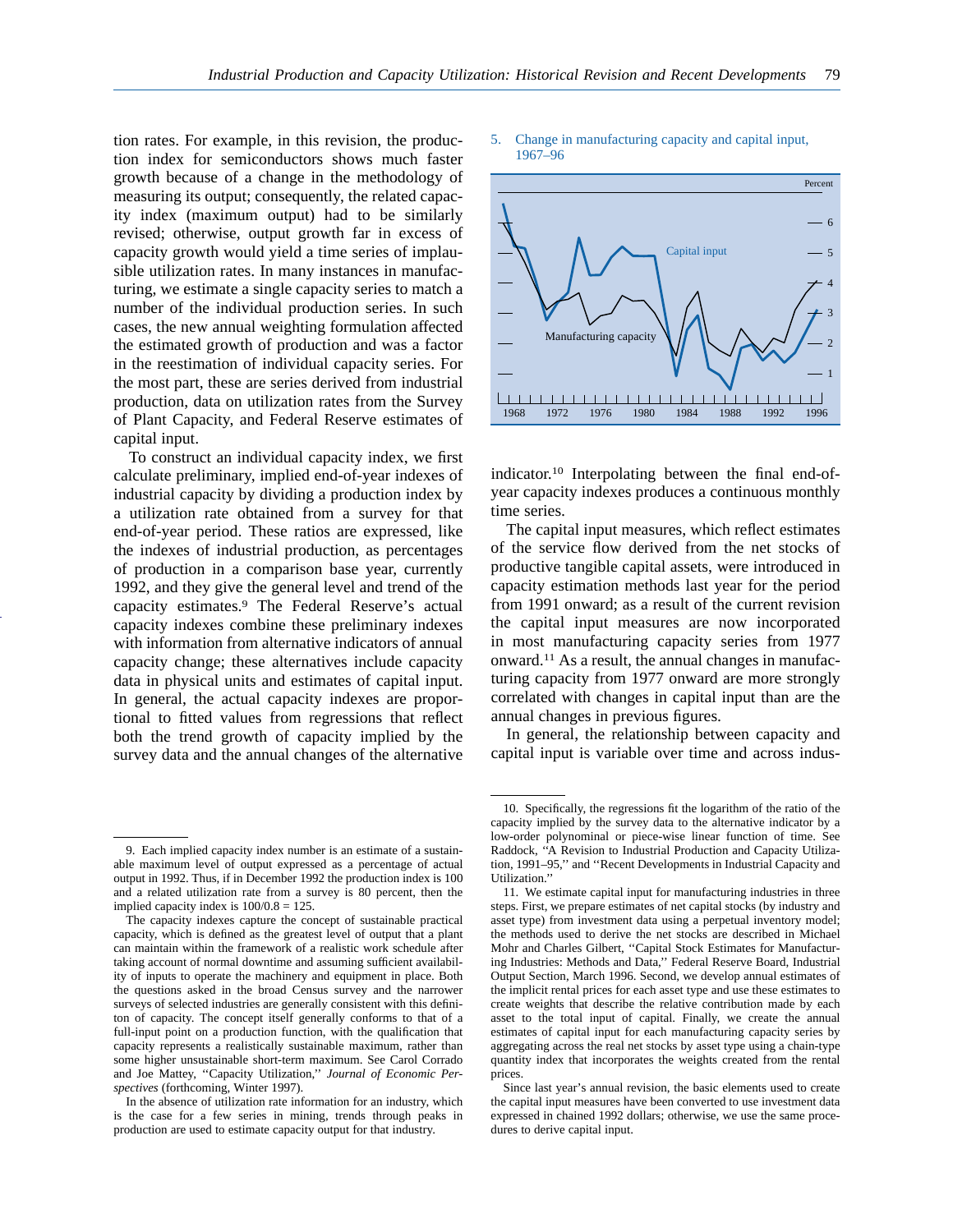tion rates. For example, in this revision, the production index for semiconductors shows much faster growth because of a change in the methodology of measuring its output; consequently, the related capacity index (maximum output) had to be similarly revised; otherwise, output growth far in excess of capacity growth would yield a time series of implausible utilization rates. In many instances in manufacturing, we estimate a single capacity series to match a number of the individual production series. In such cases, the new annual weighting formulation affected the estimated growth of production and was a factor in the reestimation of individual capacity series. For the most part, these are series derived from industrial production, data on utilization rates from the Survey of Plant Capacity, and Federal Reserve estimates of capital input.

To construct an individual capacity index, we first calculate preliminary, implied end-of-year indexes of industrial capacity by dividing a production index by a utilization rate obtained from a survey for that end-of-year period. These ratios are expressed, like the indexes of industrial production, as percentages of production in a comparison base year, currently 1992, and they give the general level and trend of the capacity estimates.9 The Federal Reserve's actual capacity indexes combine these preliminary indexes with information from alternative indicators of annual capacity change; these alternatives include capacity data in physical units and estimates of capital input. In general, the actual capacity indexes are proportional to fitted values from regressions that reflect both the trend growth of capacity implied by the survey data and the annual changes of the alternative

#### 5. Change in manufacturing capacity and capital input, 1967–96



indicator.10 Interpolating between the final end-ofyear capacity indexes produces a continuous monthly time series.

The capital input measures, which reflect estimates of the service flow derived from the net stocks of productive tangible capital assets, were introduced in capacity estimation methods last year for the period from 1991 onward; as a result of the current revision the capital input measures are now incorporated in most manufacturing capacity series from 1977 onward.11 As a result, the annual changes in manufacturing capacity from 1977 onward are more strongly correlated with changes in capital input than are the annual changes in previous figures.

In general, the relationship between capacity and capital input is variable over time and across indus-

<sup>9.</sup> Each implied capacity index number is an estimate of a sustainable maximum level of output expressed as a percentage of actual output in 1992. Thus, if in December 1992 the production index is 100 and a related utilization rate from a survey is 80 percent, then the implied capacity index is 100/0.8 = 125.

The capacity indexes capture the concept of sustainable practical capacity, which is defined as the greatest level of output that a plant can maintain within the framework of a realistic work schedule after taking account of normal downtime and assuming sufficient availability of inputs to operate the machinery and equipment in place. Both the questions asked in the broad Census survey and the narrower surveys of selected industries are generally consistent with this definiton of capacity. The concept itself generally conforms to that of a full-input point on a production function, with the qualification that capacity represents a realistically sustainable maximum, rather than some higher unsustainable short-term maximum. See Carol Corrado and Joe Mattey, ''Capacity Utilization,'' *Journal of Economic Perspectives* (forthcoming, Winter 1997).

In the absence of utilization rate information for an industry, which is the case for a few series in mining, trends through peaks in production are used to estimate capacity output for that industry.

<sup>10.</sup> Specifically, the regressions fit the logarithm of the ratio of the capacity implied by the survey data to the alternative indicator by a low-order polynominal or piece-wise linear function of time. See Raddock, ''A Revision to Industrial Production and Capacity Utilization, 1991–95,'' and ''Recent Developments in Industrial Capacity and Utilization.''

<sup>11.</sup> We estimate capital input for manufacturing industries in three steps. First, we prepare estimates of net capital stocks (by industry and asset type) from investment data using a perpetual inventory model; the methods used to derive the net stocks are described in Michael Mohr and Charles Gilbert, ''Capital Stock Estimates for Manufacturing Industries: Methods and Data,'' Federal Reserve Board, Industrial Output Section, March 1996. Second, we develop annual estimates of the implicit rental prices for each asset type and use these estimates to create weights that describe the relative contribution made by each asset to the total input of capital. Finally, we create the annual estimates of capital input for each manufacturing capacity series by aggregating across the real net stocks by asset type using a chain-type quantity index that incorporates the weights created from the rental prices.

Since last year's annual revision, the basic elements used to create the capital input measures have been converted to use investment data expressed in chained 1992 dollars; otherwise, we use the same procedures to derive capital input.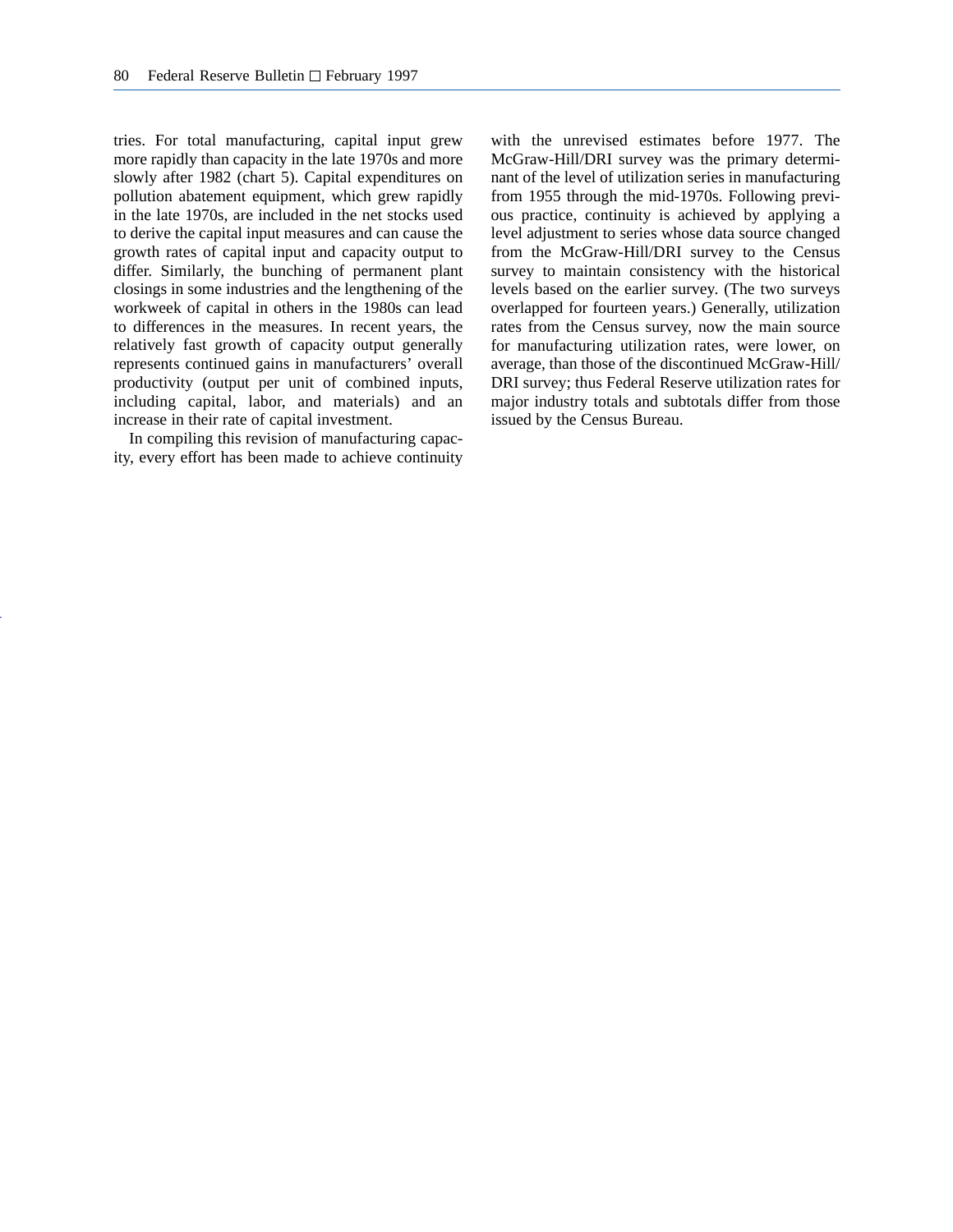tries. For total manufacturing, capital input grew more rapidly than capacity in the late 1970s and more slowly after 1982 (chart 5). Capital expenditures on pollution abatement equipment, which grew rapidly in the late 1970s, are included in the net stocks used to derive the capital input measures and can cause the growth rates of capital input and capacity output to differ. Similarly, the bunching of permanent plant closings in some industries and the lengthening of the workweek of capital in others in the 1980s can lead to differences in the measures. In recent years, the relatively fast growth of capacity output generally represents continued gains in manufacturers' overall productivity (output per unit of combined inputs, including capital, labor, and materials) and an increase in their rate of capital investment.

In compiling this revision of manufacturing capacity, every effort has been made to achieve continuity with the unrevised estimates before 1977. The McGraw-Hill/DRI survey was the primary determinant of the level of utilization series in manufacturing from 1955 through the mid-1970s. Following previous practice, continuity is achieved by applying a level adjustment to series whose data source changed from the McGraw-Hill/DRI survey to the Census survey to maintain consistency with the historical levels based on the earlier survey. (The two surveys overlapped for fourteen years.) Generally, utilization rates from the Census survey, now the main source for manufacturing utilization rates, were lower, on average, than those of the discontinued McGraw-Hill/ DRI survey; thus Federal Reserve utilization rates for major industry totals and subtotals differ from those issued by the Census Bureau.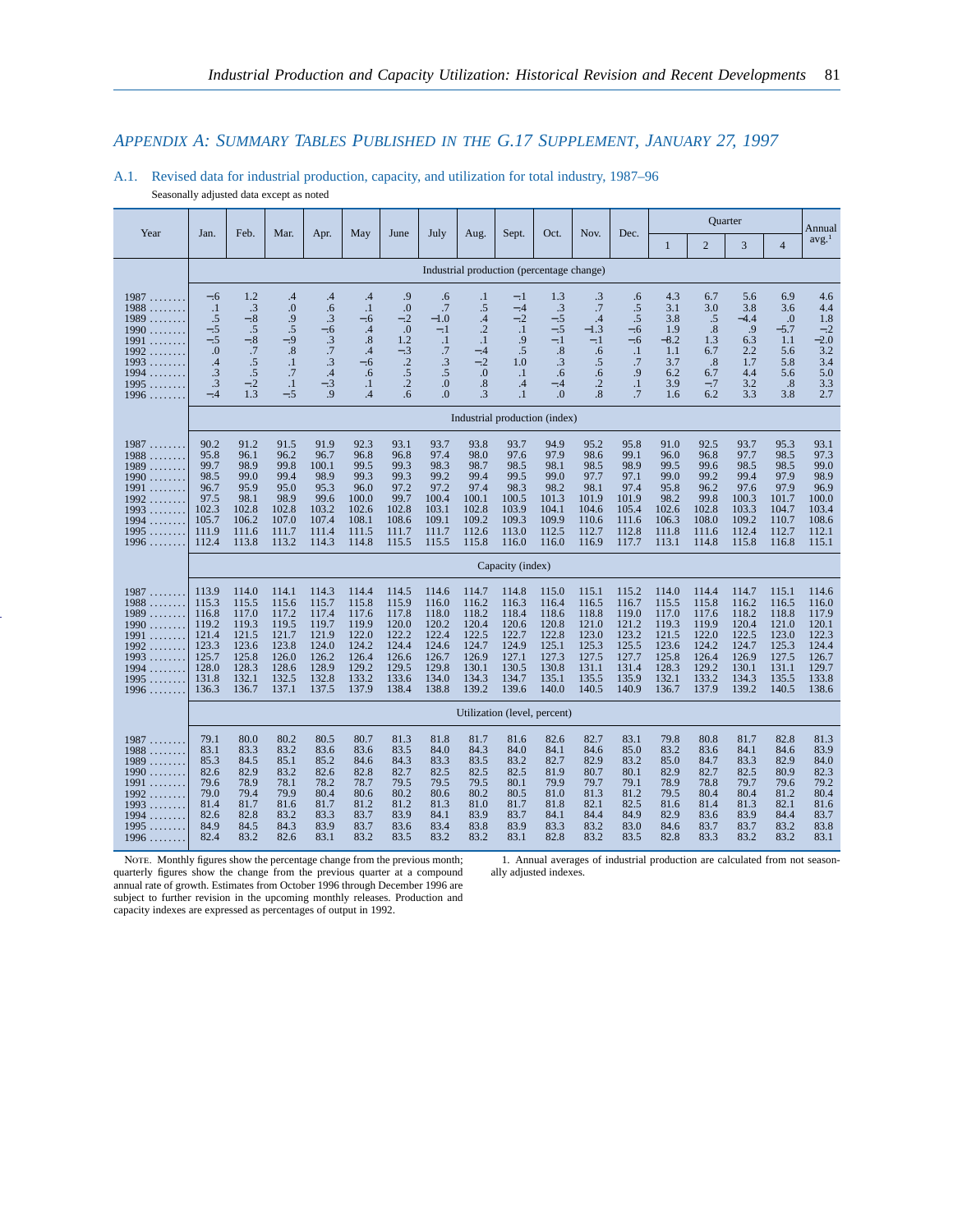# *APPENDIX A: SUMMARY TABLES PUBLISHED IN THE G.17 SUPPLEMENT, JANUARY 27, 1997*

# A.1. Revised data for industrial production, capacity, and utilization for total industry, 1987–96

Seasonally adjusted data except as noted

|                                                                                                                                                                                                                                               |                                                                                         |                                                                                        |                                                                                        |                                                                                        |                                                                                        |                                                                                              |                                                                                        |                                                                                            |                                                                                        |                                                                                        |                                                                                        |                                                                                        |                                                                                        |                                                                                        | <b>Quarter</b>                                                                         |                                                                                        | Annual                                                                                 |
|-----------------------------------------------------------------------------------------------------------------------------------------------------------------------------------------------------------------------------------------------|-----------------------------------------------------------------------------------------|----------------------------------------------------------------------------------------|----------------------------------------------------------------------------------------|----------------------------------------------------------------------------------------|----------------------------------------------------------------------------------------|----------------------------------------------------------------------------------------------|----------------------------------------------------------------------------------------|--------------------------------------------------------------------------------------------|----------------------------------------------------------------------------------------|----------------------------------------------------------------------------------------|----------------------------------------------------------------------------------------|----------------------------------------------------------------------------------------|----------------------------------------------------------------------------------------|----------------------------------------------------------------------------------------|----------------------------------------------------------------------------------------|----------------------------------------------------------------------------------------|----------------------------------------------------------------------------------------|
| Year                                                                                                                                                                                                                                          | Jan.                                                                                    | Feb.                                                                                   | Mar.                                                                                   | Apr.                                                                                   | May                                                                                    | June                                                                                         | July                                                                                   | Aug.                                                                                       | Sept.                                                                                  | Oct.                                                                                   | Nov.                                                                                   | Dec.                                                                                   | 1                                                                                      | $\overline{2}$                                                                         | 3                                                                                      | $\overline{4}$                                                                         | avg. <sup>1</sup>                                                                      |
|                                                                                                                                                                                                                                               |                                                                                         |                                                                                        |                                                                                        |                                                                                        |                                                                                        |                                                                                              |                                                                                        |                                                                                            | Industrial production (percentage change)                                              |                                                                                        |                                                                                        |                                                                                        |                                                                                        |                                                                                        |                                                                                        |                                                                                        |                                                                                        |
| 1987<br>.<br>1988<br>.<br>1989<br>.<br>1990<br>.<br>1991<br>.<br>1992<br>.<br>1993<br>1994<br>.<br>1995<br>.<br>1996                                                                                                                          | $-.6$<br>$\cdot$<br>.5<br>$-.5$<br>$-.5$<br>0.<br>.4<br>$\cdot$ 3<br>$\cdot$ 3<br>$-.4$ | 1.2<br>$\cdot$ 3<br>$-.8$<br>.5<br>$-.8$<br>.7<br>.5<br>.5<br>$-.2$<br>1.3             | .4<br>$\boldsymbol{0}$<br>.9<br>.5<br>$-9$<br>.8<br>$\cdot$<br>.7<br>$\cdot$<br>$-.5$  | .4<br>.6<br>.3<br>$-.6$<br>.3<br>.7<br>$\cdot$ 3<br>$\cdot$ 4<br>$-.3$<br>.9           | .4<br>$\cdot$ 1<br>$-.6$<br>.4<br>.8<br>.4<br>$-.6$<br>.6<br>$\cdot$<br>.4             | .9<br>$\cdot$<br>$-.2$<br>$\overline{0}$ .<br>1.2<br>$-.3$<br>$\cdot$<br>.5<br>$\cdot$<br>.6 | .6<br>.7<br>$-1.0$<br>$-.1$<br>$\cdot$ 1<br>.7<br>.3<br>$.5\,$<br>$\Omega$<br>$\Omega$ | $\cdot$<br>.5<br>.4<br>$\cdot$<br>$\cdot$<br>$-.4$<br>$-.2$<br>$\Omega$<br>.8<br>$\cdot$ 3 | $-.1$<br>$-.4$<br>$-.2$<br>$\cdot$ 1<br>.9<br>.5<br>1.0<br>$\cdot$<br>.4<br>$\cdot$ 1  | 1.3<br>.3<br>$-.5$<br>$-.5$<br>$-.1$<br>.8<br>.3<br>.6<br>$-.4$<br>$\Omega$            | $\cdot$ 3<br>.7<br>.4<br>$-1.3$<br>$-.1$<br>.6<br>.5<br>.6<br>$\cdot$ .2<br>.8         | .6<br>.5<br>.5<br>$-.6$<br>$-.6$<br>$\cdot$<br>.7<br>.9<br>$\cdot$<br>.7               | 4.3<br>3.1<br>3.8<br>1.9<br>$-8.2$<br>1.1<br>3.7<br>6.2<br>3.9<br>1.6                  | 6.7<br>3.0<br>.5<br>.8<br>1.3<br>6.7<br>.8<br>6.7<br>$-.7$<br>6.2                      | 5.6<br>3.8<br>$-4.4$<br>.9<br>6.3<br>2.2<br>1.7<br>4.4<br>3.2<br>3.3                   | 6.9<br>3.6<br>$\cdot$<br>$-5.7$<br>1.1<br>5.6<br>5.8<br>5.6<br>.8<br>3.8               | 4.6<br>4.4<br>1.8<br>$-.2$<br>$-2.0$<br>3.2<br>3.4<br>5.0<br>3.3<br>2.7                |
|                                                                                                                                                                                                                                               |                                                                                         |                                                                                        |                                                                                        |                                                                                        |                                                                                        |                                                                                              |                                                                                        |                                                                                            | Industrial production (index)                                                          |                                                                                        |                                                                                        |                                                                                        |                                                                                        |                                                                                        |                                                                                        |                                                                                        |                                                                                        |
| 1987<br>1988<br>1.1.1.1.1.1<br>1989<br>.<br>1990<br>.<br>1991<br>.<br>1992<br>1993<br>1994<br>1995<br>.<br>1996                                                                                                                               | 90.2<br>95.8<br>99.7<br>98.5<br>96.7<br>97.5<br>102.3<br>105.7<br>111.9<br>112.4        | 91.2<br>96.1<br>98.9<br>99.0<br>95.9<br>98.1<br>102.8<br>106.2<br>111.6<br>113.8       | 91.5<br>96.2<br>99.8<br>99.4<br>95.0<br>98.9<br>102.8<br>107.0<br>111.7<br>113.2       | 91.9<br>96.7<br>100.1<br>98.9<br>95.3<br>99.6<br>103.2<br>107.4<br>111.4<br>114.3      | 92.3<br>96.8<br>99.5<br>99.3<br>96.0<br>100.0<br>102.6<br>108.1<br>111.5<br>114.8      | 93.1<br>96.8<br>99.3<br>99.3<br>97.2<br>99.7<br>102.8<br>108.6<br>111.7<br>115.5             | 93.7<br>97.4<br>98.3<br>99.2<br>97.2<br>100.4<br>103.1<br>109.1<br>111.7<br>115.5      | 93.8<br>98.0<br>98.7<br>99.4<br>97.4<br>100.1<br>102.8<br>109.2<br>112.6<br>115.8          | 93.7<br>97.6<br>98.5<br>99.5<br>98.3<br>100.5<br>103.9<br>109.3<br>113.0<br>116.0      | 94.9<br>97.9<br>98.1<br>99.0<br>98.2<br>101.3<br>104.1<br>109.9<br>112.5<br>116.0      | 95.2<br>98.6<br>98.5<br>97.7<br>98.1<br>101.9<br>104.6<br>110.6<br>112.7<br>116.9      | 95.8<br>99.1<br>98.9<br>97.1<br>97.4<br>101.9<br>105.4<br>111.6<br>112.8<br>117.7      | 91.0<br>96.0<br>99.5<br>99.0<br>95.8<br>98.2<br>102.6<br>106.3<br>111.8<br>113.1       | 92.5<br>96.8<br>99.6<br>99.2<br>96.2<br>99.8<br>102.8<br>108.0<br>111.6<br>114.8       | 93.7<br>97.7<br>98.5<br>99.4<br>97.6<br>100.3<br>103.3<br>109.2<br>112.4<br>115.8      | 95.3<br>98.5<br>98.5<br>97.9<br>97.9<br>101.7<br>104.7<br>110.7<br>112.7<br>116.8      | 93.1<br>97.3<br>99.0<br>98.9<br>96.9<br>100.0<br>103.4<br>108.6<br>112.1<br>115.1      |
|                                                                                                                                                                                                                                               |                                                                                         |                                                                                        |                                                                                        |                                                                                        |                                                                                        |                                                                                              |                                                                                        |                                                                                            | Capacity (index)                                                                       |                                                                                        |                                                                                        |                                                                                        |                                                                                        |                                                                                        |                                                                                        |                                                                                        |                                                                                        |
| 1987<br>.<br>1988<br>.<br>1989<br>.<br>1990<br>.<br>1991<br>.<br>1992<br>1993<br>.<br>1994<br>.<br>1995<br>.<br>1996<br><b>Contract Contract Contract Contract Contract Contract Contract Contract Contract Contract Contract Contract Co</b> | 113.9<br>115.3<br>116.8<br>119.2<br>121.4<br>123.3<br>125.7<br>128.0<br>131.8<br>136.3  | 114.0<br>115.5<br>117.0<br>119.3<br>121.5<br>123.6<br>125.8<br>128.3<br>132.1<br>136.7 | 114.1<br>115.6<br>117.2<br>119.5<br>121.7<br>123.8<br>126.0<br>128.6<br>132.5<br>137.1 | 114.3<br>115.7<br>117.4<br>119.7<br>121.9<br>124.0<br>126.2<br>128.9<br>132.8<br>137.5 | 114.4<br>115.8<br>117.6<br>119.9<br>122.0<br>124.2<br>126.4<br>129.2<br>133.2<br>137.9 | 114.5<br>115.9<br>117.8<br>120.0<br>122.2<br>124.4<br>126.6<br>129.5<br>133.6<br>138.4       | 114.6<br>116.0<br>118.0<br>120.2<br>122.4<br>124.6<br>126.7<br>129.8<br>134.0<br>138.8 | 114.7<br>116.2<br>118.2<br>120.4<br>122.5<br>124.7<br>126.9<br>130.1<br>134.3<br>139.2     | 114.8<br>116.3<br>118.4<br>120.6<br>122.7<br>124.9<br>127.1<br>130.5<br>134.7<br>139.6 | 115.0<br>116.4<br>118.6<br>120.8<br>122.8<br>125.1<br>127.3<br>130.8<br>135.1<br>140.0 | 115.1<br>116.5<br>118.8<br>121.0<br>123.0<br>125.3<br>127.5<br>131.1<br>135.5<br>140.5 | 115.2<br>116.7<br>119.0<br>121.2<br>123.2<br>125.5<br>127.7<br>131.4<br>135.9<br>140.9 | 114.0<br>115.5<br>117.0<br>119.3<br>121.5<br>123.6<br>125.8<br>128.3<br>132.1<br>136.7 | 114.4<br>115.8<br>117.6<br>119.9<br>122.0<br>124.2<br>126.4<br>129.2<br>133.2<br>137.9 | 114.7<br>116.2<br>118.2<br>120.4<br>122.5<br>124.7<br>126.9<br>130.1<br>134.3<br>139.2 | 115.1<br>116.5<br>118.8<br>121.0<br>123.0<br>125.3<br>127.5<br>131.1<br>135.5<br>140.5 | 114.6<br>116.0<br>117.9<br>120.1<br>122.3<br>124.4<br>126.7<br>129.7<br>133.8<br>138.6 |
|                                                                                                                                                                                                                                               |                                                                                         |                                                                                        |                                                                                        |                                                                                        |                                                                                        |                                                                                              |                                                                                        |                                                                                            | Utilization (level, percent)                                                           |                                                                                        |                                                                                        |                                                                                        |                                                                                        |                                                                                        |                                                                                        |                                                                                        |                                                                                        |
| 1987<br>.<br>1988<br>.<br>1989<br>.<br>1990<br>.<br>1991<br>.<br>1992<br>1993<br>1994<br>.<br>1995<br>1996                                                                                                                                    | 79.1<br>83.1<br>85.3<br>82.6<br>79.6<br>79.0<br>81.4<br>82.6<br>84.9<br>82.4            | 80.0<br>83.3<br>84.5<br>82.9<br>78.9<br>79.4<br>81.7<br>82.8<br>84.5<br>83.2           | 80.2<br>83.2<br>85.1<br>83.2<br>78.1<br>79.9<br>81.6<br>83.2<br>84.3<br>82.6           | 80.5<br>83.6<br>85.2<br>82.6<br>78.2<br>80.4<br>81.7<br>83.3<br>83.9<br>83.1           | 80.7<br>83.6<br>84.6<br>82.8<br>78.7<br>80.6<br>81.2<br>83.7<br>83.7<br>83.2           | 81.3<br>83.5<br>84.3<br>82.7<br>79.5<br>80.2<br>81.2<br>83.9<br>83.6<br>83.5                 | 81.8<br>84.0<br>83.3<br>82.5<br>79.5<br>80.6<br>81.3<br>84.1<br>83.4<br>83.2           | 81.7<br>84.3<br>83.5<br>82.5<br>79.5<br>80.2<br>81.0<br>83.9<br>83.8<br>83.2               | 81.6<br>84.0<br>83.2<br>82.5<br>80.1<br>80.5<br>81.7<br>83.7<br>83.9<br>83.1           | 82.6<br>84.1<br>82.7<br>81.9<br>79.9<br>81.0<br>81.8<br>84.1<br>83.3<br>82.8           | 82.7<br>84.6<br>82.9<br>80.7<br>79.7<br>81.3<br>82.1<br>84.4<br>83.2<br>83.2           | 83.1<br>85.0<br>83.2<br>80.1<br>79.1<br>81.2<br>82.5<br>84.9<br>83.0<br>83.5           | 79.8<br>83.2<br>85.0<br>82.9<br>78.9<br>79.5<br>81.6<br>82.9<br>84.6<br>82.8           | 80.8<br>83.6<br>84.7<br>82.7<br>78.8<br>80.4<br>81.4<br>83.6<br>83.7<br>83.3           | 81.7<br>84.1<br>83.3<br>82.5<br>79.7<br>80.4<br>81.3<br>83.9<br>83.7<br>83.2           | 82.8<br>84.6<br>82.9<br>80.9<br>79.6<br>81.2<br>82.1<br>84.4<br>83.2<br>83.2           | 81.3<br>83.9<br>84.0<br>82.3<br>79.2<br>80.4<br>81.6<br>83.7<br>83.8<br>83.1           |

NOTE. Monthly figures show the percentage change from the previous month; quarterly figures show the change from the previous quarter at a compound annual rate of growth. Estimates from October 1996 through December 1996 are subject to further revision in the upcoming monthly releases. Production and capacity indexes are expressed as percentages of output in 1992.

1. Annual averages of industrial production are calculated from not seasonally adjusted indexes.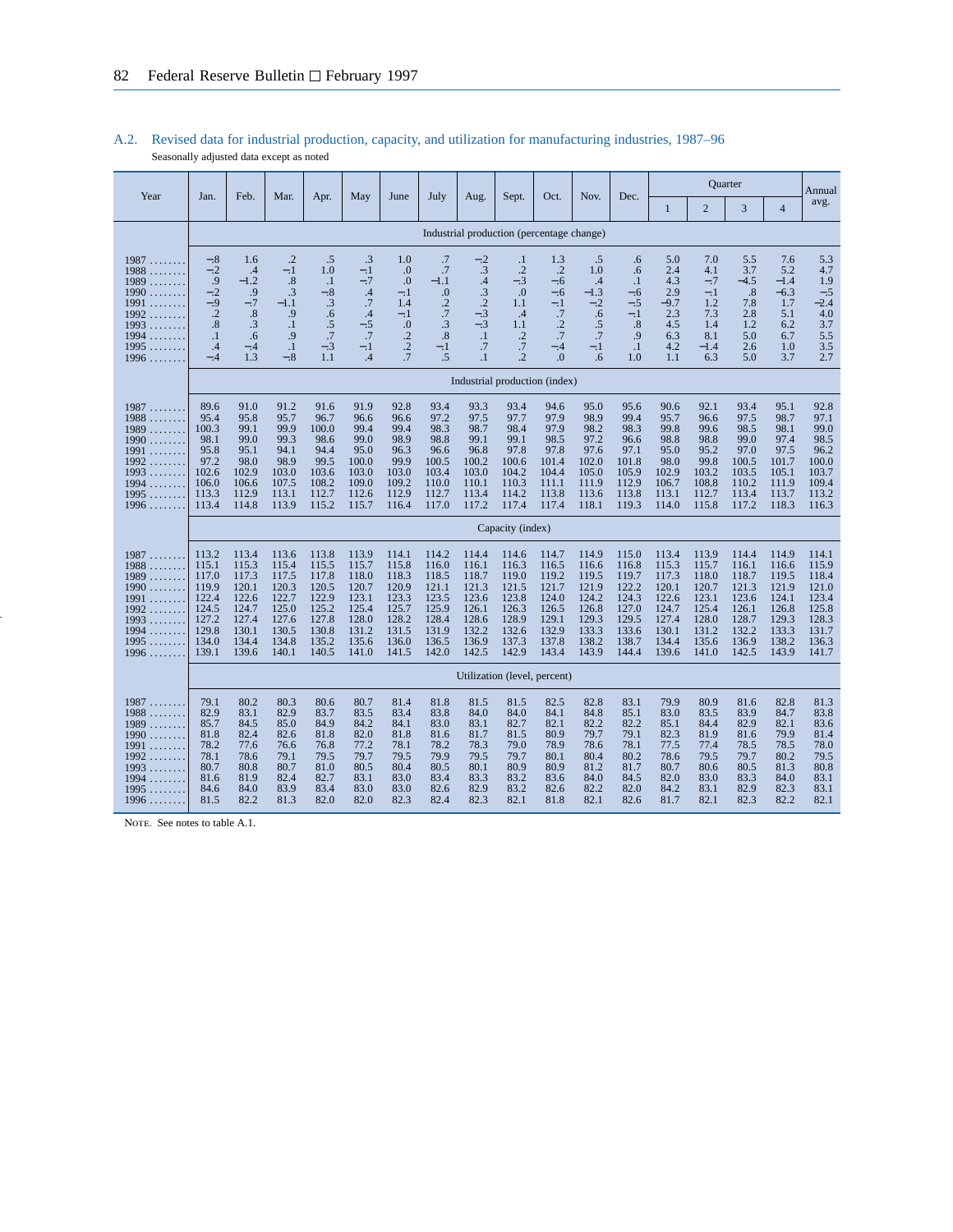|                                                                                                                                |                                                                                        |                                                                                        |                                                                                        |                                                                                        |                                                                                        |                                                                                                     |                                                                                         |                                                                                        |                                                                                                   |                                                                                                     |                                                                                        |                                                                                        |                                                                                        |                                                                                        | <b>Ouarter</b>                                                                         |                                                                                        | Annual                                                                                 |
|--------------------------------------------------------------------------------------------------------------------------------|----------------------------------------------------------------------------------------|----------------------------------------------------------------------------------------|----------------------------------------------------------------------------------------|----------------------------------------------------------------------------------------|----------------------------------------------------------------------------------------|-----------------------------------------------------------------------------------------------------|-----------------------------------------------------------------------------------------|----------------------------------------------------------------------------------------|---------------------------------------------------------------------------------------------------|-----------------------------------------------------------------------------------------------------|----------------------------------------------------------------------------------------|----------------------------------------------------------------------------------------|----------------------------------------------------------------------------------------|----------------------------------------------------------------------------------------|----------------------------------------------------------------------------------------|----------------------------------------------------------------------------------------|----------------------------------------------------------------------------------------|
| Year                                                                                                                           | Jan.                                                                                   | Feb.                                                                                   | Mar.                                                                                   | Apr.                                                                                   | May                                                                                    | June                                                                                                | July                                                                                    | Aug.                                                                                   | Sept.                                                                                             | Oct.                                                                                                | Nov.                                                                                   | Dec.                                                                                   | $\mathbf{1}$                                                                           | $\overline{2}$                                                                         | 3                                                                                      | $\overline{4}$                                                                         | avg.                                                                                   |
|                                                                                                                                |                                                                                        |                                                                                        |                                                                                        |                                                                                        |                                                                                        |                                                                                                     |                                                                                         | Industrial production (percentage change)                                              |                                                                                                   |                                                                                                     |                                                                                        |                                                                                        |                                                                                        |                                                                                        |                                                                                        |                                                                                        |                                                                                        |
| 1987<br>1988<br>.<br>1989<br>.<br>1990<br>.<br>1991<br>.<br>1992<br>.<br>1993<br>.<br>1994<br>.<br>1995<br>.<br>1996           | $-.8$<br>$-.2$<br>.9<br>$-.2$<br>$-.9$<br>$\cdot$<br>.8<br>$\cdot$ 1<br>.4<br>$-.4$    | 1.6<br>.4<br>$-1.2$<br>.9<br>$-.7$<br>.8<br>.3<br>.6<br>$-.4$<br>1.3                   | .2<br>$-.1$<br>.8<br>.3<br>$-1.1$<br>.9<br>$\cdot$ 1<br>.9<br>$\cdot$ 1<br>$-.8$       | .5<br>1.0<br>$\cdot$<br>$-.8$<br>.3<br>.6<br>.5<br>.7<br>$-.3$<br>1.1                  | $\cdot$ 3<br>$-.1$<br>$-.7$<br>.4<br>.7<br>$\cdot$ 4<br>$-.5$<br>.7<br>$-.1$<br>.4     | 1.0<br>$\Omega$<br>$\cdot$<br>$-.1$<br>1.4<br>$-.1$<br>$\overline{0}$ .<br>$\cdot$<br>$\cdot$<br>.7 | .7<br>.7<br>$-1.1$<br>$\overline{0}$<br>$\cdot$<br>$\cdot$ 7<br>.3<br>.8<br>$-.1$<br>.5 | $-.2$<br>.3<br>.4<br>.3<br>$\cdot$<br>$-.3$<br>$-.3$<br>$\cdot$ 1<br>.7<br>.1          | $\cdot$<br>$\cdot$<br>$-.3$<br>0.0<br>1.1<br>$\cdot$ 4<br>1.1<br>$\cdot$<br>.7<br>$\overline{.2}$ | 1.3<br>$\cdot$ .2<br>$-.6$<br>$-.6$<br>$-.1$<br>.7<br>$\cdot$ .2<br>.7<br>$-.4$<br>$\overline{0}$ . | .5<br>1.0<br>$\cdot$ 4<br>$-1.3$<br>$-.2$<br>.6<br>$.5\,$<br>.7<br>$-.1$<br>.6         | .6<br>.6<br>$\cdot$<br>$-.6$<br>$-.5$<br>$-.1$<br>.8<br>.9<br>$\cdot$ 1<br>1.0         | 5.0<br>2.4<br>4.3<br>2.9<br>$-9.7$<br>2.3<br>4.5<br>6.3<br>4.2<br>1.1                  | 7.0<br>4.1<br>$-.7$<br>$-.1$<br>1.2<br>7.3<br>1.4<br>8.1<br>$-1.4$<br>6.3              | 5.5<br>3.7<br>$-4.5$<br>.8<br>7.8<br>2.8<br>1.2<br>5.0<br>2.6<br>5.0                   | 7.6<br>5.2<br>$-1.4$<br>$-6.3$<br>1.7<br>5.1<br>6.2<br>6.7<br>1.0<br>3.7               | 5.3<br>4.7<br>1.9<br>$-.5$<br>$-2.4$<br>4.0<br>3.7<br>5.5<br>3.5<br>2.7                |
|                                                                                                                                |                                                                                        |                                                                                        |                                                                                        |                                                                                        |                                                                                        |                                                                                                     |                                                                                         | Industrial production (index)                                                          |                                                                                                   |                                                                                                     |                                                                                        |                                                                                        |                                                                                        |                                                                                        |                                                                                        |                                                                                        |                                                                                        |
| 1987<br>1988<br>.<br>1989<br>1.1.1.1.1<br>1990<br>.<br>1991<br>.<br>1992<br>.<br>1993<br>.<br>1994<br>1995<br>.<br>1996<br>.   | 89.6<br>95.4<br>100.3<br>98.1<br>95.8<br>97.2<br>102.6<br>106.0<br>113.3<br>113.4      | 91.0<br>95.8<br>99.1<br>99.0<br>95.1<br>98.0<br>102.9<br>106.6<br>112.9<br>114.8       | 91.2<br>95.7<br>99.9<br>99.3<br>94.1<br>98.9<br>103.0<br>107.5<br>113.1<br>113.9       | 91.6<br>96.7<br>100.0<br>98.6<br>94.4<br>99.5<br>103.6<br>108.2<br>112.7<br>115.2      | 91.9<br>96.6<br>99.4<br>99.0<br>95.0<br>100.0<br>103.0<br>109.0<br>112.6<br>115.7      | 92.8<br>96.6<br>99.4<br>98.9<br>96.3<br>99.9<br>103.0<br>109.2<br>112.9<br>116.4                    | 93.4<br>97.2<br>98.3<br>98.8<br>96.6<br>100.5<br>103.4<br>110.0<br>112.7<br>117.0       | 93.3<br>97.5<br>98.7<br>99.1<br>96.8<br>100.2<br>103.0<br>110.1<br>113.4<br>117.2      | 93.4<br>97.7<br>98.4<br>99.1<br>97.8<br>100.6<br>104.2<br>110.3<br>114.2<br>117.4                 | 94.6<br>97.9<br>97.9<br>98.5<br>97.8<br>101.4<br>104.4<br>111.1<br>113.8<br>117.4                   | 95.0<br>98.9<br>98.2<br>97.2<br>97.6<br>102.0<br>105.0<br>111.9<br>113.6<br>118.1      | 95.6<br>99.4<br>98.3<br>96.6<br>97.1<br>101.8<br>105.9<br>112.9<br>113.8<br>119.3      | 90.6<br>95.7<br>99.8<br>98.8<br>95.0<br>98.0<br>102.9<br>106.7<br>113.1<br>114.0       | 92.1<br>96.6<br>99.6<br>98.8<br>95.2<br>99.8<br>103.2<br>108.8<br>112.7<br>115.8       | 93.4<br>97.5<br>98.5<br>99.0<br>97.0<br>100.5<br>103.5<br>110.2<br>113.4<br>117.2      | 95.1<br>98.7<br>98.1<br>97.4<br>97.5<br>101.7<br>105.1<br>111.9<br>113.7<br>118.3      | 92.8<br>97.1<br>99.0<br>98.5<br>96.2<br>100.0<br>103.7<br>109.4<br>113.2<br>116.3      |
|                                                                                                                                |                                                                                        |                                                                                        |                                                                                        |                                                                                        |                                                                                        |                                                                                                     |                                                                                         |                                                                                        | Capacity (index)                                                                                  |                                                                                                     |                                                                                        |                                                                                        |                                                                                        |                                                                                        |                                                                                        |                                                                                        |                                                                                        |
| 1987<br>1988<br>.<br>1989<br>1.1.1.1.1.1<br>1990<br>.<br>1991<br>.<br>1992<br>.<br>1993<br>.<br>1994<br>1995<br>.<br>1996<br>. | 113.2<br>115.1<br>117.0<br>119.9<br>122.4<br>124.5<br>127.2<br>129.8<br>134.0<br>139.1 | 113.4<br>115.3<br>117.3<br>120.1<br>122.6<br>124.7<br>127.4<br>130.1<br>134.4<br>139.6 | 113.6<br>115.4<br>117.5<br>120.3<br>122.7<br>125.0<br>127.6<br>130.5<br>134.8<br>140.1 | 113.8<br>115.5<br>117.8<br>120.5<br>122.9<br>125.2<br>127.8<br>130.8<br>135.2<br>140.5 | 113.9<br>115.7<br>118.0<br>120.7<br>123.1<br>125.4<br>128.0<br>131.2<br>135.6<br>141.0 | 114.1<br>115.8<br>118.3<br>120.9<br>123.3<br>125.7<br>128.2<br>131.5<br>136.0<br>141.5              | 114.2<br>116.0<br>118.5<br>121.1<br>123.5<br>125.9<br>128.4<br>131.9<br>136.5<br>142.0  | 114.4<br>116.1<br>118.7<br>121.3<br>123.6<br>126.1<br>128.6<br>132.2<br>136.9<br>142.5 | 114.6<br>116.3<br>119.0<br>121.5<br>123.8<br>126.3<br>128.9<br>132.6<br>137.3<br>142.9            | 114.7<br>116.5<br>119.2<br>121.7<br>124.0<br>126.5<br>129.1<br>132.9<br>137.8<br>143.4              | 114.9<br>116.6<br>119.5<br>121.9<br>124.2<br>126.8<br>129.3<br>133.3<br>138.2<br>143.9 | 115.0<br>116.8<br>119.7<br>122.2<br>124.3<br>127.0<br>129.5<br>133.6<br>138.7<br>144.4 | 113.4<br>115.3<br>117.3<br>120.1<br>122.6<br>124.7<br>127.4<br>130.1<br>134.4<br>139.6 | 113.9<br>115.7<br>118.0<br>120.7<br>123.1<br>125.4<br>128.0<br>131.2<br>135.6<br>141.0 | 114.4<br>116.1<br>118.7<br>121.3<br>123.6<br>126.1<br>128.7<br>132.2<br>136.9<br>142.5 | 114.9<br>116.6<br>119.5<br>121.9<br>124.1<br>126.8<br>129.3<br>133.3<br>138.2<br>143.9 | 114.1<br>115.9<br>118.4<br>121.0<br>123.4<br>125.8<br>128.3<br>131.7<br>136.3<br>141.7 |
|                                                                                                                                |                                                                                        |                                                                                        |                                                                                        |                                                                                        |                                                                                        |                                                                                                     |                                                                                         | Utilization (level, percent)                                                           |                                                                                                   |                                                                                                     |                                                                                        |                                                                                        |                                                                                        |                                                                                        |                                                                                        |                                                                                        |                                                                                        |
| 1987<br>1988<br>.<br>1989<br>.<br>1990<br>.<br>1991<br>.<br>1992<br>.<br>1993<br>1994<br>.<br>1995<br>1996                     | 79.1<br>82.9<br>85.7<br>81.8<br>78.2<br>78.1<br>80.7<br>81.6<br>84.6<br>81.5           | 80.2<br>83.1<br>84.5<br>82.4<br>77.6<br>78.6<br>80.8<br>81.9<br>84.0<br>82.2           | 80.3<br>82.9<br>85.0<br>82.6<br>76.6<br>79.1<br>80.7<br>82.4<br>83.9<br>81.3           | 80.6<br>83.7<br>84.9<br>81.8<br>76.8<br>79.5<br>81.0<br>82.7<br>83.4<br>82.0           | 80.7<br>83.5<br>84.2<br>82.0<br>77.2<br>79.7<br>80.5<br>83.1<br>83.0<br>82.0           | 81.4<br>83.4<br>84.1<br>81.8<br>78.1<br>79.5<br>80.4<br>83.0<br>83.0<br>82.3                        | 81.8<br>83.8<br>83.0<br>81.6<br>78.2<br>79.9<br>80.5<br>83.4<br>82.6<br>82.4            | 81.5<br>84.0<br>83.1<br>81.7<br>78.3<br>79.5<br>80.1<br>83.3<br>82.9<br>82.3           | 81.5<br>84.0<br>82.7<br>81.5<br>79.0<br>79.7<br>80.9<br>83.2<br>83.2<br>82.1                      | 82.5<br>84.1<br>82.1<br>80.9<br>78.9<br>80.1<br>80.9<br>83.6<br>82.6<br>81.8                        | 82.8<br>84.8<br>82.2<br>79.7<br>78.6<br>80.4<br>81.2<br>84.0<br>82.2<br>82.1           | 83.1<br>85.1<br>82.2<br>79.1<br>78.1<br>80.2<br>81.7<br>84.5<br>82.0<br>82.6           | 79.9<br>83.0<br>85.1<br>82.3<br>77.5<br>78.6<br>80.7<br>82.0<br>84.2<br>81.7           | 80.9<br>83.5<br>84.4<br>81.9<br>77.4<br>79.5<br>80.6<br>83.0<br>83.1<br>82.1           | 81.6<br>83.9<br>82.9<br>81.6<br>78.5<br>79.7<br>80.5<br>83.3<br>82.9<br>82.3           | 82.8<br>84.7<br>82.1<br>79.9<br>78.5<br>80.2<br>81.3<br>84.0<br>82.3<br>82.2           | 81.3<br>83.8<br>83.6<br>81.4<br>78.0<br>79.5<br>80.8<br>83.1<br>83.1<br>82.1           |

## A.2. Revised data for industrial production, capacity, and utilization for manufacturing industries, 1987–96 Seasonally adjusted data except as noted

NOTE. See notes to table A.1.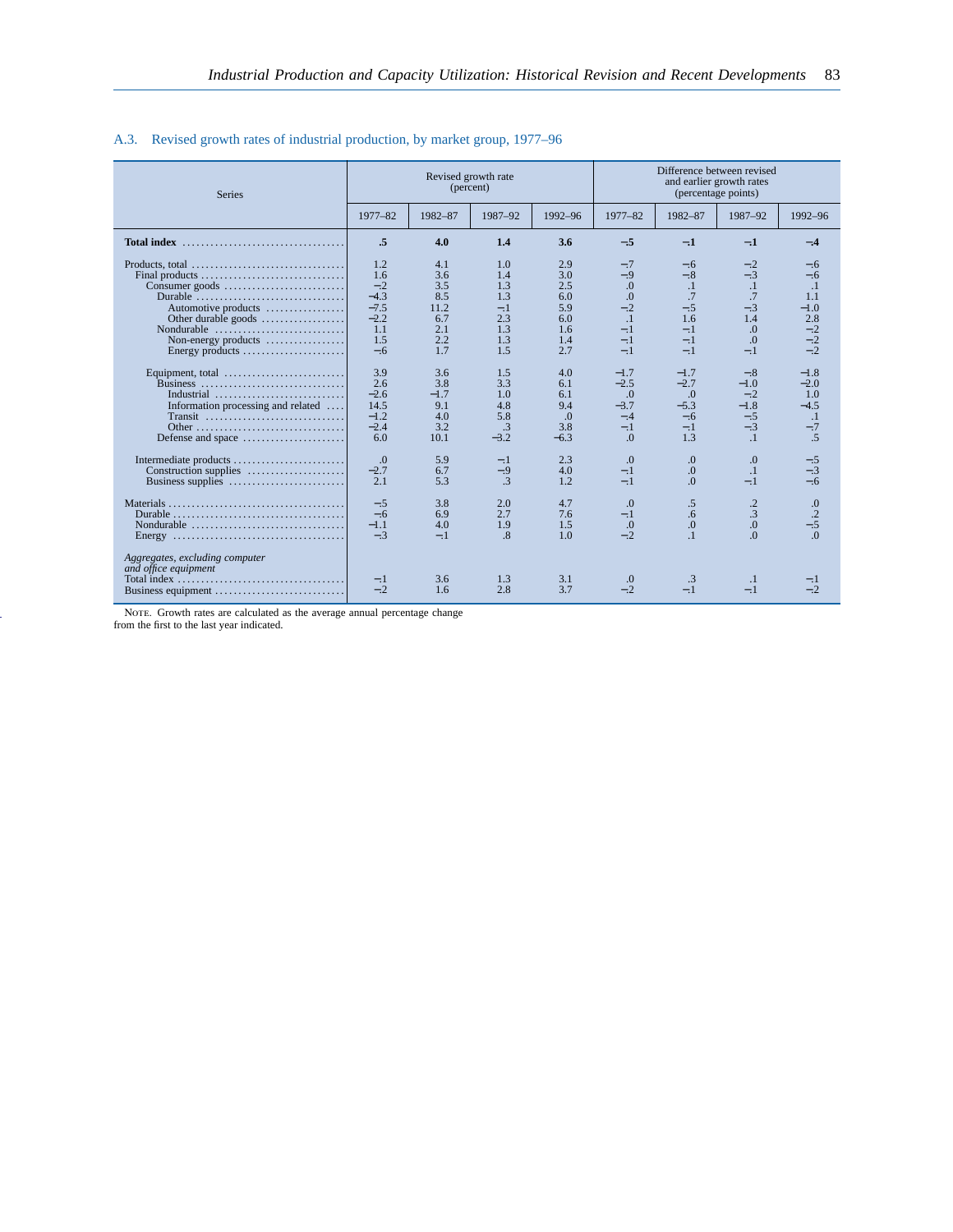| <b>Series</b>                                                                        |                | (percent)  | Revised growth rate |            | Difference between revised<br>and earlier growth rates<br>(percentage points) |             |                      |                |  |  |
|--------------------------------------------------------------------------------------|----------------|------------|---------------------|------------|-------------------------------------------------------------------------------|-------------|----------------------|----------------|--|--|
|                                                                                      | 1977-82        | 1982-87    | 1987-92             | 1992-96    | 1977-82                                                                       | 1982-87     | 1987-92              | 1992-96        |  |  |
|                                                                                      | .5             | 4.0        | 1.4                 | 3.6        | $-.5$                                                                         | $-.1$       | $-.1$                | $-.4$          |  |  |
| Products, total                                                                      | 1.2            | 4.1        | 1.0                 | 2.9        | $-.7$                                                                         | $-.6$       | $-.2$                | $-.6$          |  |  |
|                                                                                      | 1.6            | 3.6        | 1.4                 | 3.0        | $-.9$                                                                         | $-.8$       | $-.3$                | $-.6$          |  |  |
|                                                                                      | $-.2$          | 3.5        | 1.3                 | 2.5        | $\Omega$                                                                      | $\cdot$     | $\cdot$ 1            | $\cdot$ 1      |  |  |
| Durable                                                                              | $-4.3$         | 8.5        | 1.3                 | 6.0        | $\overline{0}$ .                                                              | .7          | .7                   | 1.1            |  |  |
| Automotive products                                                                  | $-7.5$         | 11.2       | $-.1$               | 5.9        | $-.2$                                                                         | $-.5$       | $-.3$                | $-1.0$         |  |  |
| Other durable goods                                                                  | $-2.2$         | 6.7        | 2.3                 | 6.0        | $\cdot$ 1                                                                     | 1.6         | 1.4                  | 2.8            |  |  |
| Nondurable                                                                           | 1.1            | 2.1        | 1.3                 | 1.6        | $-.1$                                                                         | $-.1$       | $\overline{0}$ .     | $-.2$          |  |  |
| Non-energy products                                                                  | 1.5            | 2.2        | 1.3                 | 1.4        | $-.1$                                                                         | $-.1$       | $\Omega$             | $-.2$          |  |  |
|                                                                                      | $-.6$          | 1.7        | 1.5                 | 2.7        | $-.1$                                                                         | $-.1$       | $-.1$                | $-.2$          |  |  |
| Equipment, total                                                                     | 3.9            | 3.6        | 1.5                 | 4.0        | $-1.7$                                                                        | $-1.7$      | $-.8$                | $-1.8$         |  |  |
| Business                                                                             | 2.6            | 3.8        | 3.3                 | 6.1        | $-2.5$                                                                        | $-2.7$      | $-1.0$               | $-2.0$         |  |  |
| Industrial                                                                           | $-2.6$         | $-1.7$     | 1.0                 | 6.1        | $\Omega$                                                                      | $\Omega$ .  | $-.2$                | 1.0            |  |  |
| Information processing and related                                                   | 14.5           | 9.1        | 4.8                 | 9.4        | $-3.7$                                                                        | $-5.3$      | $-1.8$               | $-4.5$         |  |  |
| Transit                                                                              | $-1.2$         | 4.0        | 5.8                 | $\Omega$   | $-.4$                                                                         | $-.6$       | $-.5$                | $\cdot$ 1      |  |  |
|                                                                                      | $-2.4$         | 3.2        | .3                  | 3.8        | $-.1$                                                                         | $-.1$       | $-.3$                | $-.7$          |  |  |
| Defense and space                                                                    | 6.0            | 10.1       | $-3.2$              | $-6.3$     | $\Omega$                                                                      | 1.3         | $\cdot$ 1            | .5             |  |  |
| Intermediate products                                                                | $\Omega$       | 5.9        | $-.1$               | 2.3        | $\Omega$                                                                      | $\Omega$ .  | $\Omega$             | $-.5$          |  |  |
| Construction supplies                                                                | $-2.7$         | 6.7        | $-.9$               | 4.0        | $-.1$                                                                         | $\Omega$ .  | $\cdot$ <sup>1</sup> | $-.3$          |  |  |
| Business supplies                                                                    | 2.1            | 5.3        | .3                  | 1.2        | $-.1$                                                                         | $\Omega$    | $-.1$                | $-.6$          |  |  |
|                                                                                      | $-.5$          | 3.8        | 2.0                 | 4.7        | $\Omega$                                                                      | $.5\,$      | $\cdot$ .2           | 0.             |  |  |
|                                                                                      | $-.6$          | 6.9        | 2.7                 | 7.6        | $-.1$                                                                         | .6          | .3                   | $\cdot$ .2     |  |  |
|                                                                                      | $-1.1$         | 4.0        | 1.9                 | 1.5        | $\cdot$                                                                       | $\Omega$    | 0.0                  | $-.5$          |  |  |
| Energy $\dots\dots\dots\dots\dots\dots\dots\dots\dots\dots\dots\dots\dots\dots\dots$ | $-.3$          | $-.1$      | .8                  | 1.0        | $-.2$                                                                         | .1          | $\overline{0}$ .     | $\Omega$       |  |  |
| Aggregates, excluding computer<br>and office equipment<br>Business equipment         | $-.1$<br>$-.2$ | 3.6<br>1.6 | 1.3<br>2.8          | 3.1<br>3.7 | $\cdot$<br>$-.2$                                                              | .3<br>$-.1$ | $\cdot$<br>$-.1$     | $-.1$<br>$-.2$ |  |  |

# A.3. Revised growth rates of industrial production, by market group, 1977–96

Note. Growth rates are calculated as the average annual percentage change from the first to the last year indicated.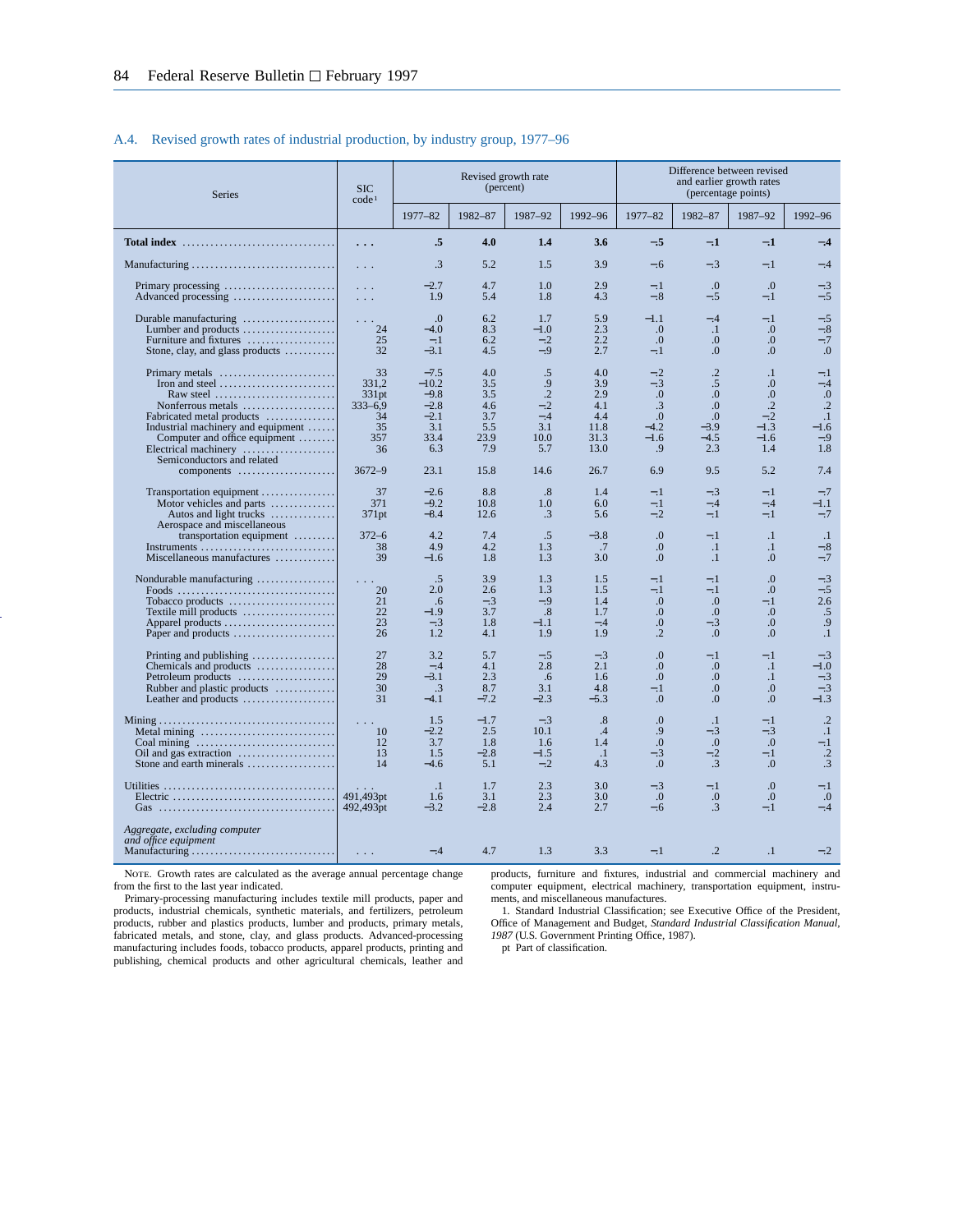#### A.4. Revised growth rates of industrial production, by industry group, 1977–96

| <b>Series</b>                                                                                                                                                                                                                                               | Revised growth rate<br>(percent)<br><b>SIC</b><br>code <sup>1</sup><br>1977-82<br>1982-87<br>1987-92<br>1992-96<br>1977-82 |                                                                       |                                                       |                                                                |                                                         |                                                                                |                                                                                               | Difference between revised<br>and earlier growth rates<br>(percentage points)             |                                                                           |
|-------------------------------------------------------------------------------------------------------------------------------------------------------------------------------------------------------------------------------------------------------------|----------------------------------------------------------------------------------------------------------------------------|-----------------------------------------------------------------------|-------------------------------------------------------|----------------------------------------------------------------|---------------------------------------------------------|--------------------------------------------------------------------------------|-----------------------------------------------------------------------------------------------|-------------------------------------------------------------------------------------------|---------------------------------------------------------------------------|
|                                                                                                                                                                                                                                                             |                                                                                                                            |                                                                       |                                                       |                                                                |                                                         |                                                                                | 1982-87                                                                                       | 1987-92                                                                                   | 1992-96                                                                   |
| Total index $\dots\dots\dots\dots\dots\dots\dots\dots\dots\dots\dots\dots$                                                                                                                                                                                  | $\ddots$ .                                                                                                                 | .5                                                                    | 4.0                                                   | 1.4                                                            | 3.6                                                     | $-.5$                                                                          | $-.1$                                                                                         | $-.1$                                                                                     | $-.4$                                                                     |
|                                                                                                                                                                                                                                                             | $\sim$ $\sim$ $\sim$                                                                                                       | .3                                                                    | 5.2                                                   | 1.5                                                            | 3.9                                                     | $-.6$                                                                          | $-.3$                                                                                         | $-.1$                                                                                     | $-.4$                                                                     |
|                                                                                                                                                                                                                                                             | $\sim 10$ .<br>$\mathcal{L}^{\mathcal{A}}$ and $\mathcal{L}^{\mathcal{A}}$                                                 | $-2.7$<br>1.9                                                         | 4.7<br>5.4                                            | 1.0<br>1.8                                                     | 2.9<br>4.3                                              | $-.1$<br>$-.8$                                                                 | $\Omega$<br>$-.5$                                                                             | $\Omega$<br>$-.1$                                                                         | $-.3$<br>$-.5$                                                            |
| Durable manufacturing<br>Lumber and products<br>Furniture and fixtures<br>Stone, clay, and glass products                                                                                                                                                   | $\sim$ 100 $\pm$<br>24<br>25<br>32                                                                                         | $\Omega$<br>$-4.0$<br>$-.1$<br>$-3.1$                                 | 6.2<br>8.3<br>6.2<br>4.5                              | 1.7<br>$-1.0$<br>$-.2$<br>$-.9$                                | 5.9<br>2.3<br>2.2<br>2.7                                | $-1.1$<br>.0<br>$\Omega$ .<br>$-.1$                                            | $-.4$<br>$\cdot$<br>$\Omega$<br>0.                                                            | $-.1$<br>0.<br>$\Omega$<br>0.                                                             | $-.5$<br>$-.8$<br>$-.7$<br>0.                                             |
| Primary metals<br>Raw steel $\ldots, \ldots, \ldots, \ldots, \ldots, \ldots$<br>Nonferrous metals<br>Fabricated metal products<br>Industrial machinery and equipment<br>Computer and office equipment<br>Electrical machinery<br>Semiconductors and related | 33<br>331.2<br>331 <sub>pt</sub><br>$333 - 6.9$<br>34<br>35<br>357<br>36                                                   | $-7.5$<br>$-10.2$<br>$-9.8$<br>$-2.8$<br>$-2.1$<br>3.1<br>33.4<br>6.3 | 4.0<br>3.5<br>3.5<br>4.6<br>3.7<br>5.5<br>23.9<br>7.9 | .5<br>.9<br>$\cdot$ .2<br>$-.2$<br>$-.4$<br>3.1<br>10.0<br>5.7 | 4.0<br>3.9<br>2.9<br>4.1<br>4.4<br>11.8<br>31.3<br>13.0 | $-.2$<br>$-.3$<br>$\Omega$<br>.3<br>$\overline{0}$ .<br>$-4.2$<br>$-1.6$<br>.9 | $\cdot$ .2<br>$.5\,$<br>$\Omega$ .<br>$\Omega$ .<br>$\overline{0}$<br>$-3.9$<br>$-4.5$<br>2.3 | $\cdot$ 1<br>0.<br>$\Omega$ .<br>$\cdot$ <sup>2</sup><br>$-.2$<br>$-1.3$<br>$-1.6$<br>1.4 | $-.1$<br>$-.4$<br>0.<br>$\cdot$ .2<br>$\cdot$ 1<br>$-1.6$<br>$-.9$<br>1.8 |
| components                                                                                                                                                                                                                                                  | $3672 - 9$                                                                                                                 | 23.1                                                                  | 15.8                                                  | 14.6                                                           | 26.7                                                    | 6.9                                                                            | 9.5                                                                                           | 5.2                                                                                       | 7.4                                                                       |
| Transportation equipment<br>Motor vehicles and parts<br>Autos and light trucks<br>Aerospace and miscellaneous                                                                                                                                               | 37<br>371<br>371pt                                                                                                         | $-2.6$<br>$-9.2$<br>$-8.4$                                            | 8.8<br>10.8<br>12.6                                   | .8<br>1.0<br>.3                                                | 1.4<br>6.0<br>5.6                                       | $-.1$<br>$-.1$<br>$-.2$                                                        | $-.3$<br>$-.4$<br>$-.1$                                                                       | $-.1$<br>$-.4$<br>$-.1$                                                                   | $-.7$<br>$-1.1$<br>$-.7$                                                  |
| transportation equipment<br>Instruments<br>Miscellaneous manufactures                                                                                                                                                                                       | $372 - 6$<br>38<br>39                                                                                                      | 4.2<br>4.9<br>$-1.6$                                                  | 7.4<br>4.2<br>1.8                                     | .5<br>1.3<br>1.3                                               | $-3.8$<br>$\cdot$ .7<br>3.0                             | $\overline{0}$ .<br>$\Omega$<br>0.                                             | $-.1$<br>$\cdot$ 1<br>$\cdot$ 1                                                               | $\cdot$<br>$\cdot$ 1<br>0.0                                                               | $\cdot$<br>$-.8$<br>$-.7$                                                 |
| Nondurable manufacturing<br>Tobacco products<br>Textile mill products<br>Apparel products<br>Paper and products                                                                                                                                             | 20<br>21<br>22<br>23<br>26                                                                                                 | .5<br>2.0<br>.6<br>$-1.9$<br>$-.3$<br>1.2                             | 3.9<br>2.6<br>$-.3$<br>3.7<br>1.8<br>4.1              | 1.3<br>1.3<br>$-.9$<br>$.8\,$<br>$-1.1$<br>1.9                 | 1.5<br>1.5<br>1.4<br>1.7<br>$-.4$<br>1.9                | $-.1$<br>$-.1$<br>$\Omega$ .<br>$\Omega$<br>$\Omega$ .<br>$\cdot$              | $-.1$<br>$-.1$<br>$\Omega$ .<br>$\cdot$<br>$-.3$<br>$\Omega$                                  | 0.<br>$\Omega$ .<br>$-.1$<br>0.<br>0.0<br>$\Omega$                                        | $-.3$<br>$-.5$<br>2.6<br>.5<br>.9<br>$\cdot$ 1                            |
| Printing and publishing<br>Chemicals and products<br>Petroleum products<br>Rubber and plastic products<br>Leather and products                                                                                                                              | 27<br>28<br>29<br>30<br>31                                                                                                 | 3.2<br>$-.4$<br>$-3.1$<br>$\cdot$ 3<br>$-4.1$                         | 5.7<br>4.1<br>2.3<br>8.7<br>$-7.2$                    | $-.5$<br>2.8<br>.6<br>3.1<br>$-2.3$                            | $-.3$<br>2.1<br>1.6<br>4.8<br>$-5.3$                    | $\Omega$ .<br>0.<br>0.<br>$-.1$<br>0.                                          | $-.1$<br>0.<br>0.<br>$\Omega$<br>0.0                                                          | $-.1$<br>$\cdot$<br>$\cdot$<br>$\Omega$<br>0.0                                            | $-.3$<br>$-1.0$<br>$-.3$<br>$-.3$<br>$-1.3$                               |
| Metal mining<br>Oil and gas extraction $\dots\dots\dots\dots\dots\dots$<br>Stone and earth minerals $\dots \dots \dots \dots \dots$                                                                                                                         | 10<br>12<br>13<br>14                                                                                                       | 1.5<br>$-2.2$<br>3.7<br>1.5<br>$-4.6$                                 | $-1.7$<br>2.5<br>1.8<br>$-2.8$<br>5.1                 | $-.3$<br>10.1<br>1.6<br>$-1.5$<br>$-.2$                        | .8<br>.4<br>1.4<br>$\cdot$ .1<br>4.3                    | $\Omega$<br>.9<br>$\overline{0}$ .<br>$-.3$<br>$\Omega$                        | $\cdot$<br>$-.3$<br>$\Omega$ .<br>$-.2$<br>.3                                                 | $-.1$<br>$-.3$<br>$\overline{0}$ .<br>$-.1$<br>$\Omega$                                   | $\cdot$ .2<br>$\cdot$<br>$-1$<br>$\cdot$ .2<br>.3                         |
|                                                                                                                                                                                                                                                             | 491,493pt<br>492,493pt                                                                                                     | $\cdot$ 1<br>1.6<br>$-3.2$                                            | 1.7<br>3.1<br>$-2.8$                                  | 2.3<br>2.3<br>2.4                                              | 3.0<br>3.0<br>2.7                                       | $-.3$<br>$\cdot$ .0<br>$-.6$                                                   | $-.1$<br>0.<br>$\cdot$ 3                                                                      | $\overline{0}$ .<br>0.<br>$-.1$                                                           | $-.1$<br>$\cdot$<br>$-.4$                                                 |
| Aggregate, excluding computer<br>and office equipment                                                                                                                                                                                                       | $\sim 100$                                                                                                                 | $-.4$                                                                 | 4.7                                                   | 1.3                                                            | 3.3                                                     | $-.1$                                                                          | $\cdot$                                                                                       | $\cdot$                                                                                   | $-.2$                                                                     |

NOTE. Growth rates are calculated as the average annual percentage change from the first to the last year indicated.

Primary-processing manufacturing includes textile mill products, paper and products, industrial chemicals, synthetic materials, and fertilizers, petroleum products, rubber and plastics products, lumber and products, primary metals, fabricated metals, and stone, clay, and glass products. Advanced-processing manufacturing includes foods, tobacco products, apparel products, printing and publishing, chemical products and other agricultural chemicals, leather and products, furniture and fixtures, industrial and commercial machinery and computer equipment, electrical machinery, transportation equipment, instruments, and miscellaneous manufactures.

1. Standard Industrial Classification; see Executive Office of the President, Office of Management and Budget, *Standard Industrial Classification Manual, 1987* (U.S. Government Printing Office, 1987).

pt Part of classification.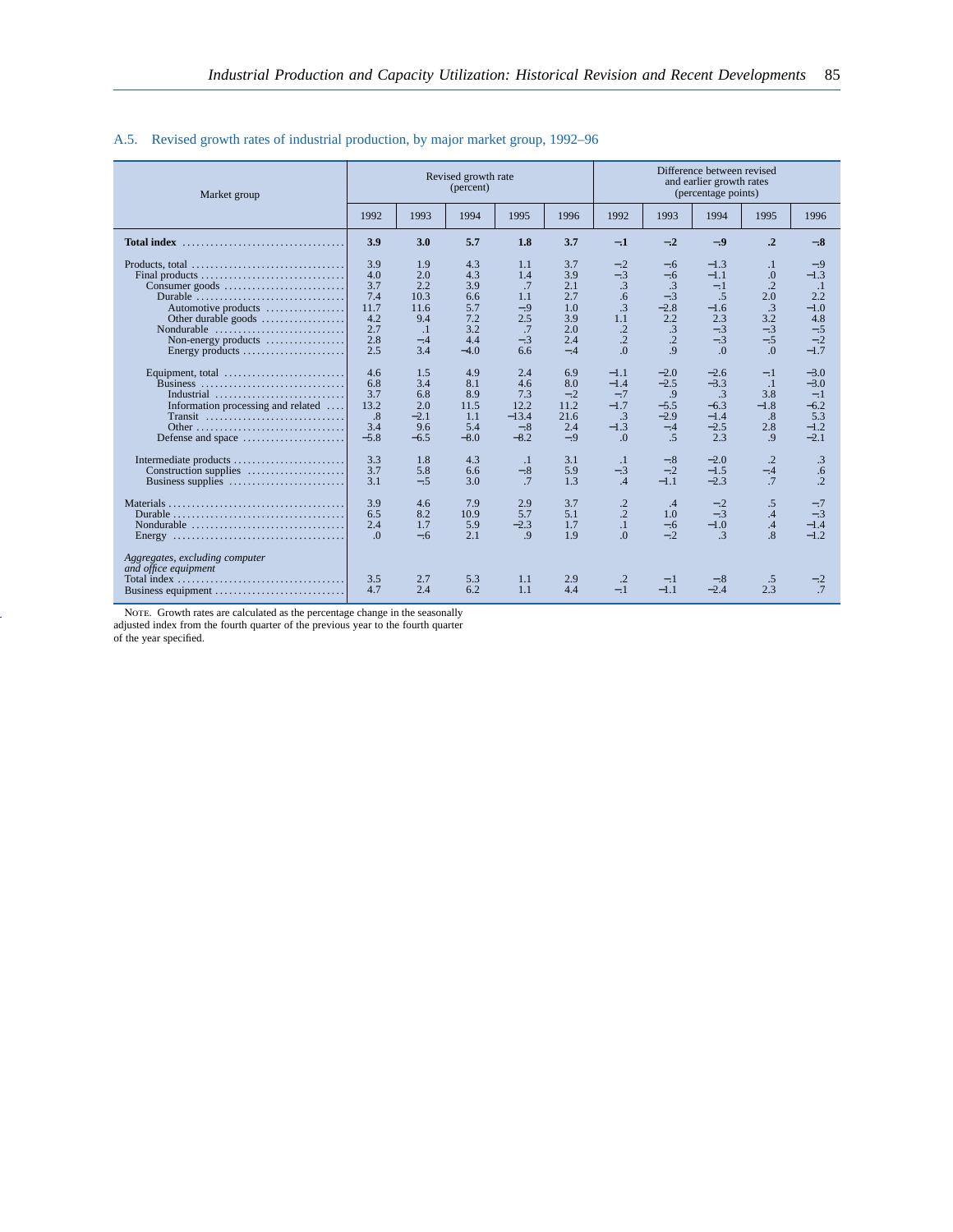| Market group                                                                         |            |                      | Revised growth rate<br>(percent) |                      |            | Difference between revised<br>and earlier growth rates<br>(percentage points) |                 |                 |                      |              |  |
|--------------------------------------------------------------------------------------|------------|----------------------|----------------------------------|----------------------|------------|-------------------------------------------------------------------------------|-----------------|-----------------|----------------------|--------------|--|
|                                                                                      | 1992       | 1993                 | 1994                             | 1995                 | 1996       | 1992                                                                          | 1993            | 1994            | 1995                 | 1996         |  |
| <b>Total index</b>                                                                   | 3.9        | 3.0                  | 5.7                              | 1.8                  | 3.7        | $-1$                                                                          | $-.2$           | $-.9$           | $\cdot$ <sup>2</sup> | $-.8$        |  |
| Products, total $\dots\dots\dots\dots\dots\dots\dots\dots\dots\dots\dots\dots$       | 3.9        | 1.9                  | 4.3                              | 1.1                  | 3.7        | $-.2$                                                                         | $-.6$           | $-1.3$          | $\cdot$              | $-.9$        |  |
| Final products                                                                       | 4.0        | 2.0                  | 4.3                              | 1.4                  | 3.9        | $-.3$                                                                         | $-.6$           | $-1.1$          | 0.                   | $-1.3$       |  |
|                                                                                      | 3.7        | 2.2                  | 3.9                              | .7                   | 2.1        | .3                                                                            | $\cdot$ 3       | $-.1$           | $\cdot$              | $\cdot$ 1    |  |
| Durable                                                                              | 7.4        | 10.3                 | 6.6                              | 1.1                  | 2.7        | .6                                                                            | $-.3$           | .5              | 2.0                  | 2.2          |  |
| Automotive products                                                                  | 11.7       | 11.6                 | 5.7                              | $-.9$                | 1.0        | .3                                                                            | $-2.8$          | $-1.6$          | .3                   | $-1.0$       |  |
| Other durable goods                                                                  | 4.2        | 9.4                  | 7.2                              | 2.5                  | 3.9        | 1.1                                                                           | 2.2             | 2.3             | 3.2                  | 4.8          |  |
| Nondurable                                                                           | 2.7        | $\cdot$ <sup>1</sup> | 3.2                              | .7                   | 2.0        | $\cdot$ .2                                                                    | $\cdot$ 3       | $-.3$           | $-.3$                | $-.5$        |  |
| Non-energy products                                                                  | 2.8        | $-.4$                | 4.4                              | $-.3$                | 2.4        | $\cdot$ .2                                                                    | $\overline{.2}$ | $-.3$           | $-.5$                | $-.2$        |  |
| Energy products                                                                      | 2.5        | 3.4                  | $-4.0$                           | 6.6                  | $-.4$      | $\Omega$ .                                                                    | $\overline{9}$  | $\Omega$        | $\Omega$             | $-1.7$       |  |
| Equipment, total                                                                     | 4.6        | 1.5                  | 4.9                              | 2.4                  | 6.9        | $-1.1$                                                                        | $-2.0$          | $-2.6$          | $-.1$                | $-3.0$       |  |
| Business                                                                             | 6.8        | 3.4                  | 8.1                              | 4.6                  | 8.0        | $-1.4$                                                                        | $-2.5$          | $-3.3$          | $\cdot$ 1            | $-3.0$       |  |
| Industrial                                                                           | 3.7        | 6.8                  | 8.9                              | 7.3                  | $-.2$      | $-.7$                                                                         | .9              | $\cdot$ 3       | 3.8                  | $-.1$        |  |
| Information processing and related                                                   | 13.2       | 2.0                  | 11.5                             | 12.2                 | 11.2       | $-1.7$                                                                        | $-5.5$          | $-6.3$          | $-1.8$               | $-6.2$       |  |
| Transit                                                                              | .8         | $-2.1$               | 1.1                              | $-13.4$              | 21.6       | $\cdot$ 3                                                                     | $-2.9$          | $-1.4$          | .8                   | 5.3          |  |
|                                                                                      | 3.4        | 9.6                  | 5.4                              | $-.8$                | 2.4        | $-1.3$                                                                        | $-.4$           | $-2.5$          | 2.8                  | $-1.2$       |  |
| Defense and space                                                                    | $-5.8$     | $-6.5$               | $-8.0$                           | $-8.2$               | $-.9$      | $\Omega$ .                                                                    | .5              | 2.3             | .9                   | $-2.1$       |  |
| Intermediate products                                                                | 3.3        | 1.8                  | 4.3                              | $\cdot$ <sup>1</sup> | 3.1        | $\cdot$ 1                                                                     | $-.8$           | $-2.0$          | .2                   | .3           |  |
| Construction supplies                                                                | 3.7        | 5.8                  | 6.6                              | $-.8$                | 5.9        | $-.3$                                                                         | $-.2$           | $-1.5$          | $-.4$                | .6           |  |
| Business supplies                                                                    | 3.1        | $-.5$                | 3.0                              | .7                   | 1.3        | .4                                                                            | $-1.1$          | $-2.3$          | .7                   | $\cdot$      |  |
|                                                                                      | 3.9        | 4.6                  | 7.9                              | 2.9                  | 3.7        | $\cdot$ .2                                                                    | .4              | $-.2$           | .5                   | $-.7$        |  |
|                                                                                      | 6.5        | 8.2                  | 10.9                             | 5.7                  | 5.1        | $\cdot$ .2                                                                    | 1.0             | $-.3$           | .4                   | $-.3$        |  |
|                                                                                      | 2.4        | 1.7                  | 5.9                              | $-2.3$               | 1.7        | $\cdot$ 1                                                                     | $-.6$           | $-1.0$          | .4                   | $-1.4$       |  |
| Energy $\dots\dots\dots\dots\dots\dots\dots\dots\dots\dots\dots\dots\dots\dots\dots$ | $\Omega$   | $-.6$                | 2.1                              | .9                   | 1.9        | $\Omega$                                                                      | $-.2$           | $\mathbf{3}$    | $\overline{8}$       | $-1.2$       |  |
| Aggregates, excluding computer<br>and office equipment<br>Business equipment         | 3.5<br>4.7 | 2.7<br>2.4           | 5.3<br>6.2                       | 1.1<br>1.1           | 2.9<br>4.4 | $\cdot$<br>$-.1$                                                              | $-.1$<br>$-1.1$ | $-.8$<br>$-2.4$ | .5<br>2.3            | $-2$<br>$.7$ |  |

### A.5. Revised growth rates of industrial production, by major market group, 1992–96

Note. Growth rates are calculated as the percentage change in the seasonally adjusted index from the fourth quarter of the previous year to the fourth quarter of the year specified.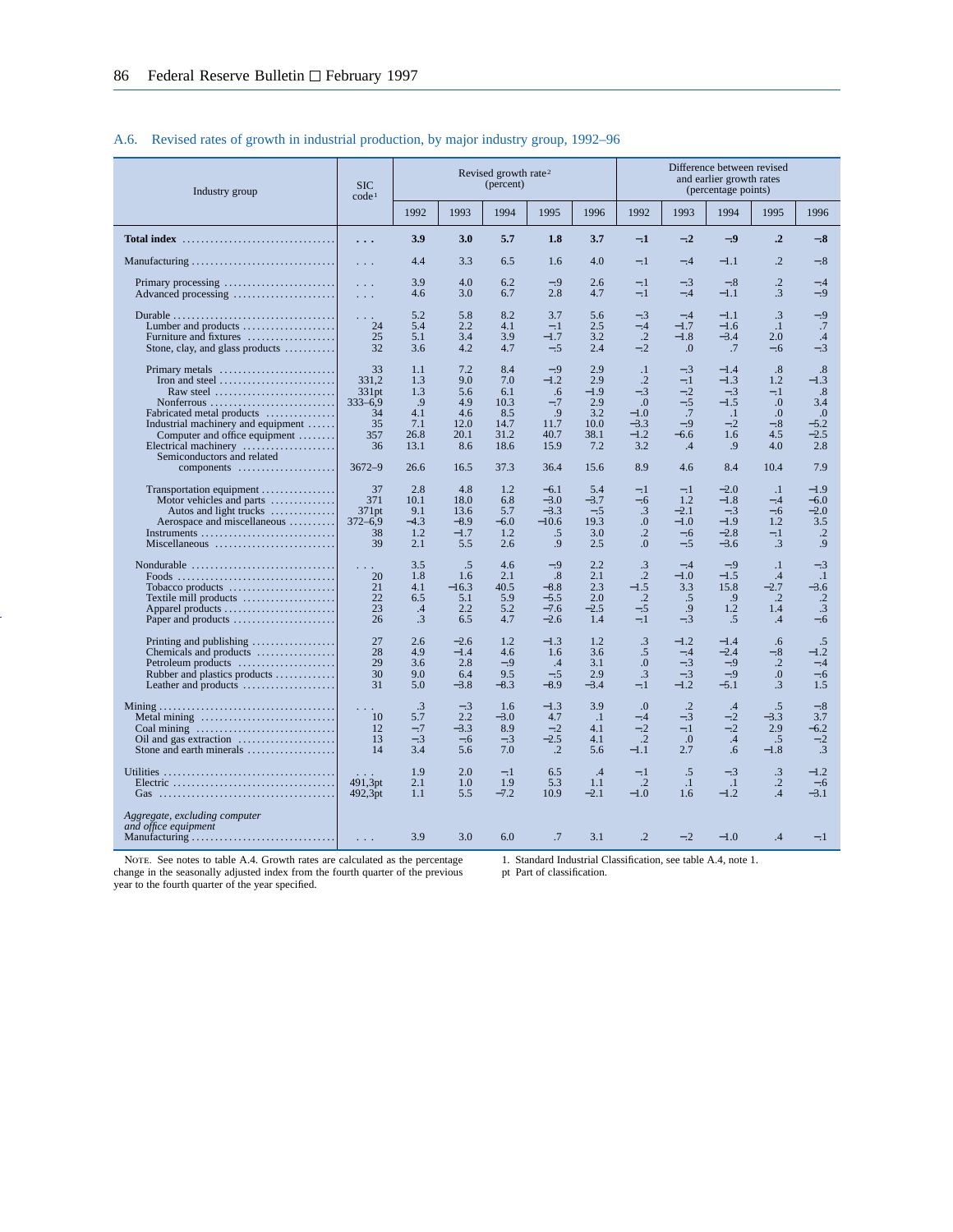## A.6. Revised rates of growth in industrial production, by major industry group, 1992–96

| Industry group                                                                                                                                                                                                                                                                                                                                      | <b>SIC</b><br>code <sup>1</sup>                              |                                                       |                                                        | Revised growth rate <sup>2</sup><br>(percent)            |                                                              |                                                           |                                                                                           |                                                                 | Difference between revised<br>and earlier growth rates<br>(percentage points) |                                                                   |                                                            |
|-----------------------------------------------------------------------------------------------------------------------------------------------------------------------------------------------------------------------------------------------------------------------------------------------------------------------------------------------------|--------------------------------------------------------------|-------------------------------------------------------|--------------------------------------------------------|----------------------------------------------------------|--------------------------------------------------------------|-----------------------------------------------------------|-------------------------------------------------------------------------------------------|-----------------------------------------------------------------|-------------------------------------------------------------------------------|-------------------------------------------------------------------|------------------------------------------------------------|
|                                                                                                                                                                                                                                                                                                                                                     |                                                              | 1992                                                  | 1993                                                   | 1994                                                     | 1995                                                         | 1996                                                      | 1992                                                                                      | 1993                                                            | 1994                                                                          | 1995                                                              | 1996                                                       |
| Total index $\dots\dots\dots\dots\dots\dots\dots\dots\dots\dots\dots$                                                                                                                                                                                                                                                                               | .                                                            | 3.9                                                   | 3.0                                                    | 5.7                                                      | 1.8                                                          | 3.7                                                       | $-.1$                                                                                     | $-.2$                                                           | $-.9$                                                                         | $\cdot$ <sup>2</sup>                                              | $-.8$                                                      |
|                                                                                                                                                                                                                                                                                                                                                     | $\sim 100$                                                   | 4.4                                                   | 3.3                                                    | 6.5                                                      | 1.6                                                          | 4.0                                                       | $-.1$                                                                                     | $-.4$                                                           | $-1.1$                                                                        | $\cdot$                                                           | $-.8$                                                      |
| Primary processing $\dots\dots\dots\dots\dots\dots\dots\dots$                                                                                                                                                                                                                                                                                       | $\sim$ $\sim$ $\sim$<br>$\sim$ $\sim$ $\sim$                 | 3.9<br>4.6                                            | 4.0<br>3.0                                             | 6.2<br>6.7                                               | $-.9$<br>2.8                                                 | 2.6<br>4.7                                                | $-.1$<br>$-.1$                                                                            | $-.3$<br>$-.4$                                                  | $-.8$<br>$-1.1$                                                               | $\cdot$ .2<br>.3                                                  | $-.4$<br>$-.9$                                             |
| Lumber and products $\dots\dots\dots\dots\dots\dots$<br>Furniture and fixtures<br>Stone, clay, and glass products                                                                                                                                                                                                                                   | $1 - 1 - 1$<br>24<br>25<br>32                                | 5.2<br>5.4<br>5.1<br>3.6                              | 5.8<br>2.2<br>3.4<br>4.2                               | 8.2<br>4.1<br>3.9<br>4.7                                 | 3.7<br>$-.1$<br>$-1.7$<br>$-.5$                              | 5.6<br>2.5<br>3.2<br>2.4                                  | $-.3$<br>$-.4$<br>$\cdot$ .2<br>$-.2$                                                     | $-.4$<br>$-1.7$<br>$-1.8$<br>$\Omega$ .                         | $-1.1$<br>$-1.6$<br>$-3.4$<br>.7                                              | $\cdot$ 3<br>$\cdot$<br>2.0<br>$-.6$                              | $-.9$<br>.7<br>.4<br>$-.3$                                 |
| Iron and steel $\dots\dots\dots\dots\dots\dots\dots\dots$<br>Raw steel $\ldots \ldots \ldots \ldots \ldots \ldots \ldots$<br>$Nonferrous \dots \dots \dots \dots \dots \dots \dots \dots$<br>Fabricated metal products<br>Industrial machinery and equipment<br>Computer and office equipment<br>Electrical machinery<br>Semiconductors and related | 33<br>331.2<br>331pt<br>$333 - 6.9$<br>34<br>35<br>357<br>36 | 1.1<br>1.3<br>1.3<br>.9<br>4.1<br>7.1<br>26.8<br>13.1 | 7.2<br>9.0<br>5.6<br>4.9<br>4.6<br>12.0<br>20.1<br>8.6 | 8.4<br>7.0<br>6.1<br>10.3<br>8.5<br>14.7<br>31.2<br>18.6 | $-.9$<br>$-1.2$<br>.6<br>$-.7$<br>.9<br>11.7<br>40.7<br>15.9 | 2.9<br>2.9<br>$-1.9$<br>2.9<br>3.2<br>10.0<br>38.1<br>7.2 | $\cdot$ 1<br>$\cdot$ .2<br>$-.3$<br>$\overline{0}$ .<br>$-1.0$<br>$-3.3$<br>$-1.2$<br>3.2 | $-.3$<br>$-.1$<br>$-.2$<br>$-.5$<br>.7<br>$-.9$<br>$-6.6$<br>.4 | $-1.4$<br>$-1.3$<br>$-.3$<br>$-1.5$<br>$\cdot$ 1<br>$-.2$<br>1.6<br>.9        | .8<br>1.2<br>$-.1$<br>$\Omega$<br>$\Omega$<br>$-.8$<br>4.5<br>4.0 | .8<br>$-1.3$<br>.8<br>3.4<br>.0<br>$-5.2$<br>$-2.5$<br>2.8 |
| components                                                                                                                                                                                                                                                                                                                                          | $3672 - 9$                                                   | 26.6                                                  | 16.5                                                   | 37.3                                                     | 36.4                                                         | 15.6                                                      | 8.9                                                                                       | 4.6                                                             | 8.4                                                                           | 10.4                                                              | 7.9                                                        |
| Transportation equipment<br>Motor vehicles and parts $\dots\dots\dots\dots\dots$<br>Autos and light trucks<br>Aerospace and miscellaneous<br>Miscellaneous                                                                                                                                                                                          | 37<br>371<br>371pt<br>$372 - 6,9$<br>38<br>39                | 2.8<br>10.1<br>9.1<br>$-4.3$<br>1.2<br>2.1            | 4.8<br>18.0<br>13.6<br>$-8.9$<br>$-1.7$<br>5.5         | 1.2<br>6.8<br>5.7<br>$-6.0$<br>1.2<br>2.6                | $-6.1$<br>$-3.0$<br>$-3.3$<br>$-10.6$<br>.5<br>.9            | 5.4<br>$-3.7$<br>$-.5$<br>19.3<br>3.0<br>2.5              | $-.1$<br>$-.6$<br>.3<br>$\overline{0}$ .<br>$\cdot$ .2<br>$\overline{0}$ .                | $-.1$<br>1.2<br>$-2.1$<br>$-1.0$<br>$-.6$<br>$-.5$              | $-2.0$<br>$-1.8$<br>$-.3$<br>$-1.9$<br>$-2.8$<br>$-3.6$                       | $\cdot$ 1<br>$-.4$<br>$-.6$<br>1.2<br>$-.1$<br>.3                 | $-1.9$<br>$-6.0$<br>$-2.0$<br>3.5<br>$\cdot$ .2<br>.9      |
| Tobacco products<br>Textile mill products<br>Paper and products                                                                                                                                                                                                                                                                                     | 20<br>21<br>22<br>23<br>26                                   | 3.5<br>1.8<br>4.1<br>6.5<br>.4<br>.3                  | .5<br>1.6<br>$-16.3$<br>5.1<br>2.2<br>6.5              | 4.6<br>2.1<br>40.5<br>5.9<br>5.2<br>4.7                  | $-.9$<br>.8<br>$-8.8$<br>$-5.5$<br>$-7.6$<br>$-2.6$          | 2.2<br>2.1<br>2.3<br>2.0<br>$-2.5$<br>1.4                 | $\cdot$ 3<br>$\cdot$ .2<br>$-1.5$<br>$\cdot$ .2<br>$-.5$<br>$-.1$                         | $-.4$<br>$-1.0$<br>3.3<br>.5<br>.9<br>$-.3$                     | $-.9$<br>$-1.5$<br>15.8<br>.9<br>1.2<br>.5                                    | $\cdot$<br>.4<br>$-2.7$<br>$\cdot$<br>1.4<br>.4                   | $-.3$<br>$\cdot$ 1<br>$-3.6$<br>$\cdot$<br>.3<br>$-.6$     |
| Printing and publishing $\dots\dots\dots\dots\dots\dots$<br>Chemicals and products<br>Petroleum products<br>Rubber and plastics products<br>Leather and products                                                                                                                                                                                    | 27<br>28<br>29<br>30<br>31                                   | 2.6<br>4.9<br>3.6<br>9.0<br>5.0                       | $-2.6$<br>$-1.4$<br>2.8<br>6.4<br>$-3.8$               | 1.2<br>4.6<br>$-.9$<br>9.5<br>$-8.3$                     | $-1.3$<br>1.6<br>$\cdot$ 4<br>$-.5$<br>$-8.9$                | 1.2<br>3.6<br>3.1<br>2.9<br>$-3.4$                        | $\cdot$ 3<br>.5<br>$\Omega$ .<br>.3<br>$-.1$                                              | $-1.2$<br>$-.4$<br>$-.3$<br>$-.3$<br>$-1.2$                     | $-1.4$<br>$-2.4$<br>$-.9$<br>$-.9$<br>$-5.1$                                  | .6<br>$-.8$<br>$\overline{.2}$<br>0.<br>$\cdot$ 3                 | .5<br>$-1.2$<br>$-.4$<br>$-.6$<br>1.5                      |
| Metal mining<br>Coal mining<br>Stone and earth minerals                                                                                                                                                                                                                                                                                             | 10<br>12<br>13<br>14                                         | $\cdot$ 3<br>5.7<br>$-.7$<br>$-.3$<br>3.4             | $-.3$<br>2.2<br>$-3.3$<br>$-.6$<br>5.6                 | 1.6<br>$-3.0$<br>8.9<br>$-.3$<br>7.0                     | $-1.3$<br>4.7<br>$-.2$<br>$-2.5$<br>$\cdot$ .2               | 3.9<br>$\cdot$ .1<br>4.1<br>4.1<br>5.6                    | $\cdot$<br>$-.4$<br>$-.2$<br>.2<br>$-1.1$                                                 | $\cdot$ .2<br>$-.3$<br>$-.1$<br>$\cdot$ .0<br>2.7               | .4<br>$-.2$<br>$-.2$<br>.4<br>.6                                              | .5<br>$-3.3$<br>2.9<br>.5<br>$-1.8$                               | $-.8$<br>3.7<br>$-6.2$<br>$-.2$<br>.3                      |
|                                                                                                                                                                                                                                                                                                                                                     | 491,3pt<br>492,3pt                                           | 1.9<br>2.1<br>1.1                                     | 2.0<br>1.0<br>5.5                                      | $-.1$<br>1.9<br>$-7.2$                                   | 6.5<br>5.3<br>10.9                                           | .4<br>1.1<br>$-2.1$                                       | $-.1$<br>$\cdot$ .2<br>$-1.0$                                                             | .5<br>$\cdot$ 1<br>1.6                                          | $-.3$<br>$\cdot$ .1<br>$-1.2$                                                 | $\cdot$ 3<br>$\cdot$ .2<br>.4                                     | $-1.2$<br>$-.6$<br>$-3.1$                                  |
| Aggregate, excluding computer<br>and office equipment                                                                                                                                                                                                                                                                                               | $\sim$ 100 $\pm$                                             | 3.9                                                   | 3.0                                                    | 6.0                                                      | .7                                                           | 3.1                                                       | $\overline{2}$                                                                            | $-.2$                                                           | $-1.0$                                                                        | .4                                                                | $-.1$                                                      |

Note. See notes to table A.4. Growth rates are calculated as the percentage change in the seasonally adjusted index from the fourth quarter of the previous year to the fourth quarter of the year specified.

1. Standard Industrial Classification, see table A.4, note 1.

pt Part of classification.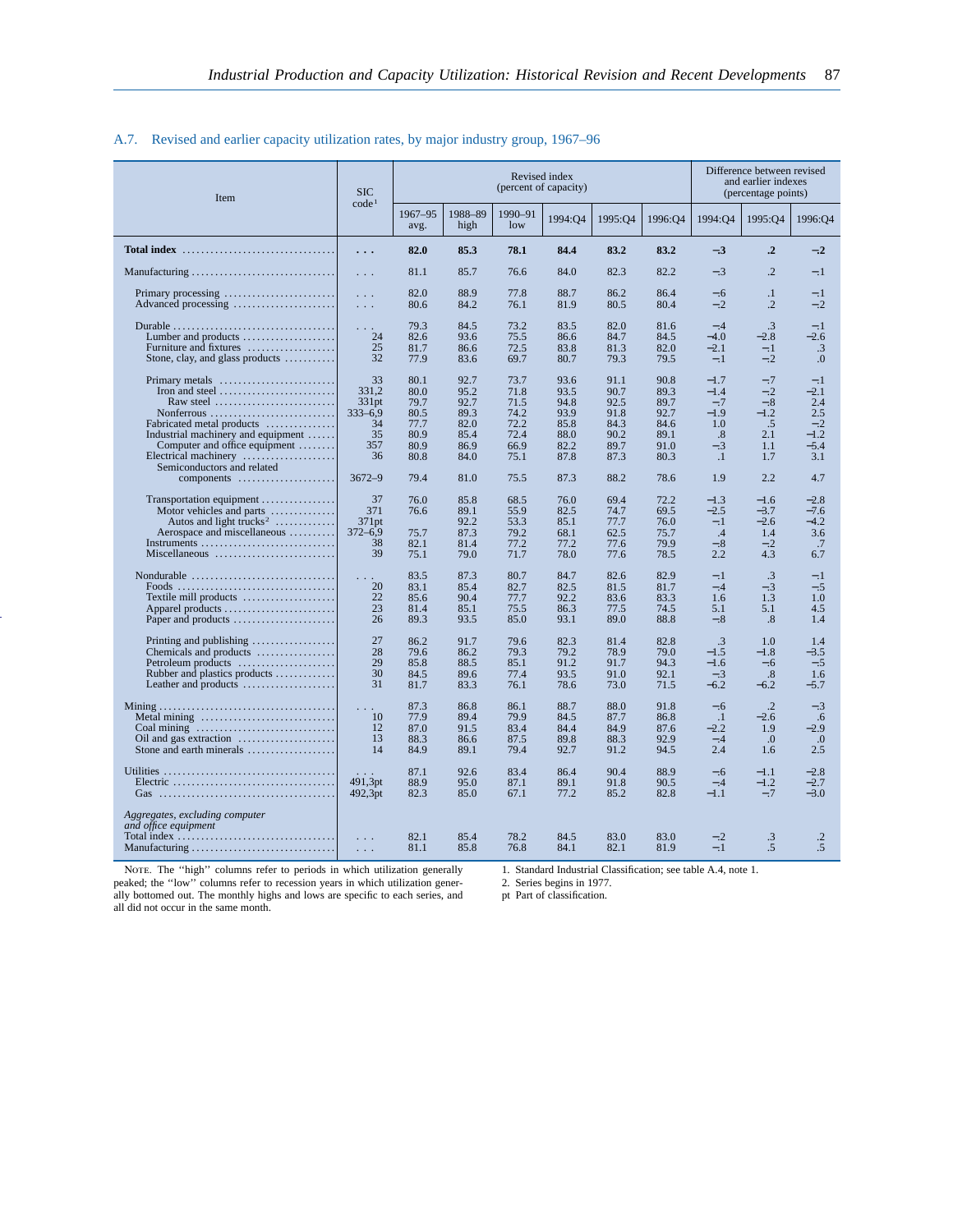## A.7. Revised and earlier capacity utilization rates, by major industry group, 1967–96

| Item                                                                                                                                                                                                                               | <b>SIC</b><br>code <sup>1</sup>                                                                |                                                              |                                                              |                                                              | Revised index<br>(percent of capacity)                       |                                                              |                                                              |                                                                        | Difference between revised<br>and earlier indexes<br>(percentage points) |                                                                   |
|------------------------------------------------------------------------------------------------------------------------------------------------------------------------------------------------------------------------------------|------------------------------------------------------------------------------------------------|--------------------------------------------------------------|--------------------------------------------------------------|--------------------------------------------------------------|--------------------------------------------------------------|--------------------------------------------------------------|--------------------------------------------------------------|------------------------------------------------------------------------|--------------------------------------------------------------------------|-------------------------------------------------------------------|
|                                                                                                                                                                                                                                    |                                                                                                | 1967-95<br>avg.                                              | 1988-89<br>high                                              | 1990-91<br>low                                               | 1994:Q4                                                      | 1995:04                                                      | 1996:04                                                      | 1994:04                                                                | 1995:04                                                                  | 1996:04                                                           |
|                                                                                                                                                                                                                                    | $\ddots$                                                                                       | 82.0                                                         | 85.3                                                         | 78.1                                                         | 84.4                                                         | 83.2                                                         | 83.2                                                         | $-.3$                                                                  | $\cdot$ <sup>2</sup>                                                     | $-.2$                                                             |
|                                                                                                                                                                                                                                    | $\sim$ $\sim$ $\sim$                                                                           | 81.1                                                         | 85.7                                                         | 76.6                                                         | 84.0                                                         | 82.3                                                         | 82.2                                                         | $-.3$                                                                  | $\overline{.2}$                                                          | $-.1$                                                             |
| Primary processing<br>Advanced processing                                                                                                                                                                                          | $\mathcal{L}^{\mathcal{A}}$ and $\mathcal{L}^{\mathcal{A}}$<br>$\mathbb{Z}^2$ . $\mathbb{Z}^2$ | 82.0<br>80.6                                                 | 88.9<br>84.2                                                 | 77.8<br>76.1                                                 | 88.7<br>81.9                                                 | 86.2<br>80.5                                                 | 86.4<br>80.4                                                 | $-.6$<br>$-.2$                                                         | $\cdot$<br>$\cdot$ .2                                                    | $-.1$<br>$-.2$                                                    |
| Lumber and products $\dots\dots\dots\dots\dots\dots$<br>Furniture and fixtures<br>Stone, clay, and glass products                                                                                                                  | $\sim$ $\sim$ $\sim$<br>24<br>25<br>32                                                         | 79.3<br>82.6<br>81.7<br>77.9                                 | 84.5<br>93.6<br>86.6<br>83.6                                 | 73.2<br>75.5<br>72.5<br>69.7                                 | 83.5<br>86.6<br>83.8<br>80.7                                 | 82.0<br>84.7<br>81.3<br>79.3                                 | 81.6<br>84.5<br>82.0<br>79.5                                 | $-.4$<br>$-4.0$<br>$-2.1$<br>$-.1$                                     | $\mathcal{A}$<br>$-2.8$<br>$-.1$<br>$-.2$                                | $-.1$<br>$-2.6$<br>$\cdot$ 3<br>$\overline{0}$ .                  |
| Primary metals<br>Iron and steel $\dots\dots\dots\dots\dots\dots\dots\dots$<br>Raw steel<br>Nonferrous<br>Fabricated metal products<br>Industrial machinery and equipment<br>Computer and office equipment<br>Electrical machinery | 33<br>331.2<br>331pt<br>$333 - 6.9$<br>34<br>35<br>357<br>36                                   | 80.1<br>80.0<br>79.7<br>80.5<br>77.7<br>80.9<br>80.9<br>80.8 | 92.7<br>95.2<br>92.7<br>89.3<br>82.0<br>85.4<br>86.9<br>84.0 | 73.7<br>71.8<br>71.5<br>74.2<br>72.2<br>72.4<br>66.9<br>75.1 | 93.6<br>93.5<br>94.8<br>93.9<br>85.8<br>88.0<br>82.2<br>87.8 | 91.1<br>90.7<br>92.5<br>91.8<br>84.3<br>90.2<br>89.7<br>87.3 | 90.8<br>89.3<br>89.7<br>92.7<br>84.6<br>89.1<br>91.0<br>80.3 | $-1.7$<br>$-1.4$<br>$-.7$<br>$-1.9$<br>1.0<br>.8<br>$-.3$<br>$\cdot$ 1 | $-.7$<br>$-.2$<br>$-.8$<br>$-1.2$<br>.5<br>2.1<br>1.1<br>1.7             | $-.1$<br>$-2.1$<br>2.4<br>2.5<br>$-.2$<br>$-1.2$<br>$-5.4$<br>3.1 |
| Semiconductors and related<br>components                                                                                                                                                                                           | $3672 - 9$                                                                                     | 79.4                                                         | 81.0                                                         | 75.5                                                         | 87.3                                                         | 88.2                                                         | 78.6                                                         | 1.9                                                                    | 2.2                                                                      | 4.7                                                               |
| Transportation equipment<br>Motor vehicles and parts<br>Autos and light trucks <sup>2</sup><br>Aerospace and miscellaneous<br>Miscellaneous                                                                                        | 37<br>371<br>371pt<br>$372 - 6.9$<br>38<br>39                                                  | 76.0<br>76.6<br>75.7<br>82.1<br>75.1                         | 85.8<br>89.1<br>92.2<br>87.3<br>81.4<br>79.0                 | 68.5<br>55.9<br>53.3<br>79.2<br>77.2<br>71.7                 | 76.0<br>82.5<br>85.1<br>68.1<br>77.2<br>78.0                 | 69.4<br>74.7<br>77.7<br>62.5<br>77.6<br>77.6                 | 72.2<br>69.5<br>76.0<br>75.7<br>79.9<br>78.5                 | $-1.3$<br>$-2.5$<br>$-.1$<br>.4<br>$-.8$<br>2.2                        | $-1.6$<br>$-3.7$<br>$-2.6$<br>1.4<br>$-.2$<br>4.3                        | $-2.8$<br>$-7.6$<br>$-4.2$<br>3.6<br>.7<br>6.7                    |
| Nondurable $\ldots, \ldots, \ldots, \ldots, \ldots, \ldots, \ldots$<br>Textile mill products $\dots\dots\dots\dots\dots\dots$<br>Paper and products                                                                                | $\sim 100$<br>20<br>22<br>23<br>26                                                             | 83.5<br>83.1<br>85.6<br>81.4<br>89.3                         | 87.3<br>85.4<br>90.4<br>85.1<br>93.5                         | 80.7<br>82.7<br>77.7<br>75.5<br>85.0                         | 84.7<br>82.5<br>92.2<br>86.3<br>93.1                         | 82.6<br>81.5<br>83.6<br>77.5<br>89.0                         | 82.9<br>81.7<br>83.3<br>74.5<br>88.8                         | $-.1$<br>$-.4$<br>1.6<br>5.1<br>$-.8$                                  | .3<br>$-.3$<br>1.3<br>5.1<br>.8                                          | $-.1$<br>$-.5$<br>1.0<br>4.5<br>1.4                               |
| Printing and publishing<br>Chemicals and products<br>Petroleum products<br>Rubber and plastics products<br>Leather and products                                                                                                    | 27<br>28<br>29<br>30<br>31                                                                     | 86.2<br>79.6<br>85.8<br>84.5<br>81.7                         | 91.7<br>86.2<br>88.5<br>89.6<br>83.3                         | 79.6<br>79.3<br>85.1<br>77.4<br>76.1                         | 82.3<br>79.2<br>91.2<br>93.5<br>78.6                         | 81.4<br>78.9<br>91.7<br>91.0<br>73.0                         | 82.8<br>79.0<br>94.3<br>92.1<br>71.5                         | $\cdot$ 3<br>$-1.5$<br>$-1.6$<br>$-.3$<br>$-6.2$                       | 1.0<br>$-1.8$<br>$-.6$<br>.8<br>-6.2                                     | 1.4<br>$-3.5$<br>$-.5$<br>1.6<br>$-5.7$                           |
| $\text{Mining} \dots \dots \dots \dots \dots \dots \dots \dots \dots \dots \dots \dots$<br>Metal mining<br>Coal mining $\dots \dots \dots \dots \dots \dots \dots \dots \dots$<br>Stone and earth minerals                         | $\sim$ $\sim$ $\sim$<br>10<br>12<br>13<br>14                                                   | 87.3<br>77.9<br>87.0<br>88.3<br>84.9                         | 86.8<br>89.4<br>91.5<br>86.6<br>89.1                         | 86.1<br>79.9<br>83.4<br>87.5<br>79.4                         | 88.7<br>84.5<br>84.4<br>89.8<br>92.7                         | 88.0<br>87.7<br>84.9<br>88.3<br>91.2                         | 91.8<br>86.8<br>87.6<br>92.9<br>94.5                         | $-.6$<br>$\cdot$ -1<br>$-2.2$<br>$-.4$<br>2.4                          | $\cdot$ .2<br>$-2.6$<br>1.9<br>.0<br>1.6                                 | $-.3$<br>$.6\,$<br>$-2.9$<br>.0<br>2.5                            |
|                                                                                                                                                                                                                                    | 491,3pt<br>492,3pt                                                                             | 87.1<br>88.9<br>82.3                                         | 92.6<br>95.0<br>85.0                                         | 83.4<br>87.1<br>67.1                                         | 86.4<br>89.1<br>77.2                                         | 90.4<br>91.8<br>85.2                                         | 88.9<br>90.5<br>82.8                                         | $-.6$<br>$-.4$<br>$-1.1$                                               | $-1.1$<br>$-1.2$<br>$-.7$                                                | $-2.8$<br>$-2.7$<br>$-3.0$                                        |
| Aggregates, excluding computer<br>and office equipment<br>Manufacturing                                                                                                                                                            | $\ldots$<br>$\ldots$                                                                           | 82.1<br>81.1                                                 | 85.4<br>85.8                                                 | 78.2<br>76.8                                                 | 84.5<br>84.1                                                 | 83.0<br>82.1                                                 | 83.0<br>81.9                                                 | $-.2$<br>$-.1$                                                         | .3<br>.5                                                                 | $\cdot$ .2<br>$.5\,$                                              |

NOTE. The "high" columns refer to periods in which utilization generally peaked; the ''low'' columns refer to recession years in which utilization gener-ally bottomed out. The monthly highs and lows are specific to each series, and all did not occur in the same month.

1. Standard Industrial Classification; see table A.4, note 1.

2. Series begins in 1977. pt Part of classification.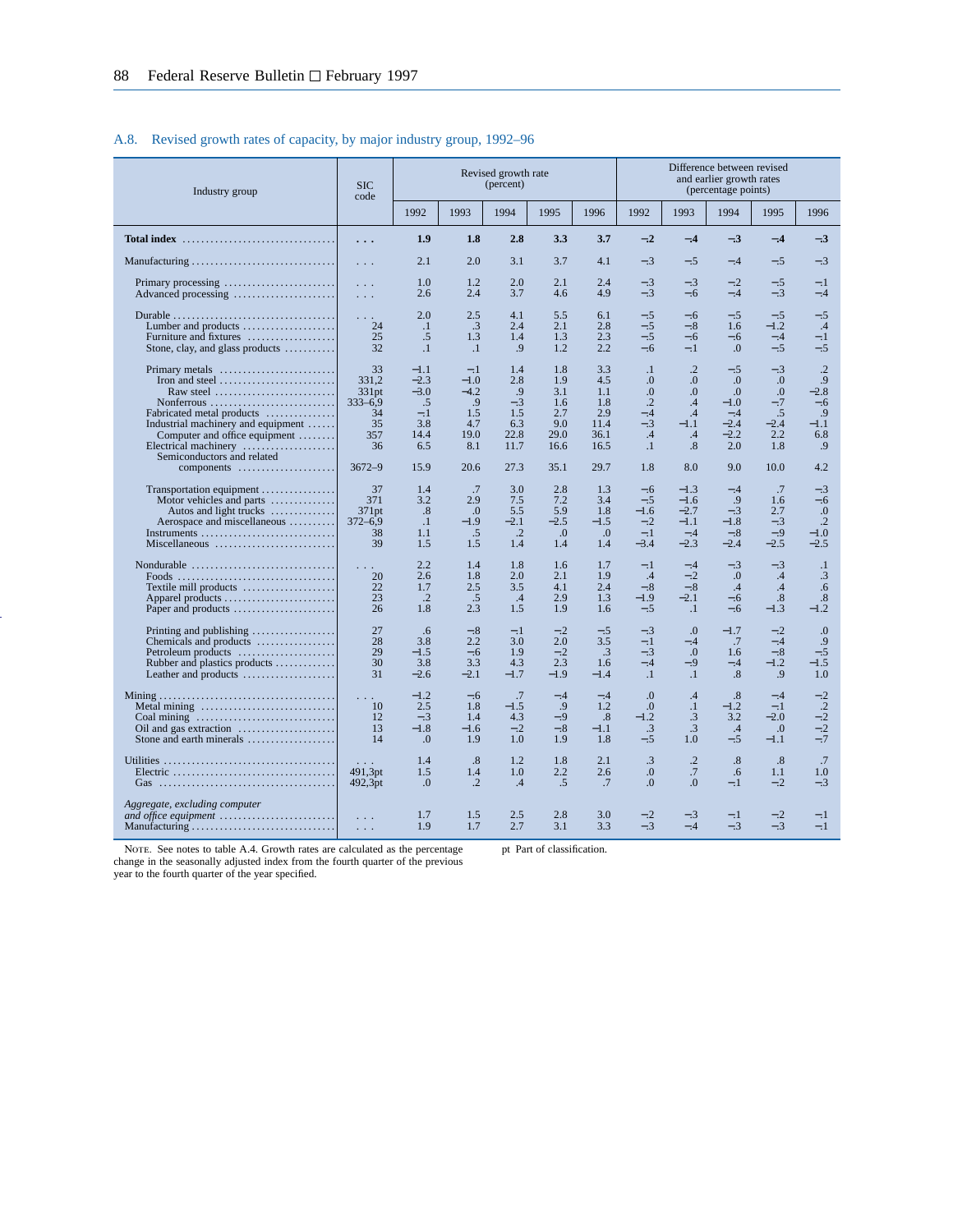## A.8. Revised growth rates of capacity, by major industry group, 1992–96

| Industry group                                                                                                                                                                                                     | <b>SIC</b><br>code                                           |                                                                 |                                                              | Revised growth rate<br>(percent)                        |                                                        |                                                         |                                                                                        |                                                                            | Difference between revised<br>and earlier growth rates<br>(percentage points) |                                                          |                                                                  |
|--------------------------------------------------------------------------------------------------------------------------------------------------------------------------------------------------------------------|--------------------------------------------------------------|-----------------------------------------------------------------|--------------------------------------------------------------|---------------------------------------------------------|--------------------------------------------------------|---------------------------------------------------------|----------------------------------------------------------------------------------------|----------------------------------------------------------------------------|-------------------------------------------------------------------------------|----------------------------------------------------------|------------------------------------------------------------------|
|                                                                                                                                                                                                                    |                                                              | 1992                                                            | 1993                                                         | 1994                                                    | 1995                                                   | 1996                                                    | 1992                                                                                   | 1993                                                                       | 1994                                                                          | 1995                                                     | 1996                                                             |
| Total index $\ldots \ldots \ldots \ldots \ldots \ldots \ldots \ldots \ldots$                                                                                                                                       | $\cdots$                                                     | 1.9                                                             | 1.8                                                          | 2.8                                                     | 3.3                                                    | 3.7                                                     | $-.2$                                                                                  | $-.4$                                                                      | $-.3$                                                                         | $-.4$                                                    | $-.3$                                                            |
|                                                                                                                                                                                                                    | $\mathbf{1}$                                                 | 2.1                                                             | 2.0                                                          | 3.1                                                     | 3.7                                                    | 4.1                                                     | $-.3$                                                                                  | $-.5$                                                                      | $-.4$                                                                         | $-.5$                                                    | $-.3$                                                            |
|                                                                                                                                                                                                                    | $\sim 10$<br>$\sim 10$                                       | 1.0<br>2.6                                                      | 1.2<br>2.4                                                   | 2.0<br>3.7                                              | 2.1<br>4.6                                             | 2.4<br>4.9                                              | $-.3$<br>$-.3$                                                                         | $-.3$<br>$-.6$                                                             | $-.2$<br>$-.4$                                                                | $-.5$<br>$-.3$                                           | $-.1$<br>$-.4$                                                   |
| Lumber and products $\dots\dots\dots\dots\dots\dots$<br>Furniture and fixtures<br>Stone, clay, and glass products                                                                                                  | $\sim$ $\sim$ $\sim$<br>24<br>25<br>32                       | 2.0<br>$\cdot$<br>.5<br>$\cdot$ 1                               | 2.5<br>.3<br>1.3<br>$\cdot$                                  | 4.1<br>2.4<br>1.4<br>.9                                 | 5.5<br>2.1<br>1.3<br>1.2                               | 6.1<br>2.8<br>2.3<br>2.2                                | $-.5$<br>$-.5$<br>$-.5$<br>$-.6$                                                       | $-.6$<br>$-.8$<br>$-.6$<br>$-.1$                                           | $-.5$<br>1.6<br>$-.6$<br>.0                                                   | $-.5$<br>$-1.2$<br>$-.4$<br>$-.5$                        | $-.5$<br>.4<br>$-.1$<br>$-.5$                                    |
| Iron and steel $\dots\dots\dots\dots\dots\dots\dots\dots$<br>Raw steel<br>$Nonferrous$<br>Fabricated metal products<br>Industrial machinery and equipment<br>Computer and office equipment<br>Electrical machinery | 33<br>331.2<br>331pt<br>$333 - 6.9$<br>34<br>35<br>357<br>36 | $-1.1$<br>$-2.3$<br>$-3.0$<br>.5<br>$-.1$<br>3.8<br>14.4<br>6.5 | $-.1$<br>$-1.0$<br>$-4.2$<br>.9<br>1.5<br>4.7<br>19.0<br>8.1 | 1.4<br>2.8<br>.9<br>$-.3$<br>1.5<br>6.3<br>22.8<br>11.7 | 1.8<br>1.9<br>3.1<br>1.6<br>2.7<br>9.0<br>29.0<br>16.6 | 3.3<br>4.5<br>1.1<br>1.8<br>2.9<br>11.4<br>36.1<br>16.5 | $\cdot$ 1<br>0.0<br>$\Omega$ .<br>$\cdot$ .2<br>$-.4$<br>$-.3$<br>$\cdot$ 4<br>$\cdot$ | $\cdot$ .2<br>$\overline{0}$ .<br>0.<br>.4<br>.4<br>$-1.1$<br>$.4\,$<br>.8 | $-.5$<br>$\Omega$<br>$\cdot$ .0<br>$-1.0$<br>$-.4$<br>$-2.4$<br>$-2.2$<br>2.0 | $-.3$<br>0.<br>0.<br>$-.7$<br>.5<br>$-2.4$<br>2.2<br>1.8 | $\cdot$ .2<br>.9<br>$-2.8$<br>$-.6$<br>.9<br>$-1.1$<br>6.8<br>.9 |
| Semiconductors and related<br>components                                                                                                                                                                           | $3672 - 9$                                                   | 15.9                                                            | 20.6                                                         | 27.3                                                    | 35.1                                                   | 29.7                                                    | 1.8                                                                                    | 8.0                                                                        | 9.0                                                                           | 10.0                                                     | 4.2                                                              |
| Transportation equipment<br>Motor vehicles and parts<br>Autos and light trucks<br>Aerospace and miscellaneous<br>Instruments<br>Miscellaneous                                                                      | 37<br>371<br>371pt<br>$372 - 6.9$<br>38<br>39                | 1.4<br>3.2<br>.8<br>$\cdot$ 1<br>1.1<br>1.5                     | .7<br>2.9<br>$\Omega$ .<br>$-1.9$<br>.5<br>1.5               | 3.0<br>7.5<br>5.5<br>$-2.1$<br>$\cdot$ .2<br>1.4        | 2.8<br>7.2<br>5.9<br>$-2.5$<br>.0<br>1.4               | 1.3<br>3.4<br>1.8<br>$-1.5$<br>.0<br>1.4                | $-.6$<br>$-.5$<br>$-1.6$<br>$-.2$<br>$-.1$<br>$-3.4$                                   | $-1.3$<br>$-1.6$<br>$-2.7$<br>$-1.1$<br>$-.4$<br>$-2.3$                    | $-.4$<br>.9<br>$-.3$<br>$-1.8$<br>$-.8$<br>$-2.4$                             | .7<br>1.6<br>2.7<br>$-.3$<br>$-.9$<br>$-2.5$             | $-.3$<br>$-.6$<br>$\Omega$ .<br>$\cdot$ .2<br>$-1.0$<br>$-2.5$   |
| Nondurable<br>Textile mill products                                                                                                                                                                                | 1.11<br>20<br>22<br>23<br>26                                 | 2.2<br>2.6<br>1.7<br>$\cdot$ .2<br>1.8                          | 1.4<br>1.8<br>2.5<br>.5<br>2.3                               | 1.8<br>2.0<br>3.5<br>$\mathcal{A}$<br>1.5               | 1.6<br>2.1<br>4.1<br>2.9<br>1.9                        | 1.7<br>1.9<br>2.4<br>1.3<br>1.6                         | $-.1$<br>.4<br>$-.8$<br>$-1.9$<br>$-.5$                                                | $-.4$<br>$-.2$<br>$-.8$<br>$-2.1$<br>$\cdot$ 1                             | $-.3$<br>$\cdot$ .0<br>$\mathcal{A}$<br>$-.6$<br>$-.6$                        | $-.3$<br>.4<br>.4<br>.8<br>$-1.3$                        | $\cdot$ 1<br>.3<br>.6<br>.8<br>$-1.2$                            |
| Printing and publishing $\dots\dots\dots\dots\dots\dots$<br>Chemicals and products<br>Petroleum products<br>Rubber and plastics products<br>Leather and products                                                   | 27<br>28<br>29<br>30<br>31                                   | .6<br>3.8<br>$-1.5$<br>3.8<br>$-2.6$                            | $-.8$<br>2.2<br>$-.6$<br>3.3<br>$-2.1$                       | $-.1$<br>3.0<br>1.9<br>4.3<br>$-1.7$                    | $-.2$<br>2.0<br>$-.2$<br>2.3<br>$-1.9$                 | $-.5$<br>3.5<br>.3<br>1.6<br>$-1.4$                     | $-.3$<br>$-.1$<br>$-.3$<br>$-.4$<br>$\cdot$ 1                                          | $\Omega$<br>$-.4$<br>0.<br>$-.9$<br>$\cdot$ 1                              | $-1.7$<br>.7<br>1.6<br>$-.4$<br>.8                                            | $-.2$<br>$-.4$<br>$-.8$<br>$-1.2$<br>.9                  | $\boldsymbol{0}$<br>.9<br>$-.5$<br>$-1.5$<br>1.0                 |
| Metal mining $\dots \dots \dots \dots \dots \dots \dots \dots \dots$<br>Coal mining<br>Stone and earth minerals                                                                                                    | a a la<br>10<br>12<br>13<br>14                               | $-1.2$<br>2.5<br>$-.3$<br>$-1.8$<br>$\Omega$ .                  | $-.6$<br>1.8<br>1.4<br>$-1.6$<br>1.9                         | .7<br>$-1.5$<br>4.3<br>$-.2$<br>1.0                     | $-.4$<br>.9<br>$-.9$<br>$-.8$<br>1.9                   | $-.4$<br>1.2<br>.8<br>$-1.1$<br>1.8                     | $\Omega$ .<br>$\Omega$ .<br>$-1.2$<br>.3<br>$-.5$                                      | .4<br>$\cdot$<br>.3<br>$\cdot$ 3<br>1.0                                    | .8<br>$-1.2$<br>3.2<br>$\cdot$ 4<br>$-.5$                                     | $-.4$<br>$-.1$<br>$-2.0$<br>$\Omega$<br>$-1.1$           | $-.2$<br>$-2$<br>$-2$<br>$-.2$<br>$-.7$                          |
|                                                                                                                                                                                                                    | 491.3pt<br>492,3pt                                           | 1.4<br>1.5<br>$\Omega$                                          | .8<br>1.4<br>$\cdot$ .2                                      | 1.2<br>1.0<br>.4                                        | 1.8<br>2.2<br>.5                                       | 2.1<br>2.6<br>.7                                        | .3<br>$\Omega$ .<br>0.                                                                 | $\cdot$<br>.7<br>$\overline{0}$ .                                          | .8<br>.6<br>$-.1$                                                             | .8<br>1.1<br>$-.2$                                       | .7<br>1.0<br>$-.3$                                               |
| Aggregate, excluding computer<br>and office equipment $\ldots \ldots \ldots \ldots \ldots \ldots$                                                                                                                  | $\sim 10$ .<br>$\ldots$                                      | 1.7<br>1.9                                                      | 1.5<br>1.7                                                   | 2.5<br>2.7                                              | 2.8<br>3.1                                             | 3.0<br>3.3                                              | $-.2$<br>$-.3$                                                                         | $-.3$<br>$-.4$                                                             | $-.1$<br>$-.3$                                                                | $-.2$<br>$-.3$                                           | $-.1$<br>$-.1$                                                   |

Note. See notes to table A.4. Growth rates are calculated as the percentage change in the seasonally adjusted index from the fourth quarter of the previous year to the fourth quarter of the year specified.

pt Part of classification.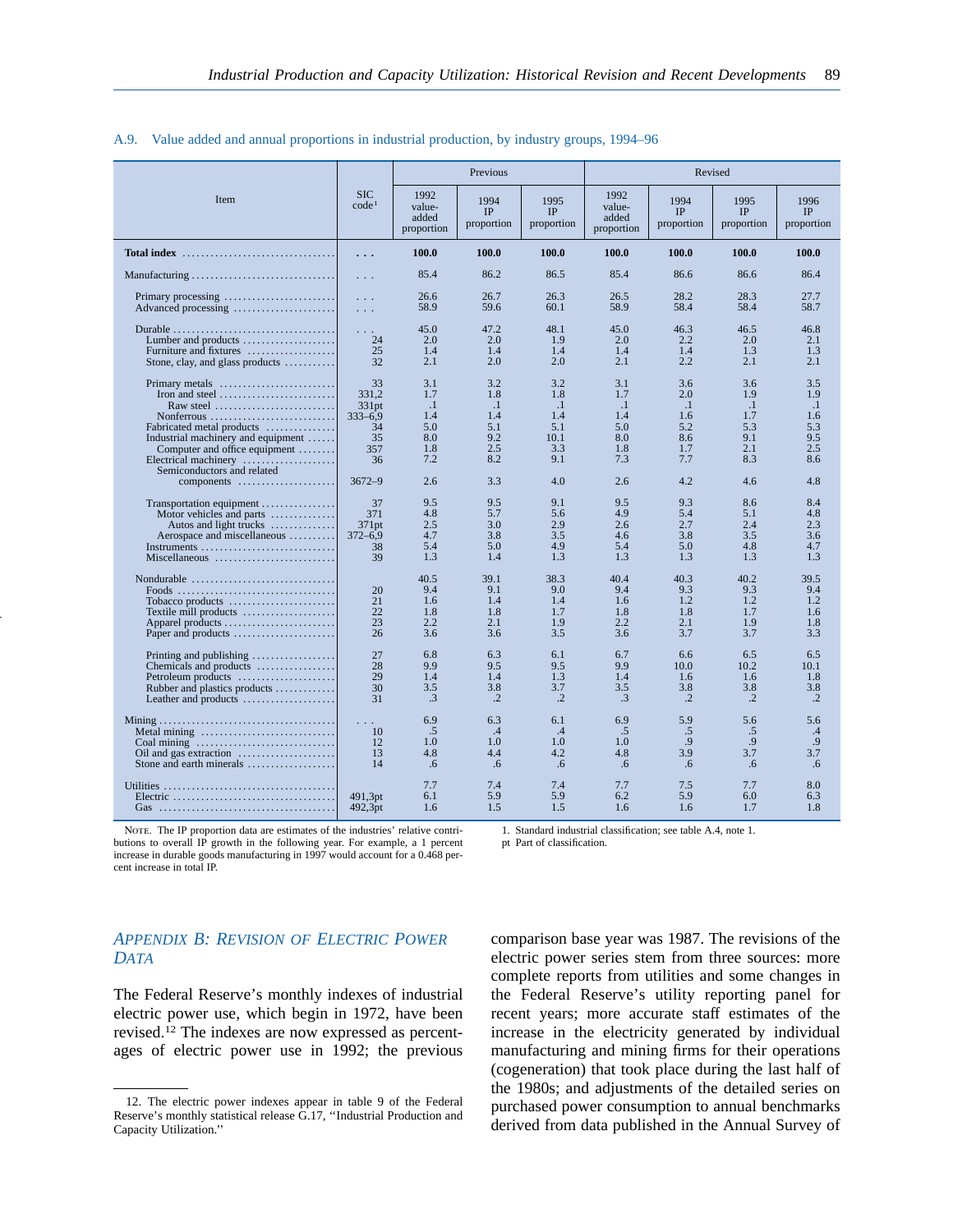|                                                                                                                                                                                              |                                         |                                         | Previous                                |                                         |                                         |                                                      | Revised                                 |                                         |
|----------------------------------------------------------------------------------------------------------------------------------------------------------------------------------------------|-----------------------------------------|-----------------------------------------|-----------------------------------------|-----------------------------------------|-----------------------------------------|------------------------------------------------------|-----------------------------------------|-----------------------------------------|
| Item                                                                                                                                                                                         | <b>SIC</b><br>code <sup>1</sup>         | 1992<br>value-<br>added<br>proportion   | 1994<br>IP<br>proportion                | 1995<br>IP<br>proportion                | 1992<br>value-<br>added<br>proportion   | 1994<br>IP<br>proportion                             | 1995<br>IP<br>proportion                | 1996<br>IP<br>proportion                |
| Total index $\ldots$ , $\ldots$ , $\ldots$ , $\ldots$ , $\ldots$ , $\ldots$ , $\ldots$                                                                                                       | .                                       | 100.0                                   | 100.0                                   | 100.0                                   | 100.0                                   | 100.0                                                | 100.0                                   | 100.0                                   |
| Manufacturing                                                                                                                                                                                | $\sim 10$ .                             | 85.4                                    | 86.2                                    | 86.5                                    | 85.4                                    | 86.6                                                 | 86.6                                    | 86.4                                    |
| Primary processing<br>Advanced processing                                                                                                                                                    | $\sim$ $\sim$ $\sim$<br>$\sim 10$ .     | 26.6<br>58.9                            | 26.7<br>59.6                            | 26.3<br>60.1                            | 26.5<br>58.9                            | 28.2<br>58.4                                         | 28.3<br>58.4                            | 27.7<br>58.7                            |
| Lumber and products $\dots\dots\dots\dots\dots\dots$<br>Furniture and fixtures<br>Stone, clay, and glass products $\dots\dots\dots$                                                          | $\sim$ $\sim$ $\sim$<br>24<br>25<br>32  | 45.0<br>2.0<br>1.4<br>2.1               | 47.2<br>2.0<br>1.4<br>2.0               | 48.1<br>1.9<br>1.4<br>2.0               | 45.0<br>2.0<br>1.4<br>2.1               | 46.3<br>2.2<br>1.4<br>2.2                            | 46.5<br>2.0<br>1.3<br>2.1               | 46.8<br>2.1<br>1.3<br>2.1               |
| Primary metals<br>Iron and steel $\dots\dots\dots\dots\dots\dots\dots\dots$                                                                                                                  | 33<br>331.2                             | 3.1<br>1.7                              | 3.2<br>1.8                              | 3.2<br>1.8                              | 3.1<br>1.7                              | 3.6<br>2.0                                           | 3.6<br>1.9                              | 3.5<br>1.9                              |
| Raw steel $\ldots \ldots \ldots \ldots \ldots \ldots \ldots$<br>Nonferrous<br>Fabricated metal products<br>Industrial machinery and equipment                                                | 331pt<br>$333 - 6.9$<br>34<br>35        | $\cdot$ 1<br>1.4<br>5.0<br>8.0          | $\cdot$ 1<br>1.4<br>5.1<br>9.2          | $\cdot$ 1<br>1.4<br>5.1<br>10.1         | $\cdot$ 1<br>1.4<br>5.0<br>8.0          | $\cdot$ 1<br>1.6<br>5.2<br>8.6                       | $\cdot$ 1<br>1.7<br>5.3<br>9.1          | $\cdot$<br>1.6<br>5.3<br>9.5            |
| Computer and office equipment<br>Electrical machinery<br>Semiconductors and related                                                                                                          | 357<br>36                               | 1.8<br>7.2                              | 2.5<br>8.2                              | 3.3<br>9.1                              | 1.8<br>7.3                              | 1.7<br>7.7                                           | 2.1<br>8.3                              | 2.5<br>8.6                              |
| components                                                                                                                                                                                   | $3672 - 9$                              | 2.6<br>9.5                              | 3.3                                     | 4.0<br>9.1                              | 2.6<br>9.5                              | 4.2<br>9.3                                           | 4.6<br>8.6                              | 4.8<br>8.4                              |
| Transportation equipment<br>Motor vehicles and parts<br>Autos and light trucks<br>Aerospace and miscellaneous<br>Instruments                                                                 | 37<br>371<br>371pt<br>$372 - 6.9$<br>38 | 4.8<br>2.5<br>4.7<br>5.4                | 9.5<br>5.7<br>3.0<br>3.8<br>5.0         | 5.6<br>2.9<br>3.5<br>4.9                | 4.9<br>2.6<br>4.6<br>5.4                | 5.4<br>2.7<br>3.8<br>5.0                             | 5.1<br>2.4<br>3.5<br>4.8                | 4.8<br>2.3<br>3.6<br>4.7                |
| Miscellaneous                                                                                                                                                                                | 39                                      | 1.3                                     | 1.4                                     | 1.3                                     | 1.3                                     | 1.3                                                  | 1.3                                     | 1.3                                     |
| Nondurable $\ldots, \ldots, \ldots, \ldots, \ldots, \ldots, \ldots$<br>Foods<br>Tobacco products<br>Textile mill products<br>Apparel products<br>Paper and products                          | 20<br>21<br>22<br>23<br>26              | 40.5<br>9.4<br>1.6<br>1.8<br>2.2<br>3.6 | 39.1<br>9.1<br>1.4<br>1.8<br>2.1<br>3.6 | 38.3<br>9.0<br>1.4<br>1.7<br>1.9<br>3.5 | 40.4<br>9.4<br>1.6<br>1.8<br>2.2<br>3.6 | 40.3<br>9.3<br>1.2<br>1.8<br>2.1<br>3.7              | 40.2<br>9.3<br>1.2<br>1.7<br>1.9<br>3.7 | 39.5<br>9.4<br>1.2<br>1.6<br>1.8<br>3.3 |
| Printing and publishing $\dots\dots\dots\dots\dots$<br>Chemicals and products<br>Petroleum products<br>Rubber and plastics products<br>Leather and products $\dots\dots\dots\dots\dots\dots$ | 27<br>28<br>29<br>30<br>31              | 6.8<br>9.9<br>1.4<br>3.5<br>.3          | 6.3<br>9.5<br>1.4<br>3.8<br>$\cdot$ .2  | 6.1<br>9.5<br>1.3<br>3.7<br>$\cdot$ .2  | 6.7<br>9.9<br>1.4<br>3.5<br>.3          | 6.6<br>10.0 <sub>1</sub><br>1.6<br>3.8<br>$\cdot$ .2 | 6.5<br>10.2<br>1.6<br>3.8<br>$\cdot$ .2 | 6.5<br>10.1<br>1.8<br>3.8<br>$\cdot$ .2 |
| Metal mining<br>Stone and earth minerals                                                                                                                                                     | 10<br>12<br>13<br>14                    | 6.9<br>.5<br>1.0<br>4.8<br>.6           | 6.3<br>.4<br>1.0<br>4.4<br>.6           | 6.1<br>.4<br>1.0<br>4.2<br>.6           | 6.9<br>.5<br>1.0<br>4.8<br>.6           | 5.9<br>.5<br>.9<br>3.9<br>.6                         | 5.6<br>.5<br>.9<br>3.7<br>.6            | 5.6<br>.4<br>.9<br>3.7<br>.6            |
|                                                                                                                                                                                              | 491,3pt<br>492,3pt                      | 7.7<br>6.1<br>1.6                       | 7.4<br>5.9<br>1.5                       | 7.4<br>5.9<br>1.5                       | 7.7<br>6.2<br>1.6                       | 7.5<br>5.9<br>1.6                                    | 7.7<br>6.0<br>1.7                       | 8.0<br>6.3<br>1.8                       |

#### A.9. Value added and annual proportions in industrial production, by industry groups, 1994–96

NOTE. The IP proportion data are estimates of the industries' relative contributions to overall IP growth in the following year. For example, a 1 percent increase in durable goods manufacturing in 1997 would account for a 0.468 percent increase in total IP.

1. Standard industrial classification; see table A.4, note 1.

pt Part of classification.

# *APPENDIX B: REVISION OF ELECTRIC POWER DATA*

The Federal Reserve's monthly indexes of industrial electric power use, which begin in 1972, have been revised.12 The indexes are now expressed as percentages of electric power use in 1992; the previous

comparison base year was 1987. The revisions of the electric power series stem from three sources: more complete reports from utilities and some changes in the Federal Reserve's utility reporting panel for recent years; more accurate staff estimates of the increase in the electricity generated by individual manufacturing and mining firms for their operations (cogeneration) that took place during the last half of the 1980s; and adjustments of the detailed series on purchased power consumption to annual benchmarks derived from data published in the Annual Survey of

<sup>12.</sup> The electric power indexes appear in table 9 of the Federal Reserve's monthly statistical release G.17, ''Industrial Production and Capacity Utilization.''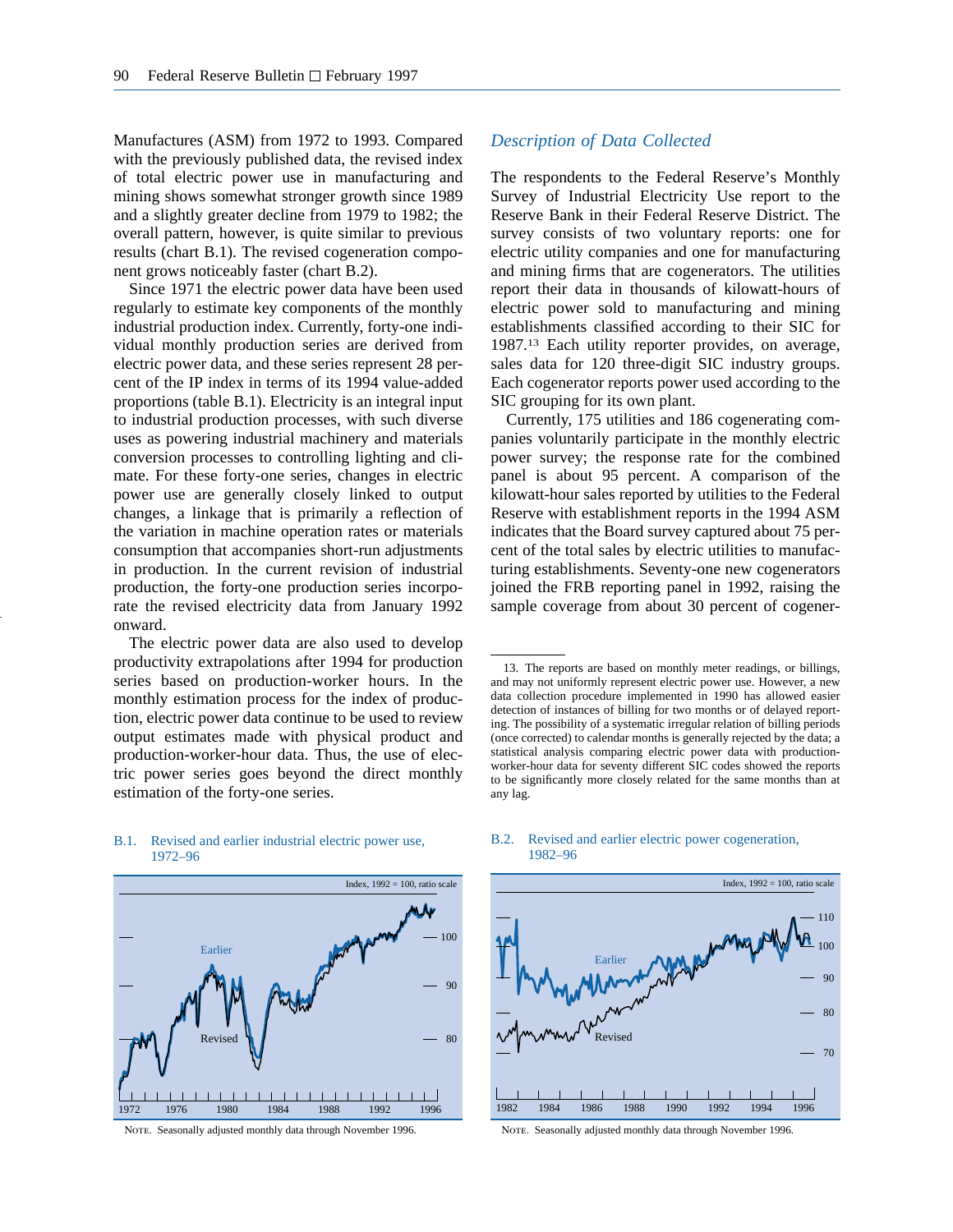Manufactures (ASM) from 1972 to 1993. Compared with the previously published data, the revised index of total electric power use in manufacturing and mining shows somewhat stronger growth since 1989 and a slightly greater decline from 1979 to 1982; the overall pattern, however, is quite similar to previous results (chart B.1). The revised cogeneration component grows noticeably faster (chart B.2).

Since 1971 the electric power data have been used regularly to estimate key components of the monthly industrial production index. Currently, forty-one individual monthly production series are derived from electric power data, and these series represent 28 percent of the IP index in terms of its 1994 value-added proportions (table B.1). Electricity is an integral input to industrial production processes, with such diverse uses as powering industrial machinery and materials conversion processes to controlling lighting and climate. For these forty-one series, changes in electric power use are generally closely linked to output changes, a linkage that is primarily a reflection of the variation in machine operation rates or materials consumption that accompanies short-run adjustments in production. In the current revision of industrial production, the forty-one production series incorporate the revised electricity data from January 1992 onward.

The electric power data are also used to develop productivity extrapolations after 1994 for production series based on production-worker hours. In the monthly estimation process for the index of production, electric power data continue to be used to review output estimates made with physical product and production-worker-hour data. Thus, the use of electric power series goes beyond the direct monthly estimation of the forty-one series.

## *Description of Data Collected*

The respondents to the Federal Reserve's Monthly Survey of Industrial Electricity Use report to the Reserve Bank in their Federal Reserve District. The survey consists of two voluntary reports: one for electric utility companies and one for manufacturing and mining firms that are cogenerators. The utilities report their data in thousands of kilowatt-hours of electric power sold to manufacturing and mining establishments classified according to their SIC for 1987.13 Each utility reporter provides, on average, sales data for 120 three-digit SIC industry groups. Each cogenerator reports power used according to the SIC grouping for its own plant.

Currently, 175 utilities and 186 cogenerating companies voluntarily participate in the monthly electric power survey; the response rate for the combined panel is about 95 percent. A comparison of the kilowatt-hour sales reported by utilities to the Federal Reserve with establishment reports in the 1994 ASM indicates that the Board survey captured about 75 percent of the total sales by electric utilities to manufacturing establishments. Seventy-one new cogenerators joined the FRB reporting panel in 1992, raising the sample coverage from about 30 percent of cogener-



B.1. Revised and earlier industrial electric power use, 1972–96

# B.2. Revised and earlier electric power cogeneration, 1982–96



<sup>13.</sup> The reports are based on monthly meter readings, or billings, and may not uniformly represent electric power use. However, a new data collection procedure implemented in 1990 has allowed easier detection of instances of billing for two months or of delayed reporting. The possibility of a systematic irregular relation of billing periods (once corrected) to calendar months is generally rejected by the data; a statistical analysis comparing electric power data with productionworker-hour data for seventy different SIC codes showed the reports to be significantly more closely related for the same months than at any lag.

NOTE. Seasonally adjusted monthly data through November 1996.

NOTE. Seasonally adjusted monthly data through November 1996.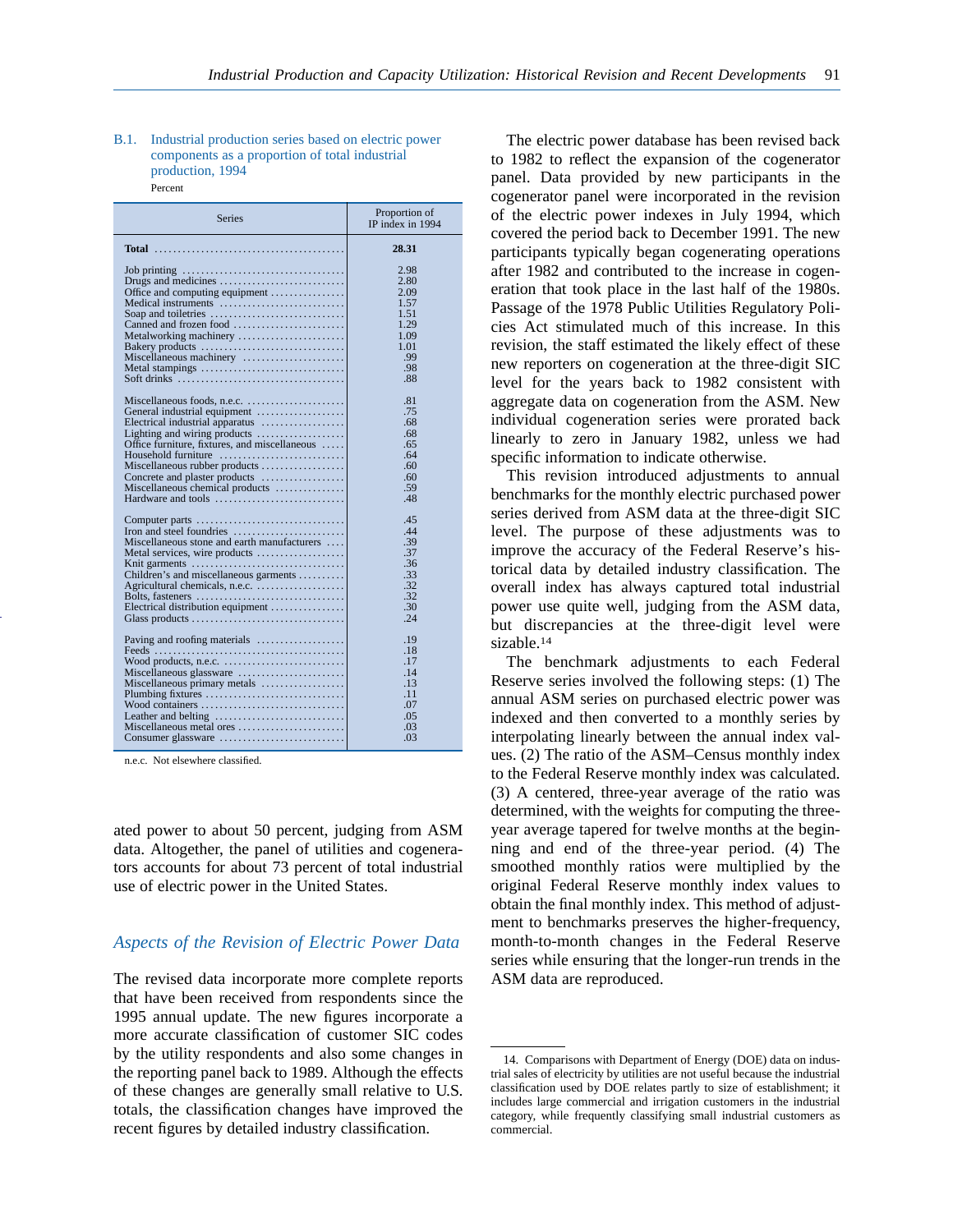#### B.1. Industrial production series based on electric power components as a proportion of total industrial production, 1994 Percent

| <b>Series</b>                                                           | Proportion of<br>IP index in 1994 |  |  |
|-------------------------------------------------------------------------|-----------------------------------|--|--|
|                                                                         | 28.31                             |  |  |
|                                                                         | 2.98                              |  |  |
|                                                                         | 2.80                              |  |  |
| Office and computing equipment                                          | 2.09                              |  |  |
| Medical instruments                                                     | 1.57                              |  |  |
|                                                                         | 1.51                              |  |  |
|                                                                         | 1.29                              |  |  |
| Metalworking machinery                                                  | 1.09                              |  |  |
| Bakery products                                                         | 1.01                              |  |  |
| Miscellaneous machinery                                                 | .99                               |  |  |
| Metal stampings                                                         | .98                               |  |  |
|                                                                         | .88                               |  |  |
|                                                                         |                                   |  |  |
|                                                                         | .81                               |  |  |
| General industrial equipment                                            | .75                               |  |  |
| Electrical industrial apparatus                                         | .68                               |  |  |
| Lighting and wiring products                                            | .68                               |  |  |
| Office furniture, fixtures, and miscellaneous                           | .65                               |  |  |
| Household furniture                                                     | .64                               |  |  |
| Miscellaneous rubber products                                           | .60                               |  |  |
| Concrete and plaster products                                           | .60                               |  |  |
| Miscellaneous chemical products                                         | .59                               |  |  |
|                                                                         | .48                               |  |  |
|                                                                         | .45                               |  |  |
|                                                                         | .44                               |  |  |
| Miscellaneous stone and earth manufacturers                             | .39                               |  |  |
| Metal services, wire products                                           | .37                               |  |  |
|                                                                         | .36                               |  |  |
| Children's and miscellaneous garments                                   | .33                               |  |  |
| Agricultural chemicals, n.e.c.                                          | .32                               |  |  |
|                                                                         | .32                               |  |  |
| Electrical distribution equipment                                       | .30                               |  |  |
|                                                                         | .24                               |  |  |
|                                                                         | .19                               |  |  |
|                                                                         | .18                               |  |  |
| Wood products, n.e.c. $\dots \dots \dots \dots \dots \dots \dots \dots$ | .17                               |  |  |
| Miscellaneous glassware                                                 | .14                               |  |  |
| Miscellaneous primary metals                                            | .13                               |  |  |
|                                                                         | .11                               |  |  |
|                                                                         | .07                               |  |  |
|                                                                         | .05                               |  |  |
| Miscellaneous metal ores                                                | .03                               |  |  |
| Consumer glassware                                                      | .03                               |  |  |

n.e.c. Not elsewhere classified.

ated power to about 50 percent, judging from ASM data. Altogether, the panel of utilities and cogenerators accounts for about 73 percent of total industrial use of electric power in the United States.

#### *Aspects of the Revision of Electric Power Data*

The revised data incorporate more complete reports that have been received from respondents since the 1995 annual update. The new figures incorporate a more accurate classification of customer SIC codes by the utility respondents and also some changes in the reporting panel back to 1989. Although the effects of these changes are generally small relative to U.S. totals, the classification changes have improved the recent figures by detailed industry classification.

The electric power database has been revised back to 1982 to reflect the expansion of the cogenerator panel. Data provided by new participants in the cogenerator panel were incorporated in the revision of the electric power indexes in July 1994, which covered the period back to December 1991. The new participants typically began cogenerating operations after 1982 and contributed to the increase in cogeneration that took place in the last half of the 1980s. Passage of the 1978 Public Utilities Regulatory Policies Act stimulated much of this increase. In this revision, the staff estimated the likely effect of these new reporters on cogeneration at the three-digit SIC level for the years back to 1982 consistent with aggregate data on cogeneration from the ASM. New individual cogeneration series were prorated back linearly to zero in January 1982, unless we had specific information to indicate otherwise.

This revision introduced adjustments to annual benchmarks for the monthly electric purchased power series derived from ASM data at the three-digit SIC level. The purpose of these adjustments was to improve the accuracy of the Federal Reserve's historical data by detailed industry classification. The overall index has always captured total industrial power use quite well, judging from the ASM data, but discrepancies at the three-digit level were sizable.14

The benchmark adjustments to each Federal Reserve series involved the following steps: (1) The annual ASM series on purchased electric power was indexed and then converted to a monthly series by interpolating linearly between the annual index values. (2) The ratio of the ASM–Census monthly index to the Federal Reserve monthly index was calculated. (3) A centered, three-year average of the ratio was determined, with the weights for computing the threeyear average tapered for twelve months at the beginning and end of the three-year period. (4) The smoothed monthly ratios were multiplied by the original Federal Reserve monthly index values to obtain the final monthly index. This method of adjustment to benchmarks preserves the higher-frequency, month-to-month changes in the Federal Reserve series while ensuring that the longer-run trends in the ASM data are reproduced.

<sup>14.</sup> Comparisons with Department of Energy (DOE) data on industrial sales of electricity by utilities are not useful because the industrial classification used by DOE relates partly to size of establishment; it includes large commercial and irrigation customers in the industrial category, while frequently classifying small industrial customers as commercial.